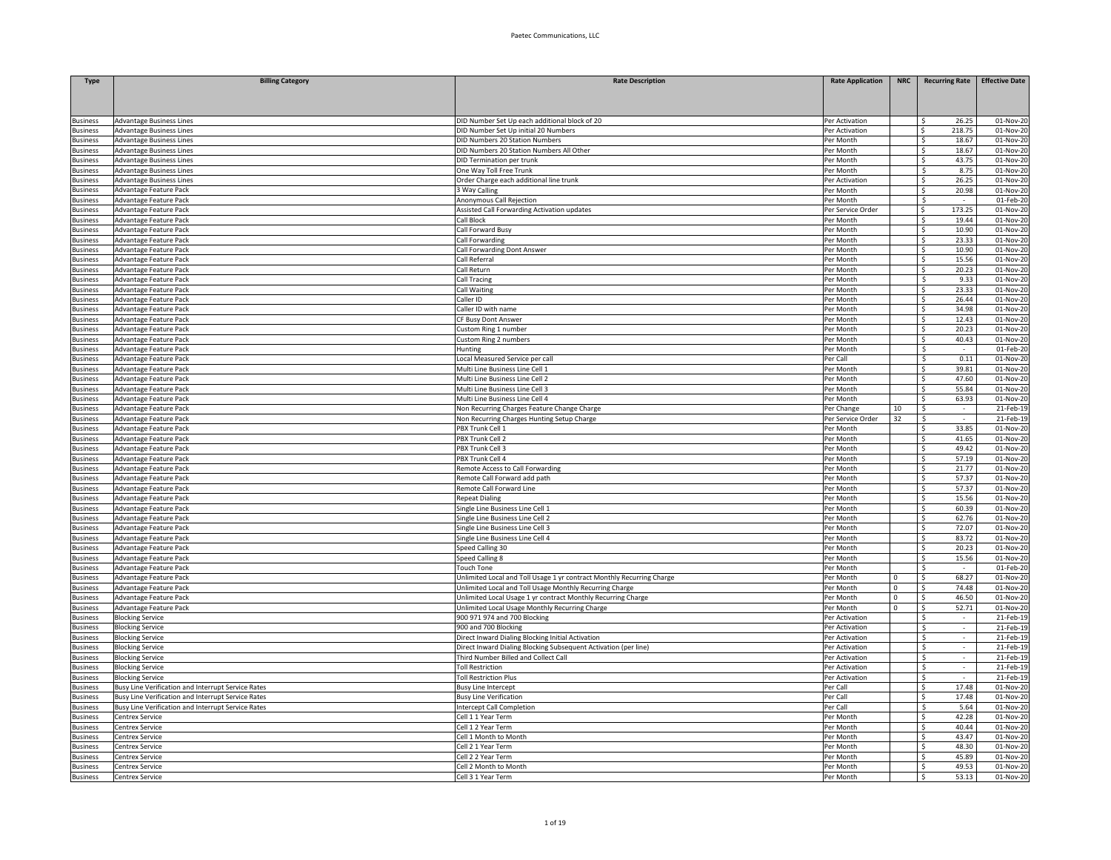| <b>Type</b>                 | <b>Billing Category</b>                                   | <b>Rate Description</b>                                                                                                 | <b>Rate Application</b>     | <b>NRC</b>                 | <b>Recurring Rate</b>            | <b>Effective Date</b>  |
|-----------------------------|-----------------------------------------------------------|-------------------------------------------------------------------------------------------------------------------------|-----------------------------|----------------------------|----------------------------------|------------------------|
|                             |                                                           |                                                                                                                         |                             |                            |                                  |                        |
|                             |                                                           |                                                                                                                         |                             |                            |                                  |                        |
| <b>Business</b>             | <b>Advantage Business Lines</b>                           | DID Number Set Up each additional block of 20                                                                           | Per Activation              |                            | 26.25<br>Ŝ                       | 01-Nov-20              |
| usiness                     | <b>Advantage Business Lines</b>                           | DID Number Set Up initial 20 Numbers                                                                                    | Per Activation              |                            | Ŝ.<br>218.75                     | 01-Nov-20              |
| iusiness                    | <b>Advantage Business Lines</b>                           | <b>DID Numbers 20 Station Numbers</b>                                                                                   | Per Month                   |                            | S.<br>18.67                      | 01-Nov-20              |
| usiness                     | <b>Advantage Business Lines</b>                           | DID Numbers 20 Station Numbers All Other                                                                                | Per Month                   |                            | S.<br>18.67                      | 01-Nov-20              |
| <b>Business</b>             | <b>Advantage Business Lines</b>                           | DID Termination per trunk                                                                                               | Per Month                   |                            | S.<br>43.75                      | 01-Nov-20              |
| usiness                     | Advantage Business Lines                                  | One Way Toll Free Trunk                                                                                                 | Per Month                   |                            | -\$<br>8.75                      | 01-Nov-20              |
| <b>Business</b><br>usiness  | <b>Advantage Business Lines</b><br>Advantage Feature Pack | Order Charge each additional line trunk<br><b>3 Way Calling</b>                                                         | Per Activation<br>Per Month |                            | Ŝ<br>26.25<br>20.98<br>\$        | 01-Nov-20<br>01-Nov-20 |
| <b>Business</b>             | Advantage Feature Pack                                    | Anonymous Call Rejection                                                                                                | Per Month                   |                            | \$<br>$\sim$                     | 01-Feb-20              |
| usiness                     | Advantage Feature Pack                                    | Assisted Call Forwarding Activation updates                                                                             | Per Service Order           |                            | 173.25<br>-S                     | 01-Nov-20              |
| usiness                     | Advantage Feature Pack                                    | Call Block                                                                                                              | Per Month                   |                            | S.<br>19.44                      | 01-Nov-2               |
| usiness                     | Advantage Feature Pack                                    | Call Forward Busy                                                                                                       | Per Month                   |                            | S.<br>10.90                      | 01-Nov-20              |
| usiness                     | Advantage Feature Pack                                    | Call Forwarding                                                                                                         | Per Month                   |                            | S.<br>23.33                      | 01-Nov-20              |
| <b>Business</b>             | Advantage Feature Pack                                    | Call Forwarding Dont Answer                                                                                             | Per Month                   |                            | S.<br>10.90                      | 01-Nov-20              |
| <b>Business</b>             | Advantage Feature Pack                                    | Call Referral                                                                                                           | Per Month                   |                            | S.<br>15.56                      | 01-Nov-20              |
| <b>Business</b>             | Advantage Feature Pack                                    | Call Return                                                                                                             | Per Month                   |                            | Ŝ<br>20.23                       | 01-Nov-20              |
| <b>Business</b>             | Advantage Feature Pack                                    | Call Tracing                                                                                                            | Per Month                   |                            | 9.33<br>-\$                      | 01-Nov-20              |
| <b>Business</b>             | Advantage Feature Pack                                    | Call Waiting                                                                                                            | Per Month                   |                            | 23.33<br>S                       | 01-Nov-20              |
| usiness                     | Advantage Feature Pack                                    | Caller ID                                                                                                               | Per Month                   |                            | 26.44<br>Ŝ                       | 01-Nov-20              |
| usiness                     | Advantage Feature Pack                                    | Caller ID with name                                                                                                     | Per Month                   |                            | 34.98<br>Š.                      | 01-Nov-20              |
| usiness                     | Advantage Feature Pack                                    | CF Busy Dont Answer                                                                                                     | Per Month                   |                            | Š.<br>12.43<br>S.<br>20.23       | 01-Nov-20<br>01-Nov-20 |
| usiness<br><b>Business</b>  | Advantage Feature Pack<br>Advantage Feature Pack          | Custom Ring 1 number<br>Custom Ring 2 numbers                                                                           | Per Month<br>Per Month      |                            | S.<br>40.43                      | 01-Nov-20              |
| usiness                     | Advantage Feature Pack                                    | Hunting                                                                                                                 | Per Month                   |                            | \$                               | 01-Feb-20              |
| dusiness                    | Advantage Feature Pack                                    | Local Measured Service per call                                                                                         | Per Call                    |                            | 0.11<br>Ŝ.                       | 01-Nov-20              |
| Jusiness                    | Advantage Feature Pack                                    | Multi Line Business Line Cell 1                                                                                         | Per Month                   |                            | 39.81<br>\$                      | 01-Nov-20              |
| dusiness                    | Advantage Feature Pack                                    | Multi Line Business Line Cell 2                                                                                         | Per Month                   |                            | 47.60<br>\$                      | 01-Nov-20              |
| dusiness                    | Advantage Feature Pack                                    | Multi Line Business Line Cell 3                                                                                         | Per Month                   |                            | \$<br>55.84                      | 01-Nov-20              |
| usiness                     | Advantage Feature Pack                                    | Multi Line Business Line Cell 4                                                                                         | Per Month                   |                            | 63.93<br>$\mathsf{s}$            | 01-Nov-2               |
| usiness                     | Advantage Feature Pack                                    | Non Recurring Charges Feature Change Charge                                                                             | Per Change                  | 10                         | -\$<br>$\sim$                    | 21-Feb-19              |
| usiness                     | Advantage Feature Pack                                    | Non Recurring Charges Hunting Setup Charge                                                                              | Per Service Order           | 32                         | \$                               | 21-Feb-19              |
| <b>Business</b>             | Advantage Feature Pack                                    | PBX Trunk Cell 1                                                                                                        | Per Month                   |                            | S.<br>33.85                      | 01-Nov-20              |
| <b>Business</b>             | Advantage Feature Pack                                    | PBX Trunk Cell 2                                                                                                        | Per Month                   |                            | S.<br>41.65                      | 01-Nov-20              |
| <b>Business</b>             | Advantage Feature Pack                                    | PBX Trunk Cell 3                                                                                                        | Per Month                   |                            | Ŝ<br>49.42                       | 01-Nov-20              |
| <b>Business</b>             | Advantage Feature Pack                                    | PBX Trunk Cell 4                                                                                                        | Per Month                   |                            | 57.19<br>\$                      | 01-Nov-20              |
| <b>Business</b><br>dusiness | Advantage Feature Pack<br>Advantage Feature Pack          | Remote Access to Call Forwarding<br>Remote Call Forward add path                                                        | Per Month<br>Per Month      |                            | 21.77<br>\$<br>57.37<br>-S       | 01-Nov-20<br>01-Nov-20 |
| usiness                     | Advantage Feature Pack                                    | Remote Call Forward Line                                                                                                | Per Month                   |                            | 57.37<br>Ŝ                       | 01-Nov-20              |
| usiness                     | Advantage Feature Pack                                    | <b>Repeat Dialing</b>                                                                                                   | Per Month                   |                            | \$<br>15.56                      | 01-Nov-2               |
| usiness                     | Advantage Feature Pack                                    | Single Line Business Line Cell 1                                                                                        | Per Month                   |                            | Ŝ.<br>60.39                      | 01-Nov-20              |
| <b>Business</b>             | Advantage Feature Pack                                    | Single Line Business Line Cell 2                                                                                        | Per Month                   |                            | \$<br>62.76                      | 01-Nov-20              |
| usiness                     | Advantage Feature Pack                                    | Single Line Business Line Cell 3                                                                                        | Per Month                   |                            | S.<br>72.07                      | 01-Nov-20              |
| <b>Business</b>             | Advantage Feature Pack                                    | Single Line Business Line Cell 4                                                                                        | Per Month                   |                            | Ŝ<br>83.72                       | 01-Nov-20              |
| Jusiness                    | Advantage Feature Pack                                    | Speed Calling 30                                                                                                        | Per Month                   |                            | 20.23<br>\$                      | 01-Nov-20              |
| <b>Business</b>             | Advantage Feature Pack                                    | Speed Calling 8                                                                                                         | Per Month                   |                            | 15.56<br>\$                      | 01-Nov-20              |
| usiness                     | Advantage Feature Pack                                    | <b>Touch Tone</b>                                                                                                       | Per Month                   |                            | Ŝ.<br>$\sim$                     | 01-Feb-20              |
| Business                    | Advantage Feature Pack                                    | Unlimited Local and Toll Usage 1 yr contract Monthly Recurring Charge                                                   | Per Month                   | $\mathbf 0$                | 68.27<br>\$                      | 01-Nov-20              |
| usiness<br>usiness          | Advantage Feature Pack<br>Advantage Feature Pack          | Unlimited Local and Toll Usage Monthly Recurring Charge<br>Unlimited Local Usage 1 yr contract Monthly Recurring Charge | Per Month<br>Per Month      | $\mathbf 0$<br>$\mathbf 0$ | S.<br>74.48<br>Ŝ.<br>46.50       | 01-Nov-20<br>01-Nov-20 |
| <b>Business</b>             | Advantage Feature Pack                                    | Unlimited Local Usage Monthly Recurring Charge                                                                          | Per Month                   | $\Omega$                   | 52.71<br>\$                      | 01-Nov-20              |
| <b>Business</b>             | <b>Blocking Service</b>                                   | 900 971 974 and 700 Blocking                                                                                            | Per Activation              |                            | Ŝ.                               | 21-Feb-19              |
| <b>Business</b>             | <b>Blocking Service</b>                                   | 900 and 700 Blocking                                                                                                    | Per Activation              |                            | Ŝ.                               | 21-Feb-19              |
| <b>Business</b>             | <b>Blocking Service</b>                                   | Direct Inward Dialing Blocking Initial Activation                                                                       | Per Activation              |                            | -\$<br>$\overline{\phantom{a}}$  | 21-Feb-19              |
| <b>Business</b>             | <b>Blocking Service</b>                                   | Direct Inward Dialing Blocking Subsequent Activation (per line)                                                         | Per Activation              |                            | \$<br>$\sim$                     | 21-Feb-19              |
| <b>Business</b>             | <b>Blocking Service</b>                                   | Third Number Billed and Collect Call                                                                                    | Per Activation              |                            | -\$<br>$\sim$                    | 21-Feb-19              |
| dusiness                    | <b>Blocking Service</b>                                   | <b>Toll Restriction</b>                                                                                                 | Per Activation              |                            | -S<br>$\sim$                     | 21-Feb-19              |
| usiness                     | <b>Blocking Service</b>                                   | <b>Toll Restriction Plus</b>                                                                                            | Per Activation              |                            | -\$                              | 21-Feb-19              |
| susiness                    | Busy Line Verification and Interrupt Service Rates        | <b>Busy Line Intercept</b>                                                                                              | Per Call                    |                            | S.<br>17.48                      | 01-Nov-20              |
| <b>Business</b>             | Busy Line Verification and Interrupt Service Rates        | <b>Busy Line Verification</b>                                                                                           | Per Call                    |                            | S.<br>17.48                      | 01-Nov-20              |
| dusiness                    | Busy Line Verification and Interrupt Service Rates        | Intercept Call Completion                                                                                               | Per Call                    |                            | -\$<br>5.64                      | 01-Nov-20              |
| dusiness                    | Centrex Service                                           | Cell 1 1 Year Term                                                                                                      | Per Month                   |                            | Ŝ<br>42.28                       | 01-Nov-20              |
| <b>Business</b><br>dusiness | Centrex Service<br>Centrex Service                        | Cell 1 2 Year Term<br>Cell 1 Month to Month                                                                             | Per Month<br>Per Month      |                            | 40.44<br>-\$<br>43.47<br>S       | 01-Nov-20<br>01-Nov-20 |
| <b>Business</b>             | <b>Centrex Service</b>                                    | Cell 2 1 Year Term                                                                                                      | Per Month                   |                            | 48.30<br>-\$                     | 01-Nov-20              |
| usiness                     | Centrex Service                                           | Cell 2 2 Year Term                                                                                                      | Per Month                   |                            | 45.89<br>-S                      | 01-Nov-20              |
| <b>Business</b>             | <b>Centrex Service</b>                                    | Cell 2 Month to Month                                                                                                   | Per Month                   |                            | S.<br>49.53                      | 01-Nov-20              |
| <b>Business</b>             | Centrex Service                                           | Cell 3 1 Year Term                                                                                                      | Per Month                   |                            | $\overline{\mathsf{S}}$<br>53.13 | 01-Nov-20              |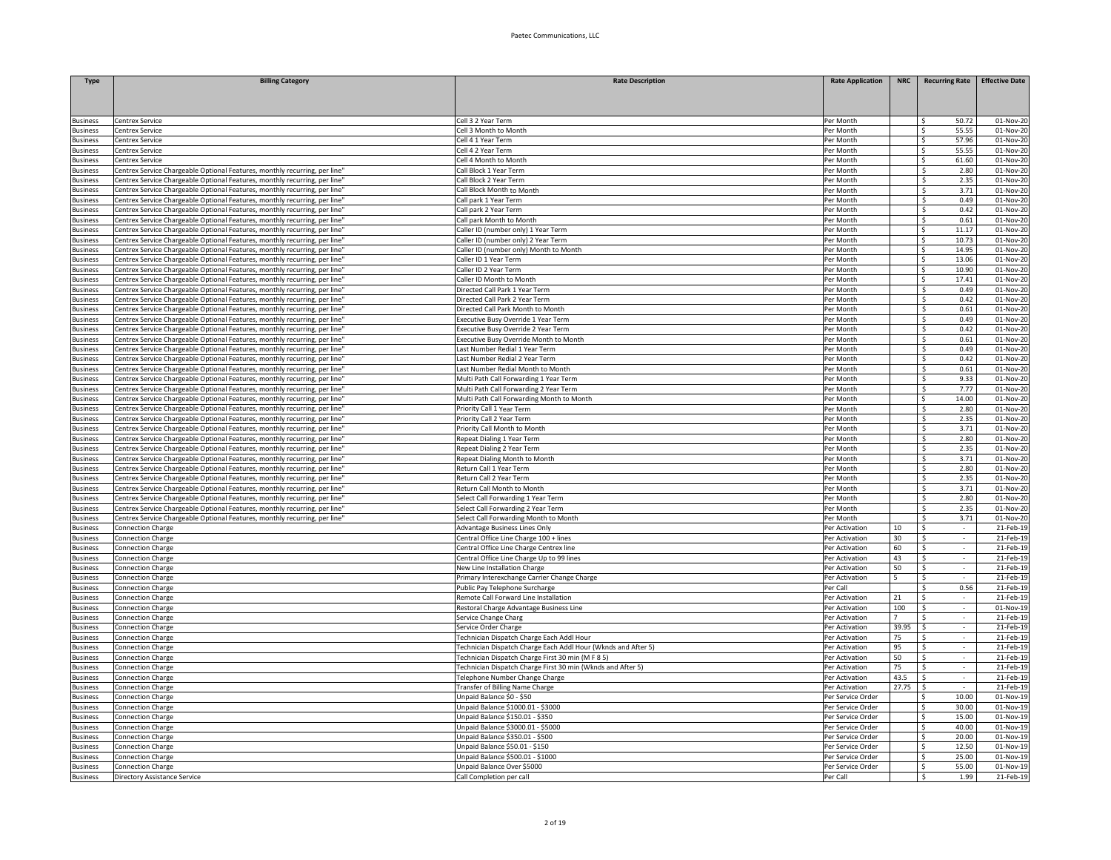| <b>Type</b>                        | <b>Billing Category</b>                                                                                                                                 | <b>Rate Description</b>                                                            | <b>Rate Application</b>                | <b>NRC</b> | <b>Recurring Rate</b>             | <b>Effective Date</b>   |
|------------------------------------|---------------------------------------------------------------------------------------------------------------------------------------------------------|------------------------------------------------------------------------------------|----------------------------------------|------------|-----------------------------------|-------------------------|
|                                    |                                                                                                                                                         |                                                                                    |                                        |            |                                   |                         |
|                                    |                                                                                                                                                         |                                                                                    |                                        |            |                                   |                         |
| <b>Business</b>                    | Centrex Service                                                                                                                                         | Cell 3 2 Year Term                                                                 | Per Month                              |            | 50.72<br>-Ś                       | 01-Nov-20               |
| <b>Business</b>                    | Centrex Service                                                                                                                                         | Cell 3 Month to Month                                                              | Per Month                              |            | <b>S</b><br>55.55                 | 01-Nov-20               |
| <b>Business</b>                    | Centrex Service                                                                                                                                         | Cell 4 1 Year Term                                                                 | Per Month                              |            | 57.96<br>$\mathsf{S}$             | 01-Nov-20               |
| <b>Business</b>                    | Centrex Service                                                                                                                                         | ell 42 Year Term                                                                   | Per Month                              |            | 55.55<br><b>S</b>                 | 01-Nov-20               |
| <b>Business</b>                    | Centrex Service                                                                                                                                         | ell 4 Month to Month                                                               | Per Month                              |            | -Ś<br>61.60                       | $\overline{01}$ -Nov-20 |
| <b>Business</b>                    | Centrex Service Chargeable Optional Features, monthly recurring, per line                                                                               | all Block 1 Year Term                                                              | Per Month                              |            | \$<br>2.80                        | 01-Nov-20               |
| <b>Business</b>                    | Centrex Service Chargeable Optional Features, monthly recurring, per line'                                                                              | Call Block 2 Year Term                                                             | Per Month                              |            | 2.35<br>\$                        | 01-Nov-20               |
| <b>Business</b>                    | Centrex Service Chargeable Optional Features, monthly recurring, per line'                                                                              | Call Block Month to Month                                                          | Per Month                              |            | 3.71<br>\$                        | 01-Nov-20               |
| <b>Business</b>                    | Centrex Service Chargeable Optional Features, monthly recurring, per line"                                                                              | Call park 1 Year Term                                                              | Per Month                              |            | 0.49<br>-S                        | 01-Nov-20               |
| <b>Business</b>                    | Centrex Service Chargeable Optional Features, monthly recurring, per line'                                                                              | Call park 2 Year Term                                                              | Per Month                              |            | \$<br>0.42                        | 01-Nov-20               |
| <b>Business</b>                    | Centrex Service Chargeable Optional Features, monthly recurring, per line'                                                                              | Call park Month to Month                                                           | Per Month                              |            | $\overline{\mathsf{S}}$<br>0.61   | 01-Nov-20               |
| <b>Business</b>                    | Centrex Service Chargeable Optional Features, monthly recurring, per line'                                                                              | Caller ID (number only) 1 Year Term                                                | Per Month                              |            | $\overline{\mathsf{S}}$<br>11.17  | 01-Nov-20               |
| <b>Business</b>                    | Centrex Service Chargeable Optional Features, monthly recurring, per line                                                                               | Caller ID (number only) 2 Year Term                                                | Per Month                              |            | -\$<br>10.73                      | 01-Nov-20               |
| <b>Business</b><br><b>Business</b> | Centrex Service Chargeable Optional Features, monthly recurring, per line                                                                               | Caller ID (number only) Month to Month<br>Caller ID 1 Year Term                    | Per Month<br>Per Month                 |            | -S<br>14.95<br>Ŝ.<br>13.06        | 01-Nov-20<br>01-Nov-20  |
|                                    | Centrex Service Chargeable Optional Features, monthly recurring, per line<br>Centrex Service Chargeable Optional Features, monthly recurring, per line' | Caller ID 2 Year Term                                                              | Per Month                              |            | 10.90                             | 01-Nov-20               |
| <b>Business</b><br><b>Business</b> | Centrex Service Chargeable Optional Features, monthly recurring, per line'                                                                              | Caller ID Month to Month                                                           | Per Month                              |            | -\$<br>17.41<br>-S                | 01-Nov-20               |
| <b>Business</b>                    | Centrex Service Chargeable Optional Features, monthly recurring, per line                                                                               | Directed Call Park 1 Year Term                                                     | Per Month                              |            | 0.49<br>-S                        | 01-Nov-20               |
| <b>Business</b>                    | Centrex Service Chargeable Optional Features, monthly recurring, per line                                                                               | Directed Call Park 2 Year Term                                                     | Per Month                              |            | \$<br>0.42                        | 01-Nov-2                |
| <b>Business</b>                    | Centrex Service Chargeable Optional Features, monthly recurring, per line                                                                               | Directed Call Park Month to Month                                                  | Per Month                              |            | \$<br>0.61                        | 01-Nov-20               |
| <b>Business</b>                    | Centrex Service Chargeable Optional Features, monthly recurring, per line                                                                               | xecutive Busy Override 1 Year Term                                                 | Per Month                              |            | <sub>S</sub><br>0.49              | 01-Nov-20               |
| <b>Business</b>                    | Centrex Service Chargeable Optional Features, monthly recurring, per line                                                                               | Executive Busy Override 2 Year Term                                                | Per Month                              |            | \$<br>0.42                        | 01-Nov-20               |
| <b>Business</b>                    | Centrex Service Chargeable Optional Features, monthly recurring, per line                                                                               | xecutive Busy Override Month to Month                                              | Per Month                              |            | -\$<br>0.61                       | 01-Nov-20               |
| <b>Business</b>                    | Centrex Service Chargeable Optional Features, monthly recurring, per line                                                                               | ast Number Redial 1 Year Term                                                      | Per Month                              |            | 0.49<br>\$                        | 01-Nov-20               |
| <b>Business</b>                    | Centrex Service Chargeable Optional Features, monthly recurring, per line                                                                               | ast Number Redial 2 Year Term                                                      | Per Month                              |            | \$<br>0.42                        | 01-Nov-20               |
| <b>Business</b>                    | Centrex Service Chargeable Optional Features, monthly recurring, per line'                                                                              | Last Number Redial Month to Month                                                  | Per Month                              |            | 0.61<br>\$                        | 01-Nov-20               |
| <b>Business</b>                    | Centrex Service Chargeable Optional Features, monthly recurring, per line'                                                                              | Multi Path Call Forwarding 1 Year Term                                             | Per Month                              |            | 9.33<br>\$.                       | 01-Nov-20               |
| <b>Business</b>                    | Centrex Service Chargeable Optional Features, monthly recurring, per line'                                                                              | Multi Path Call Forwarding 2 Year Term                                             | Per Month                              |            | 7.77<br>Š.                        | 01-Nov-20               |
| <b>Business</b>                    | Centrex Service Chargeable Optional Features, monthly recurring, per line'                                                                              | Multi Path Call Forwarding Month to Month                                          | Per Month                              |            | $\hat{\varsigma}$<br>14.00        | 01-Nov-20               |
| <b>Business</b>                    | Centrex Service Chargeable Optional Features, monthly recurring, per line'                                                                              | riority Call 1 Year Term                                                           | Per Month                              |            | \$<br>2.80                        | 01-Nov-20               |
| <b>Business</b>                    | Centrex Service Chargeable Optional Features, monthly recurring, per line'                                                                              | Priority Call 2 Year Term                                                          | Per Month                              |            | \$<br>2.35                        | 01-Nov-20               |
| <b>Business</b>                    | Centrex Service Chargeable Optional Features, monthly recurring, per line                                                                               | Priority Call Month to Month                                                       | Per Month                              |            | <sub>S</sub><br>3.71              | 01-Nov-20               |
| <b>Business</b>                    | Centrex Service Chargeable Optional Features, monthly recurring, per line'                                                                              | Repeat Dialing 1 Year Term                                                         | Per Month                              |            | 2.80<br>-\$                       | 01-Nov-20               |
| <b>Business</b>                    | Centrex Service Chargeable Optional Features, monthly recurring, per line                                                                               | Repeat Dialing 2 Year Term                                                         | Per Month                              |            | -Ś<br>2.35                        | 01-Nov-20               |
| <b>Business</b>                    | Centrex Service Chargeable Optional Features, monthly recurring, per line'                                                                              | Repeat Dialing Month to Month                                                      | Per Month                              |            | 3.71<br>\$                        | 01-Nov-20               |
| <b>Business</b>                    | Centrex Service Chargeable Optional Features, monthly recurring, per line                                                                               | Return Call 1 Year Term                                                            | Per Month                              |            | 2.80<br>\$                        | 01-Nov-20               |
| <b>Business</b><br><b>Business</b> | Centrex Service Chargeable Optional Features, monthly recurring, per line'<br>Centrex Service Chargeable Optional Features, monthly recurring, per line | Return Call 2 Year Term<br>Return Call Month to Month                              | Per Month<br>Per Month                 |            | 2.35<br>-S<br>3.71<br>Ŝ.          | 01-Nov-20<br>01-Nov-20  |
| <b>Business</b>                    | Centrex Service Chargeable Optional Features, monthly recurring, per line                                                                               | Select Call Forwarding 1 Year Term                                                 | Per Month                              |            | \$<br>2.80                        | 01-Nov-20               |
| <b>Business</b>                    | Centrex Service Chargeable Optional Features, monthly recurring, per line                                                                               | Select Call Forwarding 2 Year Term                                                 | Per Month                              |            | $\overline{\mathsf{S}}$<br>2.35   | 01-Nov-20               |
| <b>Business</b>                    | Centrex Service Chargeable Optional Features, monthly recurring, per line'                                                                              | Select Call Forwarding Month to Month                                              | Per Month                              |            | $\overline{\mathcal{S}}$<br>3.71  | 01-Nov-20               |
| <b>Business</b>                    | <b>Connection Charge</b>                                                                                                                                | Advantage Business Lines Only                                                      | Per Activation                         | 10         | \$                                | 21-Feb-19               |
| <b>Business</b>                    | <b>Connection Charge</b>                                                                                                                                | Central Office Line Charge 100 + lines                                             | Per Activation                         | 30         | -Ś                                | 21-Feb-19               |
| Business                           | Connection Charge                                                                                                                                       | Central Office Line Charge Centrex line                                            | Per Activation                         | 60         | \$<br>$\sim$                      | 21-Feb-19               |
| <b>Business</b>                    | <b>Connection Charge</b>                                                                                                                                | Central Office Line Charge Up to 99 lines                                          | Per Activation                         | 43         | \$<br>$\sim$                      | 21-Feb-19               |
| <b>Business</b>                    | <b>Connection Charge</b>                                                                                                                                | New Line Installation Charge                                                       | Per Activation                         | 50         | \$<br>$\sim$                      | 21-Feb-19               |
| <b>Business</b>                    | <b>Connection Charge</b>                                                                                                                                | Primary Interexchange Carrier Change Charge                                        | Per Activation                         | 5          | -\$<br>$\sim$                     | 21-Feb-19               |
| <b>Business</b>                    | <b>Connection Charge</b>                                                                                                                                | Public Pay Telephone Surcharge                                                     | Per Cal                                |            | 0.56<br>\$                        | 21-Feb-1                |
| <b>Business</b>                    | Connection Charge                                                                                                                                       | Remote Call Forward Line Installation                                              | Per Activation                         | 21         | S.                                | 21-Feb-1                |
| <b>Business</b>                    | <b>Connection Charge</b>                                                                                                                                | Restoral Charge Advantage Business Line                                            | Per Activation                         | 100        | $\overline{\mathsf{S}}$<br>$\sim$ | 01-Nov-19               |
| <b>Business</b>                    | <b>Connection Charge</b>                                                                                                                                | Service Change Charg                                                               | Per Activation                         |            | -Ś                                | 21-Feb-19               |
| <b>Business</b>                    | <b>Connection Charge</b>                                                                                                                                | Service Order Charge                                                               | Per Activation                         | 39.95      | <sub>S</sub>                      | 21-Feb-19               |
| <b>Business</b>                    | <b>Connection Charge</b>                                                                                                                                | Technician Dispatch Charge Each Addl Hour                                          | Per Activation                         | 75         | - Ś                               | 21-Feb-19               |
| <b>Business</b>                    | <b>Connection Charge</b>                                                                                                                                | Fechnician Dispatch Charge Each Addl Hour (Wknds and After 5)                      | Per Activation                         | 95         | -\$                               | 21-Feb-19               |
| <b>Business</b>                    | <b>Connection Charge</b>                                                                                                                                | Fechnician Dispatch Charge First 30 min (M F 8 5)                                  | Per Activation                         | 50         | -S<br>$\sim$                      | 21-Feb-19               |
| <b>Business</b>                    | <b>Connection Charge</b>                                                                                                                                | Technician Dispatch Charge First 30 min (Wknds and After 5)                        | Per Activation                         | 75         | -S<br>$\sim$                      | 21-Feb-19               |
| <b>Business</b>                    | <b>Connection Charge</b>                                                                                                                                | Telephone Number Change Charge                                                     | Per Activation                         | 43.5       | \$                                | 21-Feb-19               |
| <b>Business</b>                    | <b>Connection Charge</b>                                                                                                                                | <b>Transfer of Billing Name Charge</b>                                             | Per Activation                         | 27.75      | S.                                | 21-Feb-1                |
| <b>Business</b>                    | Connection Charge                                                                                                                                       | Jnpaid Balance \$0 - \$50                                                          | Per Service Order                      |            | 10.00<br>Ś                        | 01-Nov-19               |
| <b>Business</b>                    | <b>Connection Charge</b>                                                                                                                                | Unpaid Balance \$1000.01 - \$3000                                                  | Per Service Order                      |            | 30.00<br>-Ś                       | 01-Nov-1                |
| <b>Business</b>                    | Connection Charge                                                                                                                                       | Jnpaid Balance \$150.01 - \$350                                                    | Per Service Order                      |            | 15.00<br><sup>\$</sup>            | 01-Nov-19               |
| <b>Business</b><br><b>Business</b> | <b>Connection Charge</b><br><b>Connection Charge</b>                                                                                                    | <b>Inpaid Balance \$3000.01 - \$5000</b><br><b>Inpaid Balance \$350.01 - \$500</b> | Per Service Order<br>Per Service Order |            | 40.00<br>-Ś<br>20.00<br>\$        | 01-Nov-19<br>01-Nov-19  |
| <b>Business</b>                    | <b>Connection Charge</b>                                                                                                                                | Jnpaid Balance \$50.01 - \$150                                                     | Per Service Order                      |            | 12.50<br>\$.                      | 01-Nov-19               |
| <b>Business</b>                    | <b>Connection Charge</b>                                                                                                                                | Jnpaid Balance \$500.01 - \$1000                                                   | Per Service Order                      |            | 25.00<br>\$                       | 01-Nov-19               |
| <b>Business</b>                    | <b>Connection Charge</b>                                                                                                                                | Unpaid Balance Over \$5000                                                         | Per Service Order                      |            | 55.00<br>-S                       | 01-Nov-19               |
| <b>Business</b>                    | <b>Directory Assistance Service</b>                                                                                                                     | Call Completion per call                                                           | Per Call                               |            | \$<br>1.99                        | 21-Feb-19               |
|                                    |                                                                                                                                                         |                                                                                    |                                        |            |                                   |                         |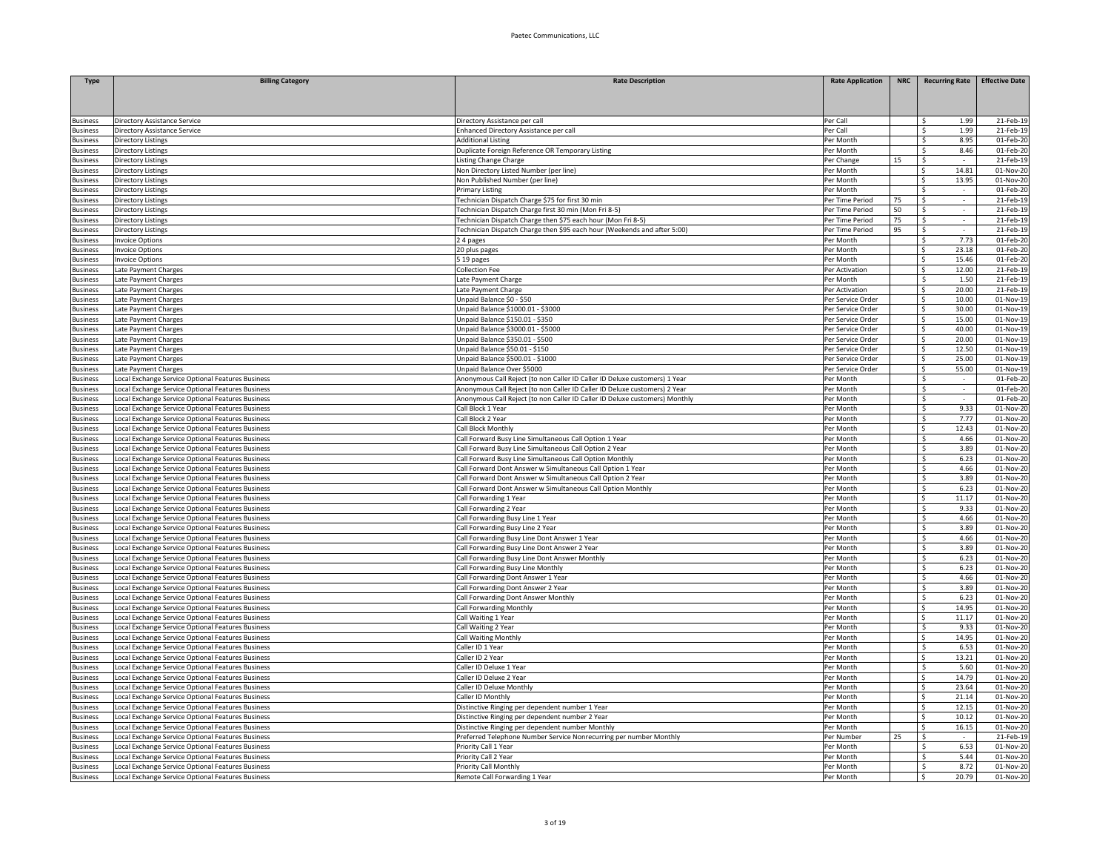| <b>Type</b>                        | <b>Billing Category</b>                                                                                | <b>Rate Description</b>                                                     | <b>Rate Application</b> | NRC |                         | <b>Recurring Rate</b>    | <b>Effective Date</b>   |
|------------------------------------|--------------------------------------------------------------------------------------------------------|-----------------------------------------------------------------------------|-------------------------|-----|-------------------------|--------------------------|-------------------------|
|                                    |                                                                                                        |                                                                             |                         |     |                         |                          |                         |
|                                    |                                                                                                        |                                                                             |                         |     |                         |                          |                         |
|                                    |                                                                                                        |                                                                             |                         |     |                         |                          |                         |
| <b>Business</b>                    | Directory Assistance Service                                                                           | Directory Assistance per call                                               | Per Call<br>Per Call    |     | -S                      | 1.99<br>1.99             | 21-Feb-19               |
| <b>Business</b><br><b>Business</b> | Directory Assistance Service<br>Directory Listings                                                     | Enhanced Directory Assistance per call<br><b>Additional Listing</b>         | Per Month               |     | -S<br>\$                | 8.95                     | 21-Feb-19<br>01-Feb-20  |
| usiness                            | Directory Listings                                                                                     | Duplicate Foreign Reference OR Temporary Listing                            | Per Month               |     | Ŝ.                      | 8.46                     | 01-Feb-2                |
| usiness                            | Directory Listings                                                                                     | <b>Listing Change Charge</b>                                                | Per Change              | 15  | \$                      |                          | 21-Feb-19               |
| usiness                            | Directory Listings                                                                                     | Non Directory Listed Number (per line)                                      | Per Month               |     | \$                      | 14.81                    | 01-Nov-2                |
| usiness                            | Directory Listings                                                                                     | Non Published Number (per line)                                             | Per Month               |     | $\overline{\mathsf{s}}$ | 13.95                    | 01-Nov-20               |
| usiness                            | Directory Listings                                                                                     | Primary Listing                                                             | Per Month               |     | $\hat{\zeta}$           |                          | 01-Feb-20               |
| usiness                            | Directory Listings                                                                                     | Fechnician Dispatch Charge \$75 for first 30 min                            | Per Time Period         | 75  | \$                      |                          | 21-Feb-19               |
| usiness                            | Directory Listings                                                                                     | Fechnician Dispatch Charge first 30 min (Mon Fri 8-5)                       | Per Time Period         | 50  | \$                      | $\omega$                 | 21-Feb-19               |
| susiness                           | Directory Listings                                                                                     | Technician Dispatch Charge then \$75 each hour (Mon Fri 8-5)                | Per Time Period         | 75  | \$                      | $\sim$                   | 21-Feb-19               |
| <b>Business</b>                    | Directory Listings                                                                                     | Technician Dispatch Charge then \$95 each hour (Weekends and after 5:00)    | Per Time Period         | 95  | \$                      | $\sim$                   | 21-Feb-19               |
| Business                           | Invoice Options                                                                                        | 24 pages                                                                    | Per Month               |     | -S                      | 7.73                     | 01-Feb-20               |
| usiness                            | <b>Invoice Options</b>                                                                                 | 20 plus pages                                                               | Per Month               |     | -Ś.                     | 23.18                    | 01-Feb-20               |
| usiness                            | <b>Invoice Options</b>                                                                                 | 5 19 pages                                                                  | Per Month               |     | S.                      | 15.46                    | 01-Feb-20               |
| <b>Business</b>                    | Late Payment Charges                                                                                   | Collection Fee                                                              | Per Activation          |     | $\overline{\mathsf{s}}$ | 12.00                    | 21-Feb-19               |
| <b>Business</b>                    | Late Payment Charges                                                                                   | Late Payment Charge                                                         | Per Month               |     | S.                      | 1.50                     | 21-Feb-19               |
| <b>Business</b>                    | Late Payment Charges                                                                                   | ate Payment Charge                                                          | Per Activation          |     | -Ś.                     | 20.00                    | 21-Feb-19               |
| <b>Business</b>                    | Late Payment Charges                                                                                   | Jnpaid Balance \$0 - \$50                                                   | Per Service Order       |     | \$                      | 10.00                    | 01-Nov-19               |
| <b>Business</b>                    | Late Payment Charges                                                                                   | Unpaid Balance \$1000.01 - \$3000                                           | Per Service Order       |     | \$                      | 30.00                    | $\overline{01}$ -Nov-19 |
| usiness                            | Late Payment Charges                                                                                   | Unpaid Balance \$150.01 - \$350                                             | Per Service Order       |     | -Ś.                     | 15.00                    | 01-Nov-19               |
| dusiness                           | Late Payment Charges                                                                                   | Unpaid Balance \$3000.01 - \$5000                                           | Per Service Order       |     | -S                      | 40.00                    | 01-Nov-19               |
| usiness                            | Late Payment Charges                                                                                   | Unpaid Balance \$350.01 - \$500                                             | Per Service Order       |     | \$                      | 20.00                    | 01-Nov-1                |
| usiness                            | Late Payment Charges                                                                                   | Unpaid Balance \$50.01 - \$150                                              | Per Service Order       |     | Ŝ.                      | 12.50                    | 01-Nov-1                |
| <b>Business</b>                    | Late Payment Charges                                                                                   | Unpaid Balance \$500.01 - \$1000                                            | Per Service Order       |     | $\overline{\mathsf{s}}$ | 25.00                    | $\overline{01}$ -Nov-19 |
| usiness                            | Late Payment Charges                                                                                   | Unpaid Balance Over \$5000                                                  | Per Service Order       |     | $\leq$                  | 55.00                    | 01-Nov-19               |
| usiness                            | ocal Exchange Service Optional Features Business                                                       | Anonymous Call Reject (to non Caller ID Caller ID Deluxe customers) 1 Year  | Per Month               |     | Ŝ.                      |                          | 01-Feb-20               |
| usiness                            | Local Exchange Service Optional Features Business                                                      | Anonymous Call Reject (to non Caller ID Caller ID Deluxe customers) 2 Year  | Per Month               |     | -\$                     | $\overline{\phantom{a}}$ | 01-Feb-20               |
| usiness                            | Local Exchange Service Optional Features Business                                                      | Anonymous Call Reject (to non Caller ID Caller ID Deluxe customers) Monthly | Per Month               |     | \$                      | $\sim$                   | 01-Feb-20               |
| usiness                            | Local Exchange Service Optional Features Business                                                      | Call Block 1 Year                                                           | Per Month               |     | S.                      | 9.33                     | 01-Nov-20               |
| <b>Business</b>                    | Local Exchange Service Optional Features Business                                                      | Call Block 2 Year                                                           | Per Month               |     | -S                      | 7.77                     | 01-Nov-20               |
| usiness                            | Local Exchange Service Optional Features Business                                                      | Call Block Monthly                                                          | Per Month               |     | S.                      | 12.43                    | 01-Nov-20               |
| usiness                            | Local Exchange Service Optional Features Business                                                      | Call Forward Busy Line Simultaneous Call Option 1 Year                      | Per Month               |     | S.                      | 4.66                     | 01-Nov-20               |
| <b>Business</b>                    | Local Exchange Service Optional Features Business                                                      | Call Forward Busy Line Simultaneous Call Option 2 Year                      | Per Month               |     | S.                      | 3.89                     | 01-Nov-20               |
| <b>Business</b>                    | ocal Exchange Service Optional Features Business                                                       | Call Forward Busy Line Simultaneous Call Option Monthly                     | Per Month               |     | -Ś                      | 6.23                     | 01-Nov-20               |
| <b>Business</b>                    | ocal Exchange Service Optional Features Business                                                       | Call Forward Dont Answer w Simultaneous Call Option 1 Year                  | Per Month               |     | Ŝ.                      | 4.66                     | 01-Nov-20               |
| <b>Business</b>                    | Local Exchange Service Optional Features Business                                                      | Call Forward Dont Answer w Simultaneous Call Option 2 Year                  | Per Month               |     | -\$                     | 3.89                     | 01-Nov-20               |
| <b>Business</b>                    | Local Exchange Service Optional Features Business                                                      | Call Forward Dont Answer w Simultaneous Call Option Monthly                 | Per Month               |     | -\$                     | 6.23                     | $01-Nov-20$             |
| dusiness                           | Local Exchange Service Optional Features Business                                                      | Call Forwarding 1 Year                                                      | Per Month               |     | -S                      | 11.17                    | 01-Nov-20               |
| dusiness                           | Local Exchange Service Optional Features Business                                                      | Call Forwarding 2 Year                                                      | Per Month               |     | -S                      | 9.33                     | 01-Nov-20               |
| usiness                            | Local Exchange Service Optional Features Business                                                      | Call Forwarding Busy Line 1 Year                                            | Per Month               |     | S.                      | 4.66                     | 01-Nov-2                |
| usiness                            | Local Exchange Service Optional Features Business                                                      | Call Forwarding Busy Line 2 Year                                            | Per Month               |     | S.                      | 3.89                     | $01-Nov-20$             |
| dusiness                           | Local Exchange Service Optional Features Business                                                      | Call Forwarding Busy Line Dont Answer 1 Year                                | Per Month               |     | S.                      | 4.66                     | 01-Nov-20               |
| usiness                            | ocal Exchange Service Optional Features Business                                                       | Call Forwarding Busy Line Dont Answer 2 Year                                | Per Month               |     | -Ś                      | 3.89                     | 01-Nov-20               |
| usiness                            | ocal Exchange Service Optional Features Business                                                       | all Forwarding Busy Line Dont Answer Monthly                                | Per Month               |     | Ŝ.                      | 6.23                     | 01-Nov-20               |
| usiness                            | ocal Exchange Service Optional Features Business                                                       | Call Forwarding Busy Line Monthly                                           | Per Month<br>Per Month  |     | Ŝ.                      | 6.23<br>4.66             | 01-Nov-20               |
| usiness                            | Local Exchange Service Optional Features Business                                                      | Call Forwarding Dont Answer 1 Year                                          |                         |     | \$                      | 3.89                     | 01-Nov-20<br>01-Nov-20  |
| dusiness                           | Local Exchange Service Optional Features Business<br>Local Exchange Service Optional Features Business | Call Forwarding Dont Answer 2 Year<br>Call Forwarding Dont Answer Monthly   | Per Month<br>Per Month  |     | \$<br>-S                | 6.23                     | 01-Nov-20               |
| dusiness<br>usiness                | Local Exchange Service Optional Features Business                                                      | Call Forwarding Monthly                                                     | Per Month               |     | S.                      | 14.95                    | 01-Nov-20               |
| usiness                            | Local Exchange Service Optional Features Business                                                      | Call Waiting 1 Year                                                         | Per Month               |     | S.                      | 11.17                    | 01-Nov-20               |
| <b>Business</b>                    | Local Exchange Service Optional Features Business                                                      | Call Waiting 2 Year                                                         | Per Month               |     | Ŝ.                      | 9.33                     | 01-Nov-20               |
| <b>Business</b>                    | ocal Exchange Service Optional Features Business                                                       | Call Waiting Monthly                                                        | Per Month               |     | Ŝ.                      | 14.95                    | 01-Nov-20               |
| <b>Business</b>                    | ocal Exchange Service Optional Features Business                                                       | Caller ID 1 Year                                                            | Per Month               |     | -Ś                      | 6.53                     | 01-Nov-20               |
| <b>Business</b>                    | ocal Exchange Service Optional Features Business                                                       | Caller ID 2 Year                                                            | Per Month               |     | S.                      | 13.21                    | 01-Nov-20               |
| Business                           | Local Exchange Service Optional Features Business                                                      | Caller ID Deluxe 1 Year                                                     | Per Month               |     | -\$                     | 5.60                     | 01-Nov-20               |
| <b>Business</b>                    | Local Exchange Service Optional Features Business                                                      | Caller ID Deluxe 2 Year                                                     | Per Month               |     | -S                      | 14.79                    | 01-Nov-20               |
| usiness                            | Local Exchange Service Optional Features Business                                                      | Caller ID Deluxe Monthly                                                    | Per Month               |     | -S                      | 23.64                    | 01-Nov-20               |
| usiness                            | Local Exchange Service Optional Features Business                                                      | Caller ID Monthly                                                           | Per Month               |     | S.                      | 21.14                    | 01-Nov-2                |
| usiness                            | Local Exchange Service Optional Features Business                                                      | Distinctive Ringing per dependent number 1 Year                             | Per Month               |     | $\overline{\mathsf{s}}$ | 12.15                    | 01-Nov-20               |
| dusiness                           | Local Exchange Service Optional Features Business                                                      | Distinctive Ringing per dependent number 2 Year                             | Per Month               |     | -Ś.                     | 10.12                    | 01-Nov-20               |
| usiness                            | ocal Exchange Service Optional Features Business                                                       | Distinctive Ringing per dependent number Monthly                            | Per Month               |     | $\ddot{\phantom{1}}$    | 16.15                    | 01-Nov-20               |
| usiness                            | ocal Exchange Service Optional Features Business                                                       | Preferred Telephone Number Service Nonrecurring per number Monthly          | Per Number              | 25  | - Ś                     |                          | 21-Feb-19               |
| <b>Business</b>                    | ocal Exchange Service Optional Features Business                                                       | Priority Call 1 Year                                                        | Per Month               |     | -S                      | 6.53                     | 01-Nov-20               |
| dusiness                           | Local Exchange Service Optional Features Business                                                      | Priority Call 2 Year                                                        | Per Month               |     | S.                      | 5.44                     | 01-Nov-20               |
| <b>Business</b>                    | Local Exchange Service Optional Features Business                                                      | Priority Call Monthly                                                       | Per Month               |     | -\$                     | 8.72                     | 01-Nov-20               |
| <b>Business</b>                    | Local Exchange Service Optional Features Business                                                      | Remote Call Forwarding 1 Year                                               | Per Month               |     | -S                      | 20.79                    | 01-Nov-20               |
|                                    |                                                                                                        |                                                                             |                         |     |                         |                          |                         |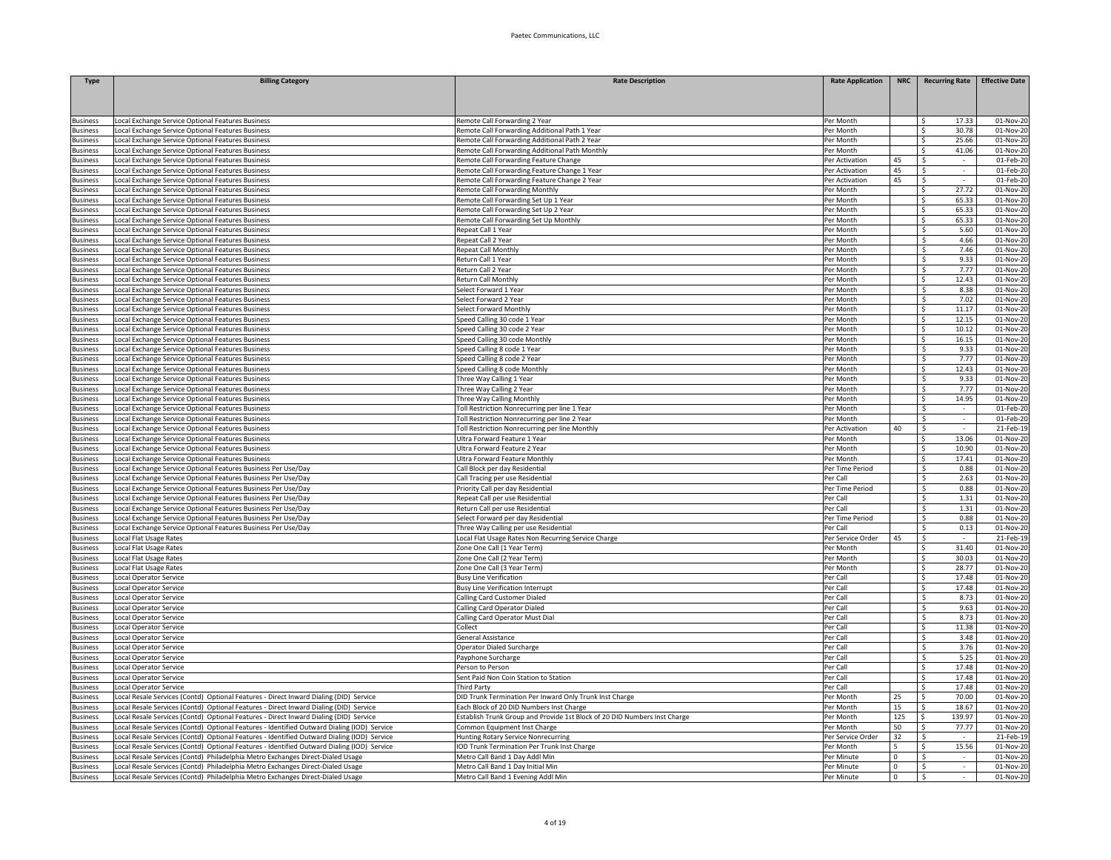| <b>Type</b>                        | <b>Billing Category</b>                                                                                | <b>Rate Description</b>                                                                         | <b>Rate Application</b>        | <b>NRC</b>                 | <b>Recurring Rate</b>            | <b>Effective Date</b>  |
|------------------------------------|--------------------------------------------------------------------------------------------------------|-------------------------------------------------------------------------------------------------|--------------------------------|----------------------------|----------------------------------|------------------------|
|                                    |                                                                                                        |                                                                                                 |                                |                            |                                  |                        |
|                                    |                                                                                                        |                                                                                                 |                                |                            |                                  |                        |
| <b>Business</b>                    | Local Exchange Service Optional Features Business                                                      | Remote Call Forwarding 2 Year                                                                   | Per Month                      |                            | 17.33<br>Ŝ                       | 01-Nov-20              |
| usiness                            | Local Exchange Service Optional Features Business                                                      | Remote Call Forwarding Additional Path 1 Year                                                   | Per Month                      |                            | Š.<br>30.78                      | 01-Nov-20              |
| usiness                            | Local Exchange Service Optional Features Business                                                      | Remote Call Forwarding Additional Path 2 Year                                                   | Per Month                      |                            | S.<br>25.66                      | 01-Nov-20              |
| usiness                            | Local Exchange Service Optional Features Business                                                      | Remote Call Forwarding Additional Path Monthly                                                  | Per Month                      |                            | S.<br>41.06                      | 01-Nov-20              |
| dusiness                           | Local Exchange Service Optional Features Business                                                      | Remote Call Forwarding Feature Change                                                           | Per Activation                 | 45                         | S.                               | 01-Feb-20              |
| usiness                            | Local Exchange Service Optional Features Business                                                      | Remote Call Forwarding Feature Change 1 Year                                                    | Per Activation                 | 45<br>45                   | -\$<br>Ŝ.                        | 01-Feb-20<br>01-Feb-20 |
| usiness<br>usiness                 | ocal Exchange Service Optional Features Business<br>Local Exchange Service Optional Features Business  | Remote Call Forwarding Feature Change 2 Year<br>Remote Call Forwarding Monthly                  | Per Activation<br>Per Month    |                            | 27.72<br>Ŝ                       | 01-Nov-20              |
| <b>Business</b>                    | Local Exchange Service Optional Features Business                                                      | Remote Call Forwarding Set Up 1 Year                                                            | Per Month                      |                            | 65.33<br>Ŝ                       | 01-Nov-20              |
| usiness                            | Local Exchange Service Optional Features Business                                                      | Remote Call Forwarding Set Up 2 Year                                                            | Per Month                      |                            | S.<br>65.33                      | 01-Nov-20              |
| usiness                            | Local Exchange Service Optional Features Business                                                      | Remote Call Forwarding Set Up Monthly                                                           | Per Month                      |                            | 65.33<br>Š.                      | 01-Nov-20              |
| usiness                            | Local Exchange Service Optional Features Business                                                      | Repeat Call 1 Year                                                                              | Per Month                      |                            | Ŝ.<br>5.60                       | 01-Nov-20              |
| usiness                            | Local Exchange Service Optional Features Business                                                      | Repeat Call 2 Year                                                                              | Per Month                      |                            | \$<br>4.66                       | 01-Nov-20              |
| <b>Business</b>                    | Local Exchange Service Optional Features Business                                                      | <b>Repeat Call Monthly</b>                                                                      | Per Month                      |                            | S.<br>7.46                       | 01-Nov-20              |
| <b>Business</b>                    | Local Exchange Service Optional Features Business                                                      | Return Call 1 Year                                                                              | Per Month                      |                            | 9.33<br>Ŝ.                       | 01-Nov-20              |
| usiness                            | ocal Exchange Service Optional Features Business                                                       | Return Call 2 Year                                                                              | Per Month                      |                            | 7.77<br><b>S</b>                 | 01-Nov-20              |
| <b>Business</b>                    | Local Exchange Service Optional Features Business                                                      | Return Call Monthly                                                                             | Per Month                      |                            | 12.43<br>Š.                      | 01-Nov-20              |
| <b>Business</b>                    | Local Exchange Service Optional Features Business                                                      | Select Forward 1 Year                                                                           | Per Month                      |                            | 8.38<br>\$<br>\$                 | 01-Nov-20              |
| <b>Business</b><br>usiness         | Local Exchange Service Optional Features Business<br>Local Exchange Service Optional Features Business | Select Forward 2 Year<br>Select Forward Monthly                                                 | Per Month<br>Per Month         |                            | 7.02<br>11.17<br>Ŝ               | 01-Nov-20<br>01-Nov-20 |
| usiness                            | Local Exchange Service Optional Features Business                                                      | Speed Calling 30 code 1 Year                                                                    | Per Month                      |                            | Ś<br>12.15                       | 01-Nov-20              |
| usiness                            | Local Exchange Service Optional Features Business                                                      | Speed Calling 30 code 2 Year                                                                    | Per Month                      |                            | S.<br>10.12                      | 01-Nov-20              |
| susiness                           | Local Exchange Service Optional Features Business                                                      | Speed Calling 30 code Monthly                                                                   | Per Month                      |                            | $\overline{\mathsf{S}}$<br>16.15 | 01-Nov-20              |
| <b>Business</b>                    | Local Exchange Service Optional Features Business                                                      | Speed Calling 8 code 1 Year                                                                     | Per Month                      |                            | \$<br>9.33                       | 01-Nov-20              |
| usiness                            | ocal Exchange Service Optional Features Business                                                       | Speed Calling 8 code 2 Year                                                                     | Per Month                      |                            | \$<br>7.77                       | 01-Nov-20              |
| <b>Business</b>                    | Local Exchange Service Optional Features Business                                                      | Speed Calling 8 code Monthly                                                                    | Per Month                      |                            | 12.43<br>Ŝ                       | 01-Nov-20              |
| dusiness                           | Local Exchange Service Optional Features Business                                                      | Three Way Calling 1 Year                                                                        | Per Month                      |                            | 9.33<br>\$                       | 01-Nov-20              |
| Business                           | Local Exchange Service Optional Features Business                                                      | Three Way Calling 2 Year                                                                        | Per Month                      |                            | 7.77<br>-\$                      | 01-Nov-20              |
| usiness                            | Local Exchange Service Optional Features Business                                                      | Three Way Calling Monthly                                                                       | Per Month                      |                            | Ś.<br>14.95                      | 01-Nov-20              |
| usiness                            | Local Exchange Service Optional Features Business                                                      | Toll Restriction Nonrecurring per line 1 Year                                                   | Per Month                      |                            | s.<br>$\sim$                     | 01-Feb-20              |
| usiness<br>usiness                 | Local Exchange Service Optional Features Business<br>Local Exchange Service Optional Features Business | Toll Restriction Nonrecurring per line 2 Year<br>Toll Restriction Nonrecurring per line Monthly | Per Month<br>Per Activation    | 40                         | \$<br>$\overline{\mathsf{S}}$    | 01-Feb-20<br>21-Feb-19 |
| <b>Business</b>                    | Local Exchange Service Optional Features Business                                                      | Ultra Forward Feature 1 Year                                                                    | Per Month                      |                            | 13.06<br>S.                      | 01-Nov-20              |
| dusiness                           | ocal Exchange Service Optional Features Business                                                       | Ultra Forward Feature 2 Year                                                                    | Per Month                      |                            | Ŝ<br>10.90                       | 01-Nov-20              |
| <b>Business</b>                    | Local Exchange Service Optional Features Business                                                      | Ultra Forward Feature Monthly                                                                   | Per Month                      |                            | 17.41<br>Ŝ                       | 01-Nov-20              |
| Business                           | Local Exchange Service Optional Features Business Per Use/Day                                          | Call Block per day Residential                                                                  | Per Time Period                |                            | 0.88<br>\$                       | 01-Nov-20              |
| <b>Business</b>                    | Local Exchange Service Optional Features Business Per Use/Day                                          | Call Tracing per use Residential                                                                | Per Call                       |                            | 2.63<br>\$                       | 01-Nov-20              |
| dusiness                           | Local Exchange Service Optional Features Business Per Use/Day                                          | Priority Call per day Residential                                                               | Per Time Period                |                            | 0.88<br>-\$                      | 01-Nov-20              |
| <b>Business</b>                    | Local Exchange Service Optional Features Business Per Use/Day                                          | Repeat Call per use Residential                                                                 | Per Call                       |                            | 1.31<br>s.                       | 01-Nov-20              |
| usiness                            | Local Exchange Service Optional Features Business Per Use/Day                                          | Return Call per use Residential                                                                 | Per Call                       |                            | \$<br>1.31                       | 01-Nov-20              |
| usiness                            | Local Exchange Service Optional Features Business Per Use/Day                                          | Select Forward per day Residential                                                              | Per Time Period                |                            | \$<br>0.88                       | 01-Nov-20              |
| dusiness                           | Local Exchange Service Optional Features Business Per Use/Day                                          | Three Way Calling per use Residential                                                           | Per Cal                        |                            | \$<br>0.13                       | 01-Nov-20              |
| dusiness<br>usiness                | Local Flat Usage Rates<br>ocal Flat Usage Rates                                                        | Local Flat Usage Rates Non Recurring Service Charge<br>Zone One Call (1 Year Term)              | Per Service Order<br>Per Month | 45                         | -\$<br>31.40<br>Ś                | 21-Feb-19<br>01-Nov-20 |
| <b>Susiness</b>                    | Local Flat Usage Rates                                                                                 | Zone One Call (2 Year Term)                                                                     | Per Month                      |                            | 30.03<br>\$                      | 01-Nov-20              |
| usiness                            | Local Flat Usage Rates                                                                                 | Zone One Call (3 Year Term)                                                                     | Per Month                      |                            | 28.77<br>Ŝ                       | $01-Nov-20$            |
| <b>Business</b>                    | Local Operator Service                                                                                 | <b>Busy Line Verification</b>                                                                   | Per Call                       |                            | 17.48<br>\$.                     | 01-Nov-20              |
| dusiness                           | Local Operator Service                                                                                 | <b>Busy Line Verification Interrupt</b>                                                         | Per Call                       |                            | \$.<br>17.48                     | 01-Nov-20              |
| usiness                            | Local Operator Service                                                                                 | Calling Card Customer Dialed                                                                    | Per Cal                        |                            | \$<br>8.73                       | 01-Nov-20              |
| usiness                            | Local Operator Service                                                                                 | Calling Card Operator Dialed                                                                    | Per Call                       |                            | \$<br>9.63                       | 01-Nov-20              |
| <b>Business</b>                    | Local Operator Service                                                                                 | Calling Card Operator Must Dial                                                                 | Per Call                       |                            | $\overline{\mathsf{s}}$<br>8.73  | 01-Nov-20              |
| <b>Business</b>                    | Local Operator Service                                                                                 | Collect                                                                                         | Per Call                       |                            | S.<br>11.38                      | 01-Nov-20              |
| usiness                            | Local Operator Service                                                                                 | General Assistance                                                                              | Per Call                       |                            | Ŝ.<br>3.48                       | 01-Nov-20              |
| <b>Business</b><br><b>Business</b> | Local Operator Service<br>Local Operator Service                                                       | <b>Operator Dialed Surcharge</b><br>Payphone Surcharge                                          | Per Call<br>Per Call           |                            | Ś<br>3.76<br>5.25<br>Ŝ.          | 01-Nov-20<br>01-Nov-20 |
| <b>Business</b>                    | Local Operator Service                                                                                 | Person to Person                                                                                | Per Call                       |                            | 17.48<br>Ŝ                       | 01-Nov-20              |
| <b>Business</b>                    | Local Operator Service                                                                                 | Sent Paid Non Coin Station to Station                                                           | Per Call                       |                            | 17.48<br>\$                      | 01-Nov-20              |
| usiness                            | Local Operator Service                                                                                 | <b>Third Party</b>                                                                              | Per Call                       |                            | 17.48<br>Š.                      | 01-Nov-20              |
| usiness                            | Local Resale Services (Contd) Optional Features - Direct Inward Dialing (DID) Service                  | DID Trunk Termination Per Inward Only Trunk Inst Charge                                         | Per Month                      | 25                         | S.<br>70.00                      | 01-Nov-20              |
| usiness                            | Local Resale Services (Contd) Optional Features - Direct Inward Dialing (DID) Service                  | Each Block of 20 DID Numbers Inst Charge                                                        | Per Month                      | 15                         | $\overline{\mathsf{S}}$<br>18.67 | 01-Nov-20              |
| <b>Business</b>                    | Local Resale Services (Contd) Optional Features - Direct Inward Dialing (DID) Service                  | Establish Trunk Group and Provide 1st Block of 20 DID Numbers Inst Charge                       | Per Month                      | 125                        | \$<br>139.97                     | 01-Nov-20              |
| usiness                            | ocal Resale Services (Contd) Optional Features - Identified Outward Dialing (IOD) Service              | Common Equipment Inst Charge                                                                    | Per Month                      | 50                         | 77.77<br>Š.                      | 01-Nov-20              |
| usiness                            | ocal Resale Services (Contd) Optional Features - Identified Outward Dialing (IOD) Service              | Hunting Rotary Service Nonrecurring                                                             | Per Service Order              | 32                         | $\mathsf{s}$                     | 21-Feb-19              |
| <b>Business</b>                    | Local Resale Services (Contd) Optional Features - Identified Outward Dialing (IOD) Service             | IOD Trunk Termination Per Trunk Inst Charge                                                     | Per Month                      | 5                          | 15.56<br>\$                      | 01-Nov-20              |
| <b>Business</b>                    | Local Resale Services (Contd) Philadelphia Metro Exchanges Direct-Dialed Usage                         | Metro Call Band 1 Day Addl Min                                                                  | Per Minute                     | $\Omega$                   | \$<br>$\sim$                     | 01-Nov-20              |
| <b>Business</b>                    | Local Resale Services (Contd) Philadelphia Metro Exchanges Direct-Dialed Usage                         | Metro Call Band 1 Day Initial Min                                                               | Per Minute                     | $\mathbf 0$<br>$\mathbf 0$ | \$<br>$\sim$<br>S.<br>$\sim$     | 01-Nov-20              |
| <b>Business</b>                    | Local Resale Services (Contd) Philadelphia Metro Exchanges Direct-Dialed Usage                         | Metro Call Band 1 Evening Addl Min                                                              | Per Minute                     |                            |                                  | 01-Nov-20              |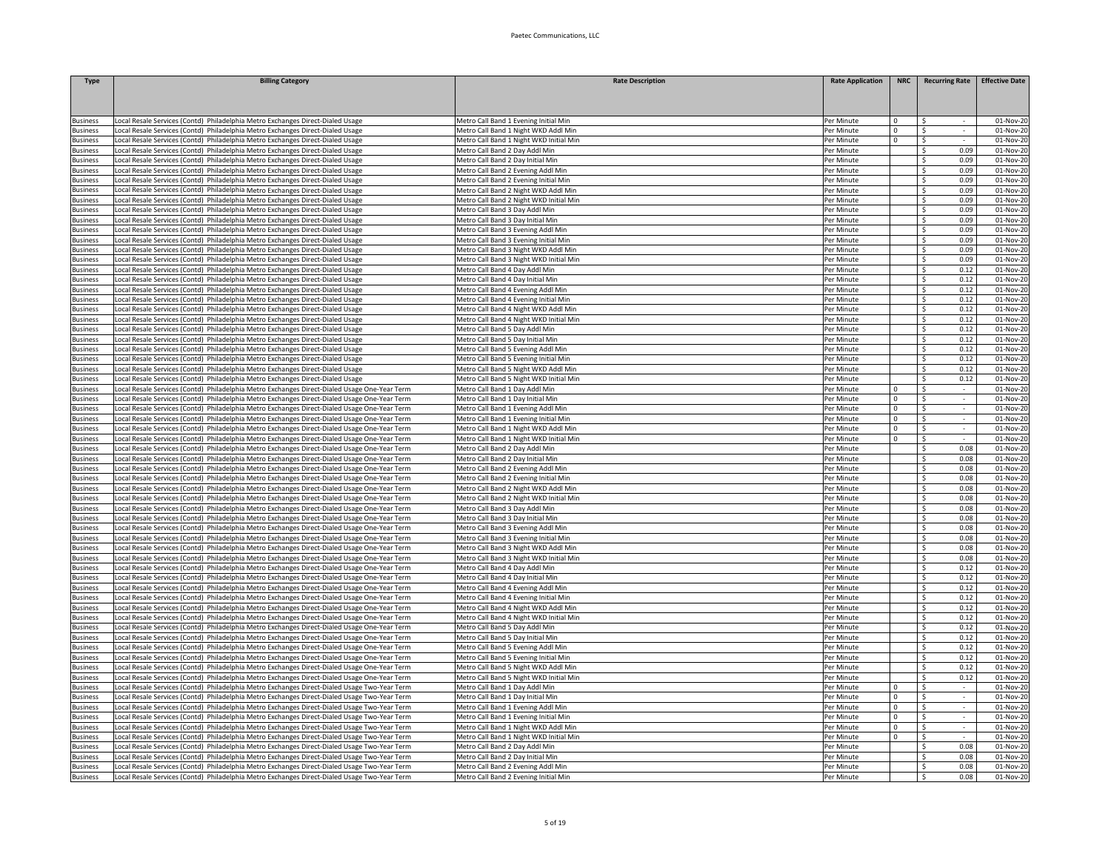| <b>Type</b>                | <b>Billing Category</b>                                                                                                                                         | <b>Rate Description</b>                                                       | <b>Rate Application</b>  | <b>NRC</b>                   | <b>Recurring Rate</b>           | <b>Effective Date</b>  |
|----------------------------|-----------------------------------------------------------------------------------------------------------------------------------------------------------------|-------------------------------------------------------------------------------|--------------------------|------------------------------|---------------------------------|------------------------|
|                            |                                                                                                                                                                 |                                                                               |                          |                              |                                 |                        |
|                            |                                                                                                                                                                 |                                                                               |                          |                              |                                 |                        |
|                            |                                                                                                                                                                 |                                                                               |                          |                              |                                 |                        |
| usiness<br><b>Business</b> | ocal Resale Services (Contd) Philadelphia Metro Exchanges Direct-Dialed Usage<br>Local Resale Services (Contd) Philadelphia Metro Exchanges Direct-Dialed Usage | Metro Call Band 1 Evening Initial Min<br>Metro Call Band 1 Night WKD Addl Min | Per Minute<br>Per Minute | $\mathbf{0}$<br>$\mathbf{0}$ | $\mathsf{s}$<br>\$              | 01-Nov-20<br>01-Nov-20 |
| usiness                    | ocal Resale Services (Contd) Philadelphia Metro Exchanges Direct-Dialed Usage                                                                                   | Metro Call Band 1 Night WKD Initial Min                                       | Per Minute               | $\circ$                      | $\mathsf{S}$                    | 01-Nov-20              |
| dusiness                   | Local Resale Services (Contd) Philadelphia Metro Exchanges Direct-Dialed Usage                                                                                  | Metro Call Band 2 Day Addl Min                                                | Per Minute               |                              | 0.09<br><sup>\$</sup>           | 01-Nov-20              |
| usiness                    | ocal Resale Services (Contd) Philadelphia Metro Exchanges Direct-Dialed Usage                                                                                   | Metro Call Band 2 Day Initial Min                                             | Per Minute               |                              | Ŝ.<br>0.09                      | 01-Nov-20              |
| <b>Business</b>            | Local Resale Services (Contd) Philadelphia Metro Exchanges Direct-Dialed Usage                                                                                  | Metro Call Band 2 Evening Addl Min                                            | Per Minute               |                              | 0.09<br>\$                      | 01-Nov-20              |
| <b>Business</b>            | Local Resale Services (Contd) Philadelphia Metro Exchanges Direct-Dialed Usage                                                                                  | Metro Call Band 2 Evening Initial Min                                         | Per Minute               |                              | 0.09<br>\$                      | 01-Nov-20              |
| <b>Business</b>            | Local Resale Services (Contd) Philadelphia Metro Exchanges Direct-Dialed Usage                                                                                  | Metro Call Band 2 Night WKD Addl Min                                          | Per Minute               |                              | 0.09<br>S.                      | 01-Nov-20              |
| usiness                    | Local Resale Services (Contd) Philadelphia Metro Exchanges Direct-Dialed Usage                                                                                  | Metro Call Band 2 Night WKD Initial Min                                       | Per Minute               |                              | \$<br>0.09                      | 01-Nov-20              |
| dusiness                   | Local Resale Services (Contd) Philadelphia Metro Exchanges Direct-Dialed Usage                                                                                  | Metro Call Band 3 Day Addl Min                                                | Per Minute               |                              | \$<br>0.09                      | 01-Nov-20              |
| <b>Business</b>            | Local Resale Services (Contd) Philadelphia Metro Exchanges Direct-Dialed Usage                                                                                  | Metro Call Band 3 Day Initial Min                                             | Per Minute               |                              | \$<br>0.09                      | 01-Nov-20              |
| <b>Business</b>            | Local Resale Services (Contd) Philadelphia Metro Exchanges Direct-Dialed Usage                                                                                  | Metro Call Band 3 Evening Addl Min                                            | Per Minute               |                              | \$<br>0.09                      | 01-Nov-20              |
| <b>Business</b>            | ocal Resale Services (Contd) Philadelphia Metro Exchanges Direct-Dialed Usage                                                                                   | Metro Call Band 3 Evening Initial Min                                         | Per Minute               |                              | 0.09<br>-S                      | 01-Nov-20              |
| <b>Business</b>            | ocal Resale Services (Contd) Philadelphia Metro Exchanges Direct-Dialed Usage                                                                                   | Metro Call Band 3 Night WKD Addl Min                                          | Per Minute               |                              | Ŝ.<br>0.09                      | 01-Nov-20              |
| Business                   | Local Resale Services (Contd) Philadelphia Metro Exchanges Direct-Dialed Usage                                                                                  | Metro Call Band 3 Night WKD Initial Min                                       | Per Minute               |                              | 0.09<br>\$                      | 01-Nov-20              |
| <b>Business</b>            | Local Resale Services (Contd) Philadelphia Metro Exchanges Direct-Dialed Usage                                                                                  | Metro Call Band 4 Day Addl Min                                                | Per Minute               |                              | 0.12<br>S.                      | $01-Nov-20$            |
| <b>Business</b>            | Local Resale Services (Contd) Philadelphia Metro Exchanges Direct-Dialed Usage                                                                                  | Metro Call Band 4 Day Initial Min                                             | Per Minute               |                              | 0.12<br>S.                      | 01-Nov-20              |
| usiness                    | Local Resale Services (Contd) Philadelphia Metro Exchanges Direct-Dialed Usage                                                                                  | Metro Call Band 4 Evening Addl Min                                            | Per Minute               |                              | <sup>\$</sup><br>0.12           | 01-Nov-2               |
| usiness                    | Local Resale Services (Contd) Philadelphia Metro Exchanges Direct-Dialed Usage                                                                                  | Metro Call Band 4 Evening Initial Min                                         | Per Minute               |                              | \$<br>0.12                      | 01-Nov-20              |
| <b>Business</b>            | Local Resale Services (Contd) Philadelphia Metro Exchanges Direct-Dialed Usage                                                                                  | Metro Call Band 4 Night WKD Addl Min                                          | Per Minute               |                              | s.<br>0.12                      | 01-Nov-20              |
| <b>Business</b>            | Local Resale Services (Contd) Philadelphia Metro Exchanges Direct-Dialed Usage                                                                                  | Metro Call Band 4 Night WKD Initial Min                                       | Per Minute               |                              | <sub>\$</sub><br>0.12           | 01-Nov-20              |
| usiness                    | ocal Resale Services (Contd) Philadelphia Metro Exchanges Direct-Dialed Usage                                                                                   | Metro Call Band 5 Day Addl Min                                                | Per Minute               |                              | -\$<br>0.12                     | 01-Nov-20              |
| usiness                    | ocal Resale Services (Contd) Philadelphia Metro Exchanges Direct-Dialed Usage                                                                                   | Metro Call Band 5 Day Initial Min                                             | Per Minute               |                              | Ŝ.<br>0.12                      | 01-Nov-20              |
| usiness                    | Local Resale Services (Contd) Philadelphia Metro Exchanges Direct-Dialed Usage                                                                                  | Metro Call Band 5 Evening Addl Min                                            | Per Minute               |                              | 0.12<br>\$                      | 01-Nov-20              |
| <b>Business</b>            | Local Resale Services (Contd) Philadelphia Metro Exchanges Direct-Dialed Usage                                                                                  | Metro Call Band 5 Evening Initial Min                                         | Per Minute               |                              | 0.12<br>\$                      | 01-Nov-20              |
| <b>Business</b>            | Local Resale Services (Contd) Philadelphia Metro Exchanges Direct-Dialed Usage                                                                                  | Metro Call Band 5 Night WKD Addl Min                                          | Per Minute               |                              | 0.12<br>s.                      | 01-Nov-20              |
| usiness                    | Local Resale Services (Contd) Philadelphia Metro Exchanges Direct-Dialed Usage                                                                                  | Metro Call Band 5 Night WKD Initial Min                                       | Per Minute               |                              | -\$<br>0.12                     | 01-Nov-2               |
| <b>Business</b>            | Local Resale Services (Contd) Philadelphia Metro Exchanges Direct-Dialed Usage One-Year Term                                                                    | Metro Call Band 1 Day Addl Min                                                | Per Minute               | $\Omega$                     | $\mathsf{S}$                    | 01-Nov-20              |
| usiness                    | ocal Resale Services (Contd) Philadelphia Metro Exchanges Direct-Dialed Usage One-Year Term                                                                     | Metro Call Band 1 Day Initial Min                                             | Per Minute               | $\mathbf 0$                  | $\mathsf{\$}$                   | 01-Nov-20              |
| <b>Business</b>            | Local Resale Services (Contd) Philadelphia Metro Exchanges Direct-Dialed Usage One-Year Term                                                                    | Metro Call Band 1 Evening Addl Min                                            | Per Minute               | $\circ$                      | $\mathsf{S}$<br>$\sim$          | 01-Nov-20              |
| <b>Business</b>            | Local Resale Services (Contd) Philadelphia Metro Exchanges Direct-Dialed Usage One-Year Term                                                                    | Metro Call Band 1 Evening Initial Min                                         | Per Minute               | $\circ$                      | -\$                             | 01-Nov-20              |
| <b>Business</b>            | ocal Resale Services (Contd) Philadelphia Metro Exchanges Direct-Dialed Usage One-Year Term                                                                     | Metro Call Band 1 Night WKD Addl Min                                          | Per Minute               | $\Omega$                     | Ŝ.                              | 01-Nov-20              |
| <b>Business</b>            | Local Resale Services (Contd) Philadelphia Metro Exchanges Direct-Dialed Usage One-Year Term                                                                    | Metro Call Band 1 Night WKD Initial Min                                       | Per Minute               | $\Omega$                     | -\$                             | 01-Nov-20              |
| <b>Business</b>            | Local Resale Services (Contd) Philadelphia Metro Exchanges Direct-Dialed Usage One-Year Term                                                                    | Metro Call Band 2 Day Addl Min                                                | Per Minute               |                              | 0.08<br>\$                      | 01-Nov-20              |
| usiness                    | Local Resale Services (Contd) Philadelphia Metro Exchanges Direct-Dialed Usage One-Year Term                                                                    | Metro Call Band 2 Day Initial Min                                             | Per Minute               |                              | 0.08<br>S.                      | 01-Nov-20              |
| usiness                    | Local Resale Services (Contd) Philadelphia Metro Exchanges Direct-Dialed Usage One-Year Term                                                                    | Metro Call Band 2 Evening Addl Min                                            | Per Minute               |                              | \$<br>0.08                      | 01-Nov-2               |
| usiness                    | Local Resale Services (Contd) Philadelphia Metro Exchanges Direct-Dialed Usage One-Year Term                                                                    | Metro Call Band 2 Evening Initial Min                                         | Per Minute               |                              | S.<br>0.08                      | 01-Nov-2               |
| usiness                    | Local Resale Services (Contd) Philadelphia Metro Exchanges Direct-Dialed Usage One-Year Term                                                                    | Metro Call Band 2 Night WKD Addl Min                                          | Per Minute               |                              | \$<br>0.08                      | 01-Nov-20              |
| <b>Business</b>            | Local Resale Services (Contd) Philadelphia Metro Exchanges Direct-Dialed Usage One-Year Term                                                                    | Metro Call Band 2 Night WKD Initial Min                                       | Per Minute               |                              | \$<br>0.08                      | 01-Nov-20              |
| <b>Business</b>            | Local Resale Services (Contd) Philadelphia Metro Exchanges Direct-Dialed Usage One-Year Term                                                                    | Metro Call Band 3 Day Addl Min                                                | Per Minute               |                              | -\$<br>0.08                     | 01-Nov-20              |
| usiness                    | ocal Resale Services (Contd) Philadelphia Metro Exchanges Direct-Dialed Usage One-Year Term                                                                     | Metro Call Band 3 Day Initial Min                                             | Per Minute               |                              | Ŝ.<br>0.08                      | 01-Nov-20              |
| <b>Business</b>            | Local Resale Services (Contd) Philadelphia Metro Exchanges Direct-Dialed Usage One-Year Term                                                                    | Metro Call Band 3 Evening Addl Min                                            | Per Minute               |                              | 0.08<br>\$                      | 01-Nov-20              |
| Business                   | Local Resale Services (Contd) Philadelphia Metro Exchanges Direct-Dialed Usage One-Year Term                                                                    | Metro Call Band 3 Evening Initial Min                                         | Per Minute               |                              | 0.08<br>\$                      | 01-Nov-20              |
| <b>Business</b>            | Local Resale Services (Contd) Philadelphia Metro Exchanges Direct-Dialed Usage One-Year Term                                                                    | Metro Call Band 3 Night WKD Addl Min                                          | Per Minute               |                              | \$<br>0.08                      | 01-Nov-20              |
| usiness                    | Local Resale Services (Contd) Philadelphia Metro Exchanges Direct-Dialed Usage One-Year Term                                                                    | Metro Call Band 3 Night WKD Initial Min                                       | Per Minute               |                              | <sup>\$</sup><br>0.08           | 01-Nov-2               |
| usiness                    | Local Resale Services (Contd) Philadelphia Metro Exchanges Direct-Dialed Usage One-Year Term                                                                    | Metro Call Band 4 Day Addl Min                                                | Per Minute               |                              | <sup>\$</sup><br>0.12           | 01-Nov-2               |
| usiness                    | ocal Resale Services (Contd) Philadelphia Metro Exchanges Direct-Dialed Usage One-Year Term                                                                     | Metro Call Band 4 Day Initial Min                                             | Per Minute               |                              | \$<br>0.12                      | 01-Nov-20              |
| <b>Business</b>            | Local Resale Services (Contd) Philadelphia Metro Exchanges Direct-Dialed Usage One-Year Term                                                                    | Metro Call Band 4 Evening Addl Min                                            | Per Minute               |                              | $\overline{\mathsf{S}}$<br>0.12 | $01-Nov-20$            |
| <b>Business</b>            | ocal Resale Services (Contd) Philadelphia Metro Exchanges Direct-Dialed Usage One-Year Term                                                                     | Metro Call Band 4 Evening Initial Min                                         | Per Minute               |                              | \$<br>0.12                      | 01-Nov-20              |
| <b>Business</b>            | Local Resale Services (Contd) Philadelphia Metro Exchanges Direct-Dialed Usage One-Year Term                                                                    | Metro Call Band 4 Night WKD Addl Min                                          | Per Minute               |                              | Ŝ.<br>0.12                      | 01-Nov-20              |
| <b>Business</b>            | Local Resale Services (Contd) Philadelphia Metro Exchanges Direct-Dialed Usage One-Year Term                                                                    | Metro Call Band 4 Night WKD Initial Min                                       | Per Minute               |                              | 0.12<br>\$                      | 01-Nov-20              |
| Business                   | Local Resale Services (Contd) Philadelphia Metro Exchanges Direct-Dialed Usage One-Year Term                                                                    | Metro Call Band 5 Day Addl Min                                                | Per Minute               |                              | 0.12<br>S.                      | 01-Nov-20              |
| <b>Business</b>            | Local Resale Services (Contd) Philadelphia Metro Exchanges Direct-Dialed Usage One-Year Term                                                                    | Metro Call Band 5 Day Initial Min                                             | Per Minute               |                              | 0.12<br>S.                      | 01-Nov-20              |
| usiness                    | Local Resale Services (Contd) Philadelphia Metro Exchanges Direct-Dialed Usage One-Year Term                                                                    | Metro Call Band 5 Evening Addl Min                                            | Per Minute               |                              | <sup>\$</sup><br>0.12           | 01-Nov-20              |
| usiness                    | Local Resale Services (Contd) Philadelphia Metro Exchanges Direct-Dialed Usage One-Year Term                                                                    | Metro Call Band 5 Evening Initial Min                                         | Per Minute               |                              | \$<br>0.12                      | 01-Nov-2               |
| usiness                    | Local Resale Services (Contd) Philadelphia Metro Exchanges Direct-Dialed Usage One-Year Term                                                                    | Metro Call Band 5 Night WKD Addl Min                                          | Per Minute               |                              | \$<br>0.12                      | 01-Nov-20              |
| <b>Business</b>            | Local Resale Services (Contd) Philadelphia Metro Exchanges Direct-Dialed Usage One-Year Term                                                                    | Metro Call Band 5 Night WKD Initial Min                                       | Per Minute               |                              | $\overline{\mathsf{S}}$<br>0.12 | 01-Nov-20              |
| usiness                    | ocal Resale Services (Contd) Philadelphia Metro Exchanges Direct-Dialed Usage Two-Year Term                                                                     | Metro Call Band 1 Day Addl Min                                                | Per Minute               | $\Omega$                     | -\$                             | 01-Nov-20              |
| <b>Business</b>            | ocal Resale Services (Contd) Philadelphia Metro Exchanges Direct-Dialed Usage Two-Year Term                                                                     | Metro Call Band 1 Day Initial Min                                             | Per Minute               | $\Omega$                     | Ŝ.                              | 01-Nov-20              |
| Jusiness                   | ocal Resale Services (Contd) Philadelphia Metro Exchanges Direct-Dialed Usage Two-Year Term                                                                     | Metro Call Band 1 Evening Addl Min                                            | Per Minute               | $\Omega$                     | \$<br>$\sim$                    | 01-Nov-20              |
| <b>Business</b>            | Local Resale Services (Contd) Philadelphia Metro Exchanges Direct-Dialed Usage Two-Year Term                                                                    | Metro Call Band 1 Evening Initial Min                                         | Per Minute               | $\Omega$                     | \$<br>$\sim$                    | 01-Nov-20              |
| <b>Business</b>            | Local Resale Services (Contd) Philadelphia Metro Exchanges Direct-Dialed Usage Two-Year Term                                                                    | Metro Call Band 1 Night WKD Addl Min                                          | Per Minute               | $\circ$                      | -\$<br>$\sim$                   | 01-Nov-20              |
| <b>Business</b>            | Local Resale Services (Contd) Philadelphia Metro Exchanges Direct-Dialed Usage Two-Year Term                                                                    | Metro Call Band 1 Night WKD Initial Min                                       | Per Minute               | $\mathbf 0$                  | S.<br>$\sim$                    | 01-Nov-20              |
| usiness                    | Local Resale Services (Contd) Philadelphia Metro Exchanges Direct-Dialed Usage Two-Year Term                                                                    | Metro Call Band 2 Day Addl Min                                                | Per Minute               |                              | \$<br>0.08                      | 01-Nov-20              |
| dusiness                   | Local Resale Services (Contd) Philadelphia Metro Exchanges Direct-Dialed Usage Two-Year Term                                                                    | Metro Call Band 2 Day Initial Min                                             | Per Minute               |                              | \$<br>0.08                      | $01-Nov-20$            |
| <b>Business</b>            | Local Resale Services (Contd) Philadelphia Metro Exchanges Direct-Dialed Usage Two-Year Term                                                                    | Metro Call Band 2 Evening Addl Min                                            | Per Minute               |                              | <sub>\$</sub><br>0.08           | $01-Nov-20$            |
| <b>Business</b>            | Local Resale Services (Contd) Philadelphia Metro Exchanges Direct-Dialed Usage Two-Year Term                                                                    | Metro Call Band 2 Evening Initial Min                                         | Per Minute               |                              | 0.08<br>-\$                     | 01-Nov-20              |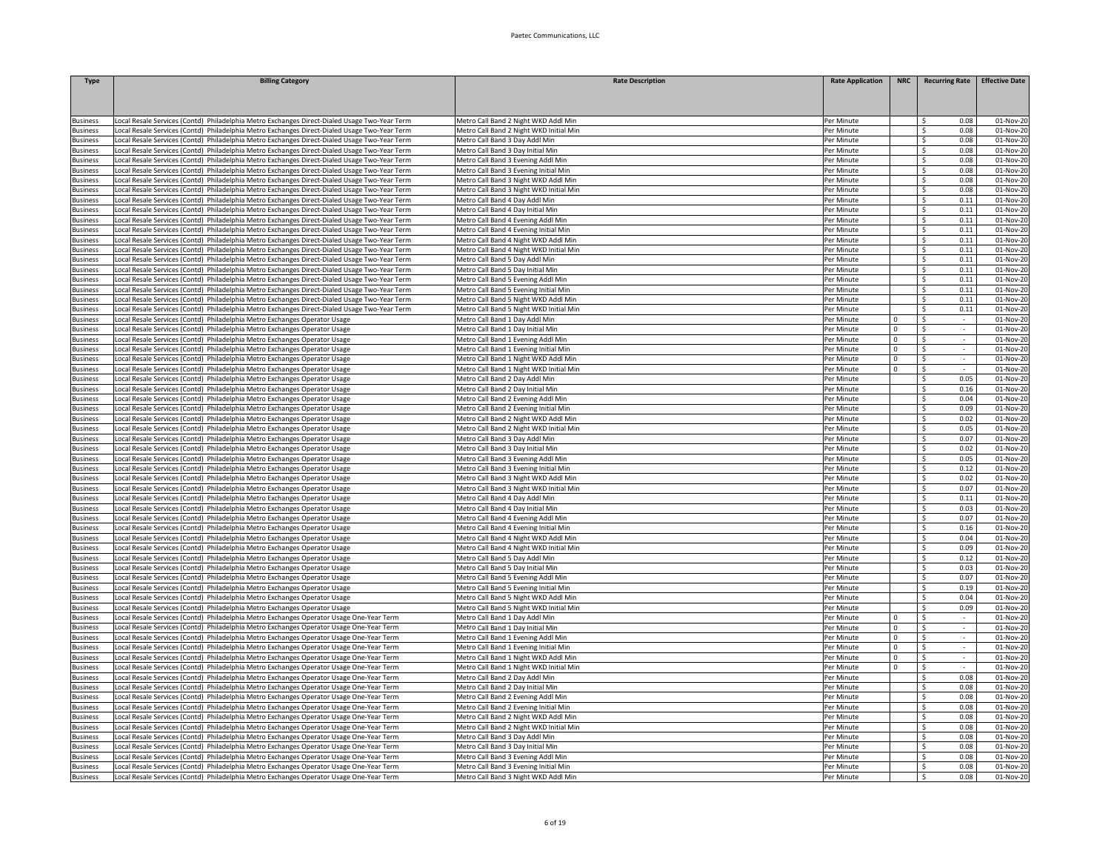| <b>Type</b>                        | <b>Billing Category</b>                                                                                                                                                                    | <b>Rate Description</b>                                                         | <b>Rate Application</b>  | <b>NRC</b>   | <b>Recurring Rate</b>            | <b>Effective Date</b>  |
|------------------------------------|--------------------------------------------------------------------------------------------------------------------------------------------------------------------------------------------|---------------------------------------------------------------------------------|--------------------------|--------------|----------------------------------|------------------------|
|                                    |                                                                                                                                                                                            |                                                                                 |                          |              |                                  |                        |
|                                    |                                                                                                                                                                                            |                                                                                 |                          |              |                                  |                        |
| <b>Business</b>                    | Local Resale Services (Contd) Philadelphia Metro Exchanges Direct-Dialed Usage Two-Year Term                                                                                               | Metro Call Band 2 Night WKD Addl Min                                            | Per Minute               |              | Ŝ.<br>0.08                       | 01-Nov-20              |
| <b>Business</b>                    | ocal Resale Services (Contd) Philadelphia Metro Exchanges Direct-Dialed Usage Two-Year Term                                                                                                | Metro Call Band 2 Night WKD Initial Min                                         | Per Minute               |              | 0.08<br>\$                       | 01-Nov-20              |
| <b>Business</b>                    | Local Resale Services (Contd) Philadelphia Metro Exchanges Direct-Dialed Usage Two-Year Term                                                                                               | Metro Call Band 3 Day Addl Min                                                  | Per Minute               |              | \$<br>0.08                       | 01-Nov-20              |
| <b>Business</b>                    | Local Resale Services (Contd) Philadelphia Metro Exchanges Direct-Dialed Usage Two-Year Term                                                                                               | Metro Call Band 3 Day Initial Min                                               | Per Minute               |              | Ŝ.<br>0.08                       | 01-Nov-20              |
| <b>Business</b>                    | ocal Resale Services (Contd) Philadelphia Metro Exchanges Direct-Dialed Usage Two-Year Term                                                                                                | Metro Call Band 3 Evening Addl Min                                              | Per Minute               |              | \$<br>0.08                       | 01-Nov-20              |
| lusiness                           | ocal Resale Services (Contd) Philadelphia Metro Exchanges Direct-Dialed Usage Two-Year Term                                                                                                | Metro Call Band 3 Evening Initial Min                                           | Per Minute               |              | Ŝ<br>0.08                        | 01-Nov-20              |
| <b>Business</b>                    | ocal Resale Services (Contd) Philadelphia Metro Exchanges Direct-Dialed Usage Two-Year Term                                                                                                | Metro Call Band 3 Night WKD Addl Min                                            | Per Minute               |              | 0.08<br>\$                       | 01-Nov-20              |
| <b>Business</b>                    | Local Resale Services (Contd) Philadelphia Metro Exchanges Direct-Dialed Usage Two-Year Term                                                                                               | Metro Call Band 3 Night WKD Initial Min                                         | Per Minute               |              | 0.08<br>\$                       | 01-Nov-20              |
| <b>Business</b>                    | ocal Resale Services (Contd) Philadelphia Metro Exchanges Direct-Dialed Usage Two-Year Term                                                                                                | Metro Call Band 4 Day Addl Min                                                  | Per Minute               |              | \$<br>0.11                       | 01-Nov-20              |
| <b>Business</b>                    | ocal Resale Services (Contd) Philadelphia Metro Exchanges Direct-Dialed Usage Two-Year Term                                                                                                | Metro Call Band 4 Day Initial Min                                               | Per Minute               |              | \$<br>0.11                       | 01-Nov-20              |
| lusiness                           | ocal Resale Services (Contd) Philadelphia Metro Exchanges Direct-Dialed Usage Two-Year Term                                                                                                | Metro Call Band 4 Evening Addl Min                                              | Per Minute               |              | \$<br>0.11                       | 01-Nov-20              |
| <b>Business</b>                    | ocal Resale Services (Contd) Philadelphia Metro Exchanges Direct-Dialed Usage Two-Year Term.                                                                                               | Metro Call Band 4 Evening Initial Min                                           | Per Minute               |              | <sub>S</sub><br>0.11             | 01-Nov-20              |
| <b>Business</b>                    | Local Resale Services (Contd) Philadelphia Metro Exchanges Direct-Dialed Usage Two-Year Term                                                                                               | Metro Call Band 4 Night WKD Addl Min                                            | Per Minute               |              | \$<br>0.11                       | 01-Nov-20              |
| <b>Business</b>                    | Local Resale Services (Contd) Philadelphia Metro Exchanges Direct-Dialed Usage Two-Year Term                                                                                               | Metro Call Band 4 Night WKD Initial Min                                         | Per Minute               |              | \$<br>0.11                       | 01-Nov-20              |
| <b>Business</b>                    | ocal Resale Services (Contd) Philadelphia Metro Exchanges Direct-Dialed Usage Two-Year Term                                                                                                | Metro Call Band 5 Day Addl Min                                                  | Per Minute               |              | <b>S</b><br>0.11                 | 01-Nov-20              |
| <b>Business</b>                    | ocal Resale Services (Contd) Philadelphia Metro Exchanges Direct-Dialed Usage Two-Year Term                                                                                                | Metro Call Band 5 Day Initial Min                                               | Per Minute               |              | 0.11<br>-Ś                       | 01-Nov-20              |
| Business                           | ocal Resale Services (Contd) Philadelphia Metro Exchanges Direct-Dialed Usage Two-Year Term.                                                                                               | Metro Call Band 5 Evening Addl Min                                              | Per Minute               |              | 0.11<br>-S                       | 01-Nov-20              |
| <b>Business</b>                    | ocal Resale Services (Contd) Philadelphia Metro Exchanges Direct-Dialed Usage Two-Year Term.                                                                                               | Metro Call Band 5 Evening Initial Min                                           | Per Minute               |              | 0.11<br>Ŝ.<br>-Ś.<br>0.11        | 01-Nov-20              |
| lusiness<br>tusiness               | ocal Resale Services (Contd) Philadelphia Metro Exchanges Direct-Dialed Usage Two-Year Term<br>ocal Resale Services (Contd) Philadelphia Metro Exchanges Direct-Dialed Usage Two-Year Term | Metro Call Band 5 Night WKD Addl Mir<br>Metro Call Band 5 Night WKD Initial Min | Per Minute<br>Per Minute |              | Ŝ.<br>0.11                       | 01-Nov-20              |
|                                    |                                                                                                                                                                                            | Metro Call Band 1 Day Addl Min                                                  |                          | $\Omega$     | <sub>S</sub>                     | 01-Nov-2<br>01-Nov-20  |
| usiness<br><b>Business</b>         | ocal Resale Services (Contd) Philadelphia Metro Exchanges Operator Usage<br>Local Resale Services (Contd) Philadelphia Metro Exchanges Operator Usage                                      | Metro Call Band 1 Day Initial Min                                               | Per Minute<br>Per Minute | $\mathbf{0}$ | \$                               | 01-Nov-20              |
| <b>Business</b>                    | Local Resale Services (Contd) Philadelphia Metro Exchanges Operator Usage                                                                                                                  | Metro Call Band 1 Evening Addl Min                                              | Per Minute               | $\circ$      | -\$                              | 01-Nov-20              |
| <b>Business</b>                    | ocal Resale Services (Contd) Philadelphia Metro Exchanges Operator Usage                                                                                                                   | Metro Call Band 1 Evening Initial Min                                           | Per Minute               | $\Omega$     | Ŝ.                               | 01-Nov-20              |
| <b>Business</b>                    | ocal Resale Services (Contd) Philadelphia Metro Exchanges Operator Usage                                                                                                                   | Metro Call Band 1 Night WKD Addl Min                                            | Per Minute               | $\Omega$     | \$                               | 01-Nov-20              |
| Business                           | Local Resale Services (Contd) Philadelphia Metro Exchanges Operator Usage                                                                                                                  | Metro Call Band 1 Night WKD Initial Min                                         | Per Minute               | $\Omega$     | \$<br>$\sim$                     | 01-Nov-20              |
| <b>Business</b>                    | Local Resale Services (Contd) Philadelphia Metro Exchanges Operator Usage                                                                                                                  | Metro Call Band 2 Day Addl Min                                                  | Per Minute               |              | \$<br>0.05                       | 01-Nov-20              |
| <b>Business</b>                    | ocal Resale Services (Contd) Philadelphia Metro Exchanges Operator Usage                                                                                                                   | Metro Call Band 2 Day Initial Min                                               | Per Minute               |              | $\mathsf{S}$<br>0.16             | 01-Nov-20              |
| lusiness                           | ocal Resale Services (Contd) Philadelphia Metro Exchanges Operator Usage                                                                                                                   | Metro Call Band 2 Evening Addl Min                                              | Per Minute               |              | \$<br>0.04                       | 01-Nov-20              |
| lusiness                           | ocal Resale Services (Contd) Philadelphia Metro Exchanges Operator Usage                                                                                                                   | Metro Call Band 2 Evening Initial Min                                           | Per Minute               |              | \$<br>0.09                       | 01-Nov-20              |
| <b>Business</b>                    | Local Resale Services (Contd) Philadelphia Metro Exchanges Operator Usage                                                                                                                  | Metro Call Band 2 Night WKD Addl Min                                            | Per Minute               |              | <sub>S</sub><br>0.02             | 01-Nov-20              |
| <b>Business</b>                    | Local Resale Services (Contd) Philadelphia Metro Exchanges Operator Usage                                                                                                                  | Metro Call Band 2 Night WKD Initial Min                                         | Per Minute               |              | \$<br>0.05                       | 01-Nov-20              |
| <b>Business</b>                    | ocal Resale Services (Contd) Philadelphia Metro Exchanges Operator Usage                                                                                                                   | Metro Call Band 3 Day Addl Min                                                  | Per Minute               |              | 0.07<br>-\$                      | 01-Nov-20              |
| <b>Business</b>                    | ocal Resale Services (Contd) Philadelphia Metro Exchanges Operator Usage                                                                                                                   | Metro Call Band 3 Day Initial Min                                               | Per Minute               |              | 0.02<br>-\$                      | 01-Nov-20              |
| <b>Business</b>                    | ocal Resale Services (Contd) Philadelphia Metro Exchanges Operator Usage                                                                                                                   | Metro Call Band 3 Evening Addl Min                                              | Per Minute               |              | 0.05<br>\$                       | 01-Nov-20              |
| <b>Business</b>                    | Local Resale Services (Contd) Philadelphia Metro Exchanges Operator Usage                                                                                                                  | Metro Call Band 3 Evening Initial Min                                           | Per Minute               |              | -\$<br>0.12                      | 01-Nov-20              |
| <b>Business</b>                    | ocal Resale Services (Contd) Philadelphia Metro Exchanges Operator Usage                                                                                                                   | Metro Call Band 3 Night WKD Addl Min                                            | Per Minute               |              | -Ś.<br>0.02                      | 01-Nov-20              |
| lusiness                           | ocal Resale Services (Contd) Philadelphia Metro Exchanges Operator Usage                                                                                                                   | Metro Call Band 3 Night WKD Initial Min                                         | Per Minute               |              | -Ś.<br>0.07                      | 01-Nov-20              |
| <b>Business</b>                    | ocal Resale Services (Contd) Philadelphia Metro Exchanges Operator Usage                                                                                                                   | Metro Call Band 4 Day Addl Min                                                  | Per Minute               |              | \$<br>0.11                       | 01-Nov-2               |
| <b>Business</b>                    | Local Resale Services (Contd) Philadelphia Metro Exchanges Operator Usage                                                                                                                  | Metro Call Band 4 Day Initial Min                                               | Per Minute               |              | \$<br>0.03                       | 01-Nov-20              |
| <b>Business</b>                    | Local Resale Services (Contd) Philadelphia Metro Exchanges Operator Usage                                                                                                                  | Metro Call Band 4 Evening Addl Min                                              | Per Minute               |              | -\$<br>0.07                      | 01-Nov-20              |
| <b>Business</b>                    | ocal Resale Services (Contd) Philadelphia Metro Exchanges Operator Usage                                                                                                                   | Metro Call Band 4 Evening Initial Min                                           | Per Minute               |              | 0.16<br>\$                       | 01-Nov-20              |
| lusiness                           | ocal Resale Services (Contd) Philadelphia Metro Exchanges Operator Usage                                                                                                                   | Metro Call Band 4 Night WKD Addl Min                                            | Per Minute               |              | 0.04<br>\$<br>0.09               | 01-Nov-20              |
| <b>Business</b>                    | Local Resale Services (Contd) Philadelphia Metro Exchanges Operator Usage                                                                                                                  | Metro Call Band 4 Night WKD Initial Min                                         | Per Minute               |              | \$<br>0.12                       | 01-Nov-20              |
| <b>Business</b>                    | Local Resale Services (Contd) Philadelphia Metro Exchanges Operator Usage<br>ocal Resale Services (Contd) Philadelphia Metro Exchanges Operator Usage                                      | Metro Call Band 5 Day Addl Min<br>Metro Call Band 5 Day Initial Min             | Per Minute<br>Per Minute |              | -\$<br>0.03<br>Ŝ.                | 01-Nov-20<br>01-Nov-20 |
| <b>Business</b><br><b>Business</b> | ocal Resale Services (Contd) Philadelphia Metro Exchanges Operator Usage                                                                                                                   | Metro Call Band 5 Evening Addl Min                                              | Per Minute               |              | Ŝ.<br>0.07                       | 01-Nov-20              |
| <b>Business</b>                    | ocal Resale Services (Contd) Philadelphia Metro Exchanges Operator Usage                                                                                                                   | Metro Call Band 5 Evening Initial Mir                                           | Per Minute               |              | \$<br>0.19                       | 01-Nov-20              |
| <b>Business</b>                    | Local Resale Services (Contd) Philadelphia Metro Exchanges Operator Usage                                                                                                                  | Metro Call Band 5 Night WKD Addl Min                                            | Per Minute               |              | \$<br>0.04                       | 01-Nov-20              |
| <b>Business</b>                    | Local Resale Services (Contd) Philadelphia Metro Exchanges Operator Usage                                                                                                                  | Metro Call Band 5 Night WKD Initial Min                                         | Per Minute               |              | \$<br>0.09                       | 01-Nov-20              |
| <b>Business</b>                    | ocal Resale Services (Contd) Philadelphia Metro Exchanges Operator Usage One-Year Term                                                                                                     | Metro Call Band 1 Day Addl Min                                                  | Per Minute               | $\mathbf 0$  | -\$                              | 01-Nov-20              |
| <b>Business</b>                    | ocal Resale Services (Contd) Philadelphia Metro Exchanges Operator Usage One-Year Term                                                                                                     | Metro Call Band 1 Day Initial Min                                               | Per Minute               | $\mathbf 0$  | <sub>S</sub>                     | 01-Nov-20              |
| <b>Business</b>                    | ocal Resale Services (Contd) Philadelphia Metro Exchanges Operator Usage One-Year Term                                                                                                     | Metro Call Band 1 Evening Addl Min                                              | Per Minute               | $\Omega$     | -\$<br>$\sim$                    | 01-Nov-20              |
| <b>Business</b>                    | ocal Resale Services (Contd) Philadelphia Metro Exchanges Operator Usage One-Year Term                                                                                                     | Metro Call Band 1 Evening Initial Min                                           | Per Minute               | $^{\circ}$   | -S                               | 01-Nov-20              |
| <b>Business</b>                    | Local Resale Services (Contd) Philadelphia Metro Exchanges Operator Usage One-Year Term                                                                                                    | Metro Call Band 1 Night WKD Addl Min                                            | Per Minute               | $\mathbf{0}$ | -\$<br>$\sim$                    | 01-Nov-20              |
| <b>Business</b>                    | ocal Resale Services (Contd) Philadelphia Metro Exchanges Operator Usage One-Year Term                                                                                                     | Metro Call Band 1 Night WKD Initial Min                                         | Per Minute               | $\mathbf{0}$ | -S                               | 01-Nov-20              |
| <b>Business</b>                    | Local Resale Services (Contd) Philadelphia Metro Exchanges Operator Usage One-Year Term                                                                                                    | Metro Call Band 2 Day Addl Min                                                  | Per Minute               |              | \$<br>0.08                       | 01-Nov-20              |
| <b>Business</b>                    | Local Resale Services (Contd) Philadelphia Metro Exchanges Operator Usage One-Year Term                                                                                                    | Metro Call Band 2 Day Initial Min                                               | Per Minute               |              | 0.08<br>\$                       | 01-Nov-20              |
| <b>Business</b>                    | Local Resale Services (Contd) Philadelphia Metro Exchanges Operator Usage One-Year Term                                                                                                    | Metro Call Band 2 Evening Addl Min                                              | Per Minute               |              | $\overline{\mathcal{S}}$<br>0.08 | 01-Nov-20              |
| <b>Business</b>                    | ocal Resale Services (Contd) Philadelphia Metro Exchanges Operator Usage One-Year Term                                                                                                     | Metro Call Band 2 Evening Initial Min                                           | Per Minute               |              | 0.08<br>-S                       | 01-Nov-20              |
| <b>Business</b>                    | ocal Resale Services (Contd) Philadelphia Metro Exchanges Operator Usage One-Year Term                                                                                                     | Metro Call Band 2 Night WKD Addl Min                                            | Per Minute               |              | -Ś<br>0.08                       | 01-Nov-20              |
| <b>Business</b>                    | Local Resale Services (Contd) Philadelphia Metro Exchanges Operator Usage One-Year Term                                                                                                    | Metro Call Band 2 Night WKD Initial Min                                         | Per Minute               |              | 0.08<br>-\$                      | $01-Nov-20$            |
| Business                           | Local Resale Services (Contd) Philadelphia Metro Exchanges Operator Usage One-Year Term                                                                                                    | Metro Call Band 3 Day Addl Min                                                  | Per Minute               |              | 0.08<br>\$                       | 01-Nov-20              |
| <b>Business</b>                    | Local Resale Services (Contd) Philadelphia Metro Exchanges Operator Usage One-Year Term                                                                                                    | Metro Call Band 3 Day Initial Min                                               | Per Minute               |              | 0.08<br>\$                       | 01-Nov-20              |
| <b>Business</b>                    | ocal Resale Services (Contd) Philadelphia Metro Exchanges Operator Usage One-Year Term                                                                                                     | Metro Call Band 3 Evening Addl Min                                              | Per Minute               |              | 0.08<br>-S                       | 01-Nov-20              |
| <b>Business</b>                    | Local Resale Services (Contd) Philadelphia Metro Exchanges Operator Usage One-Year Term                                                                                                    | Metro Call Band 3 Evening Initial Min                                           | Per Minute               |              | -Ś<br>0.08                       | 01-Nov-20              |
| <b>Business</b>                    | Local Resale Services (Contd) Philadelphia Metro Exchanges Operator Usage One-Year Term                                                                                                    | Metro Call Band 3 Night WKD Addl Min                                            | Per Minute               |              | 0.08<br>-\$                      | 01-Nov-20              |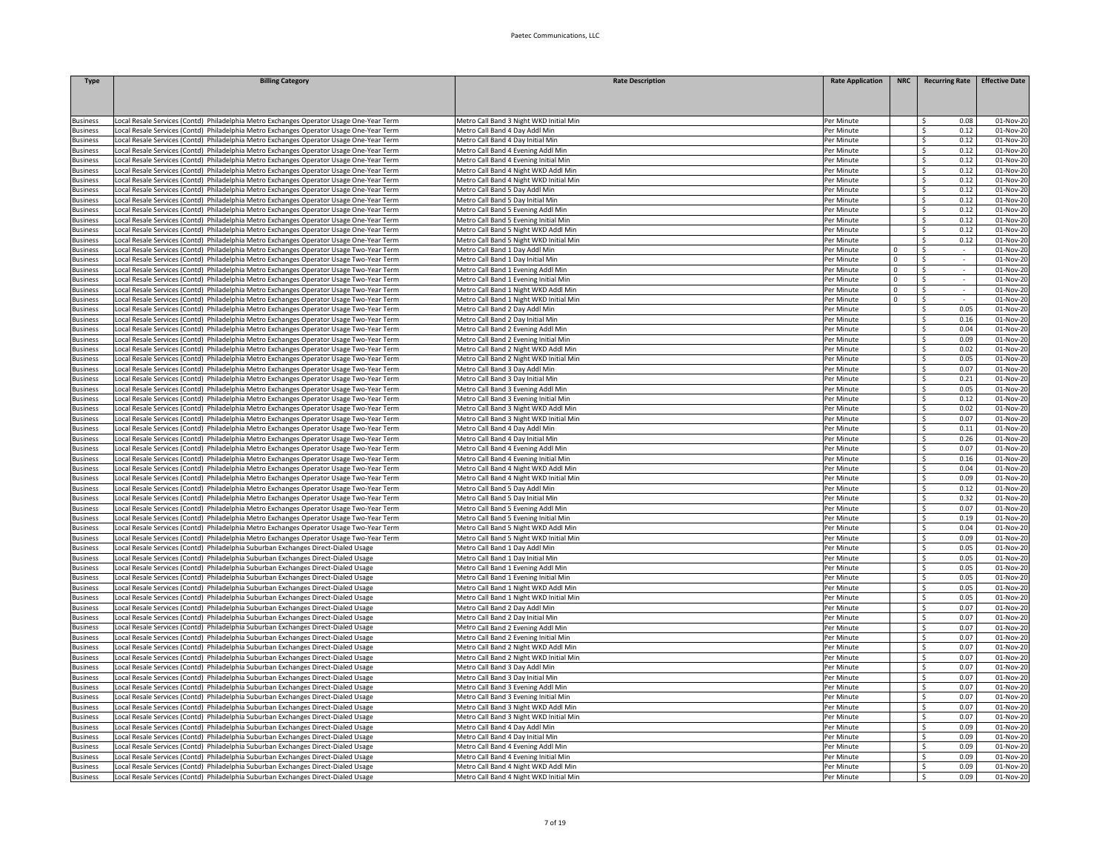| Type               | <b>Billing Category</b>                                                                                                                                                           | <b>Rate Description</b>                                                       | <b>Rate Application</b>  | <b>NRC</b>  | <b>Recurring Rate</b>               | <b>Effective Date</b>  |
|--------------------|-----------------------------------------------------------------------------------------------------------------------------------------------------------------------------------|-------------------------------------------------------------------------------|--------------------------|-------------|-------------------------------------|------------------------|
|                    |                                                                                                                                                                                   |                                                                               |                          |             |                                     |                        |
|                    |                                                                                                                                                                                   |                                                                               |                          |             |                                     |                        |
| usiness            | Local Resale Services (Contd) Philadelphia Metro Exchanges Operator Usage One-Year Term                                                                                           | Metro Call Band 3 Night WKD Initial Min                                       | Per Minute               |             | Ŝ.<br>0.08                          | 01-Nov-20              |
| usiness            | Local Resale Services (Contd) Philadelphia Metro Exchanges Operator Usage One-Year Term                                                                                           | Metro Call Band 4 Day Addl Min                                                | Per Minute               |             | Š.<br>0.12                          | 01-Nov-20              |
| usiness            | Local Resale Services (Contd) Philadelphia Metro Exchanges Operator Usage One-Year Term                                                                                           | Metro Call Band 4 Day Initial Min                                             | Per Minute               |             | $\hat{\zeta}$<br>0.12               | 01-Nov-20              |
| usiness            | Local Resale Services (Contd) Philadelphia Metro Exchanges Operator Usage One-Year Term                                                                                           | Metro Call Band 4 Evening Addl Min                                            | Per Minute               |             | $\ddot{\rm c}$<br>0.12              | 01-Nov-20              |
| usiness            | ocal Resale Services (Contd) Philadelphia Metro Exchanges Operator Usage One-Year Term                                                                                            | Metro Call Band 4 Evening Initial Min                                         | Per Minute               |             | -Ś<br>0.12                          | 01-Nov-20              |
| usiness            | ocal Resale Services (Contd) Philadelphia Metro Exchanges Operator Usage One-Year Term                                                                                            | Metro Call Band 4 Night WKD Addl Min                                          | Per Minute               |             | Ŝ.<br>0.12                          | 01-Nov-20              |
| <b>Susiness</b>    | Local Resale Services (Contd) Philadelphia Metro Exchanges Operator Usage One-Year Term                                                                                           | Metro Call Band 4 Night WKD Initial Min                                       | Per Minute               |             | 0.12<br>Ŝ.                          | 01-Nov-20              |
| <b>Business</b>    | Local Resale Services (Contd) Philadelphia Metro Exchanges Operator Usage One-Year Term                                                                                           | Metro Call Band 5 Day Addl Min                                                | Per Minute               |             | 0.12<br>\$                          | 01-Nov-20              |
| <b>Business</b>    | Local Resale Services (Contd) Philadelphia Metro Exchanges Operator Usage One-Year Term                                                                                           | Metro Call Band 5 Day Initial Min                                             | Per Minute               |             | \$<br>0.12                          | 01-Nov-20              |
| usiness            | Local Resale Services (Contd) Philadelphia Metro Exchanges Operator Usage One-Year Term                                                                                           | Metro Call Band 5 Evening Addl Min                                            | Per Minute               |             | 0.12<br>Ŝ.                          | 01-Nov-20              |
| usiness            | Local Resale Services (Contd) Philadelphia Metro Exchanges Operator Usage One-Year Term                                                                                           | Metro Call Band 5 Evening Initial Min                                         | Per Minute               |             | \$<br>0.12                          | 01-Nov-2               |
| usiness            | ocal Resale Services (Contd) Philadelphia Metro Exchanges Operator Usage One-Year Term                                                                                            | Metro Call Band 5 Night WKD Addl Min                                          | Per Minute               |             | $\mathsf{s}$<br>0.12                | 01-Nov-2               |
| usiness            | Local Resale Services (Contd) Philadelphia Metro Exchanges Operator Usage One-Year Term                                                                                           | Metro Call Band 5 Night WKD Initial Min                                       | Per Minute               |             | $\leq$<br>0.12                      | 01-Nov-20              |
| <b>Business</b>    | Local Resale Services (Contd) Philadelphia Metro Exchanges Operator Usage Two-Year Term                                                                                           | Metro Call Band 1 Day Addl Min                                                | Per Minute               | $\mathbf 0$ | $\overline{\mathsf{s}}$             | 01-Nov-20              |
| <b>Business</b>    | ocal Resale Services (Contd) Philadelphia Metro Exchanges Operator Usage Two-Year Term                                                                                            | Metro Call Band 1 Day Initial Min                                             | Per Minute               | $\mathbf 0$ | \$                                  | 01-Nov-20              |
| <b>Business</b>    | Local Resale Services (Contd) Philadelphia Metro Exchanges Operator Usage Two-Year Term                                                                                           | Metro Call Band 1 Evening Addl Min                                            | Per Minute               | $\mathsf 0$ | -\$                                 | 01-Nov-20              |
| <b>Business</b>    | Local Resale Services (Contd) Philadelphia Metro Exchanges Operator Usage Two-Year Term                                                                                           | Metro Call Band 1 Evening Initial Min                                         | Per Minute               | $\mathbf 0$ | -\$<br>$\sim$                       | $01-Nov-20$            |
| dusiness           | Local Resale Services (Contd) Philadelphia Metro Exchanges Operator Usage Two-Year Term                                                                                           | Metro Call Band 1 Night WKD Addl Min                                          | Per Minute               | $^{\circ}$  | -\$<br>$\sim$                       | 01-Nov-20              |
| usiness            | Local Resale Services (Contd) Philadelphia Metro Exchanges Operator Usage Two-Year Term                                                                                           | Metro Call Band 1 Night WKD Initial Min                                       | Per Minute               | $^{\circ}$  | - Ś                                 | 01-Nov-20              |
| usiness            | Local Resale Services (Contd) Philadelphia Metro Exchanges Operator Usage Two-Year Term                                                                                           | Metro Call Band 2 Day Addl Min                                                | Per Minute<br>Per Minute |             | <sup>\$</sup><br>0.05<br>Š.<br>0.16 | 01-Nov-2               |
| usiness<br>usiness | Local Resale Services (Contd) Philadelphia Metro Exchanges Operator Usage Two-Year Term                                                                                           | Metro Call Band 2 Day Initial Min                                             | Per Minute               |             | S.<br>0.04                          | 01-Nov-2               |
| <b>Business</b>    | ocal Resale Services (Contd) Philadelphia Metro Exchanges Operator Usage Two-Year Term                                                                                            | Metro Call Band 2 Evening Addl Min                                            |                          |             | S.<br>0.09                          | 01-Nov-20              |
| usiness            | Local Resale Services (Contd) Philadelphia Metro Exchanges Operator Usage Two-Year Term<br>ocal Resale Services (Contd) Philadelphia Metro Exchanges Operator Usage Two-Year Term | Metro Call Band 2 Evening Initial Min<br>Metro Call Band 2 Night WKD Addl Min | Per Minute<br>Per Minute |             | -Ś<br>0.02                          | 01-Nov-20<br>01-Nov-20 |
| usiness            | ocal Resale Services (Contd) Philadelphia Metro Exchanges Operator Usage Two-Year Term                                                                                            | Metro Call Band 2 Night WKD Initial Min                                       | Per Minute               |             | Ŝ.<br>0.05                          | 01-Nov-20              |
| usiness            | ocal Resale Services (Contd) Philadelphia Metro Exchanges Operator Usage Two-Year Term                                                                                            | Metro Call Band 3 Day Addl Min                                                | Per Minute               |             | 0.07<br>\$                          | 01-Nov-20              |
| Business           | Local Resale Services (Contd) Philadelphia Metro Exchanges Operator Usage Two-Year Term                                                                                           | Metro Call Band 3 Day Initial Min                                             | Per Minute               |             | 0.21<br>S.                          | 01-Nov-20              |
| <b>Business</b>    | Local Resale Services (Contd) Philadelphia Metro Exchanges Operator Usage Two-Year Term                                                                                           | Metro Call Band 3 Evening Addl Min                                            | Per Minute               |             | -\$<br>0.05                         | 01-Nov-20              |
| usiness            | Local Resale Services (Contd) Philadelphia Metro Exchanges Operator Usage Two-Year Term                                                                                           | Metro Call Band 3 Evening Initial Min                                         | Per Minute               |             | -Ś<br>0.12                          | 01-Nov-20              |
| usiness            | Local Resale Services (Contd) Philadelphia Metro Exchanges Operator Usage Two-Year Term                                                                                           | Metro Call Band 3 Night WKD Addl Min                                          | Per Minute               |             | S.<br>0.02                          | 01-Nov-20              |
| usiness            | Local Resale Services (Contd) Philadelphia Metro Exchanges Operator Usage Two-Year Term                                                                                           | Metro Call Band 3 Night WKD Initial Min                                       | Per Minute               |             | S.<br>0.07                          | 01-Nov-2               |
| Business           | Local Resale Services (Contd) Philadelphia Metro Exchanges Operator Usage Two-Year Term                                                                                           | Metro Call Band 4 Day Addl Min                                                | Per Minute               |             | S.<br>0.11                          | 01-Nov-20              |
| <b>Business</b>    | Local Resale Services (Contd) Philadelphia Metro Exchanges Operator Usage Two-Year Term                                                                                           | Metro Call Band 4 Day Initial Min                                             | Per Minute               |             | S.<br>0.26                          | 01-Nov-20              |
| usiness            | ocal Resale Services (Contd) Philadelphia Metro Exchanges Operator Usage Two-Year Term                                                                                            | Metro Call Band 4 Evening Addl Min                                            | Per Minute               |             | Ŝ.<br>0.07                          | 01-Nov-20              |
| <b>Business</b>    | Local Resale Services (Contd) Philadelphia Metro Exchanges Operator Usage Two-Year Term                                                                                           | Metro Call Band 4 Evening Initial Min                                         | Per Minute               |             | 0.16<br>Ŝ.                          | 01-Nov-20              |
| <b>Business</b>    | Local Resale Services (Contd) Philadelphia Metro Exchanges Operator Usage Two-Year Term                                                                                           | Metro Call Band 4 Night WKD Addl Min                                          | Per Minute               |             | 0.04<br>\$                          | 01-Nov-20              |
| <b>Business</b>    | Local Resale Services (Contd) Philadelphia Metro Exchanges Operator Usage Two-Year Term                                                                                           | Metro Call Band 4 Night WKD Initial Min                                       | Per Minute               |             | Ŝ.<br>0.09                          | 01-Nov-20              |
| <b>Business</b>    | Local Resale Services (Contd) Philadelphia Metro Exchanges Operator Usage Two-Year Term                                                                                           | Metro Call Band 5 Day Addl Min                                                | Per Minute               |             | \$<br>0.12                          | 01-Nov-20              |
| usiness            | Local Resale Services (Contd) Philadelphia Metro Exchanges Operator Usage Two-Year Term                                                                                           | Metro Call Band 5 Day Initial Min                                             | Per Minute               |             | Ŝ.<br>0.32                          | 01-Nov-2               |
| usiness            | Local Resale Services (Contd) Philadelphia Metro Exchanges Operator Usage Two-Year Term                                                                                           | Metro Call Band 5 Evening Addl Min                                            | Per Minute               |             | \$<br>0.07                          | 01-Nov-2               |
| usiness            | Local Resale Services (Contd) Philadelphia Metro Exchanges Operator Usage Two-Year Term                                                                                           | Metro Call Band 5 Evening Initial Min                                         | Per Minute               |             | \$<br>0.19                          | 01-Nov-20              |
| <b>Business</b>    | Local Resale Services (Contd) Philadelphia Metro Exchanges Operator Usage Two-Year Term                                                                                           | Metro Call Band 5 Night WKD Addl Min                                          | Per Minute               |             | $\mathsf{s}$<br>0.04                | 01-Nov-20              |
| usiness            | ocal Resale Services (Contd) Philadelphia Metro Exchanges Operator Usage Two-Year Term                                                                                            | Metro Call Band 5 Night WKD Initial Min                                       | Per Minute               |             | 0.09<br>- Ś                         | 01-Nov-20              |
| <b>Business</b>    | Local Resale Services (Contd) Philadelphia Suburban Exchanges Direct-Dialed Usage                                                                                                 | Metro Call Band 1 Day Addl Min                                                | Per Minute               |             | Ŝ.<br>0.05                          | 01-Nov-20              |
| <b>Business</b>    | Local Resale Services (Contd) Philadelphia Suburban Exchanges Direct-Dialed Usage                                                                                                 | Metro Call Band 1 Day Initial Min                                             | Per Minute               |             | 0.05<br>S.                          | $01-Nov-20$            |
| <b>Business</b>    | Local Resale Services (Contd) Philadelphia Suburban Exchanges Direct-Dialed Usage                                                                                                 | Metro Call Band 1 Evening Addl Min                                            | Per Minute               |             | 0.05<br>Ŝ.                          | 01-Nov-20              |
| <b>Business</b>    | Local Resale Services (Contd) Philadelphia Suburban Exchanges Direct-Dialed Usage                                                                                                 | Metro Call Band 1 Evening Initial Min                                         | Per Minute               |             | 0.05<br>-\$                         | 01-Nov-20              |
| usiness            | Local Resale Services (Contd) Philadelphia Suburban Exchanges Direct-Dialed Usage                                                                                                 | Metro Call Band 1 Night WKD Addl Min                                          | Per Minute               |             | 0.05<br>-S                          | 01-Nov-2               |
| usiness            | Local Resale Services (Contd) Philadelphia Suburban Exchanges Direct-Dialed Usage                                                                                                 | Metro Call Band 1 Night WKD Initial Min                                       | Per Minute               |             | S.<br>0.05                          | 01-Nov-20              |
| usiness            | Local Resale Services (Contd) Philadelphia Suburban Exchanges Direct-Dialed Usage                                                                                                 | Metro Call Band 2 Day Addl Min                                                | Per Minute               |             | \$<br>0.07                          | 01-Nov-20              |
| <b>Business</b>    | Local Resale Services (Contd) Philadelphia Suburban Exchanges Direct-Dialed Usage                                                                                                 | Metro Call Band 2 Day Initial Min                                             | Per Minute               |             | S.<br>0.07                          | 01-Nov-20              |
| <b>Business</b>    | Local Resale Services (Contd) Philadelphia Suburban Exchanges Direct-Dialed Usage                                                                                                 | Metro Call Band 2 Evening Addl Min                                            | Per Minute               |             | -\$<br>0.07                         | 01-Nov-20              |
| usiness            | ocal Resale Services (Contd) Philadelphia Suburban Exchanges Direct-Dialed Usage                                                                                                  | Metro Call Band 2 Evening Initial Min                                         | Per Minute               |             | $\zeta$<br>0.07                     | 01-Nov-20              |
| <b>Business</b>    | Local Resale Services (Contd) Philadelphia Suburban Exchanges Direct-Dialed Usage                                                                                                 | Metro Call Band 2 Night WKD Addl Min                                          | Per Minute               |             | 0.07<br>Ŝ.                          | 01-Nov-20              |
| <b>Business</b>    | Local Resale Services (Contd) Philadelphia Suburban Exchanges Direct-Dialed Usage                                                                                                 | Metro Call Band 2 Night WKD Initial Min                                       | Per Minute               |             | 0.07<br>Ŝ.                          | 01-Nov-20              |
| <b>Business</b>    | Local Resale Services (Contd) Philadelphia Suburban Exchanges Direct-Dialed Usage                                                                                                 | Metro Call Band 3 Day Addl Min                                                | Per Minute               |             | 0.07<br>-\$                         | 01-Nov-20              |
| usiness            | Local Resale Services (Contd) Philadelphia Suburban Exchanges Direct-Dialed Usage                                                                                                 | Metro Call Band 3 Day Initial Min                                             | Per Minute               |             | 0.07<br>-S                          | 01-Nov-20              |
| usiness<br>usiness | Local Resale Services (Contd) Philadelphia Suburban Exchanges Direct-Dialed Usage                                                                                                 | Metro Call Band 3 Evening Addl Min                                            | Per Minute               |             | S.<br>0.07<br>S.<br>0.07            | 01-Nov-2               |
|                    | ocal Resale Services (Contd) Philadelphia Suburban Exchanges Direct-Dialed Usage                                                                                                  | Metro Call Band 3 Evening Initial Min                                         | Per Minute               |             | $\leq$                              | $01-Nov-20$            |
| usiness            | Local Resale Services (Contd) Philadelphia Suburban Exchanges Direct-Dialed Usage                                                                                                 | Metro Call Band 3 Night WKD Addl Min                                          | Per Minute               |             | 0.07<br>-Ś                          | 01-Nov-20              |
| usiness            | Local Resale Services (Contd) Philadelphia Suburban Exchanges Direct-Dialed Usage                                                                                                 | Metro Call Band 3 Night WKD Initial Min<br>Metro Call Band 4 Day Addl Min     | Per Minute<br>Per Minute |             | 0.07<br>0.09<br>$\zeta$             | 01-Nov-20              |
| usiness<br>usiness | ocal Resale Services (Contd) Philadelphia Suburban Exchanges Direct-Dialed Usage<br>ocal Resale Services (Contd) Philadelphia Suburban Exchanges Direct-Dialed Usage              | Metro Call Band 4 Day Initial Min                                             | Per Minute               |             | $\zeta$<br>0.09                     | 01-Nov-20<br>01-Nov-20 |
| <b>Susiness</b>    | Local Resale Services (Contd) Philadelphia Suburban Exchanges Direct-Dialed Usage                                                                                                 | Metro Call Band 4 Evening Addl Min                                            | Per Minute               |             | 0.09<br>Ŝ.                          | 01-Nov-20              |
| <b>Business</b>    | Local Resale Services (Contd) Philadelphia Suburban Exchanges Direct-Dialed Usage                                                                                                 | Metro Call Band 4 Evening Initial Min                                         | Per Minute               |             | 0.09<br>\$                          | $01-Nov-20$            |
| <b>Business</b>    | Local Resale Services (Contd) Philadelphia Suburban Exchanges Direct-Dialed Usage                                                                                                 | Metro Call Band 4 Night WKD Addl Min                                          | Per Minute               |             | 0.09<br>\$                          | 01-Nov-20              |
| <b>Business</b>    | Local Resale Services (Contd) Philadelphia Suburban Exchanges Direct-Dialed Usage                                                                                                 | Metro Call Band 4 Night WKD Initial Min                                       | Per Minute               |             | 0.09<br>Ŝ.                          | 01-Nov-20              |
|                    |                                                                                                                                                                                   |                                                                               |                          |             |                                     |                        |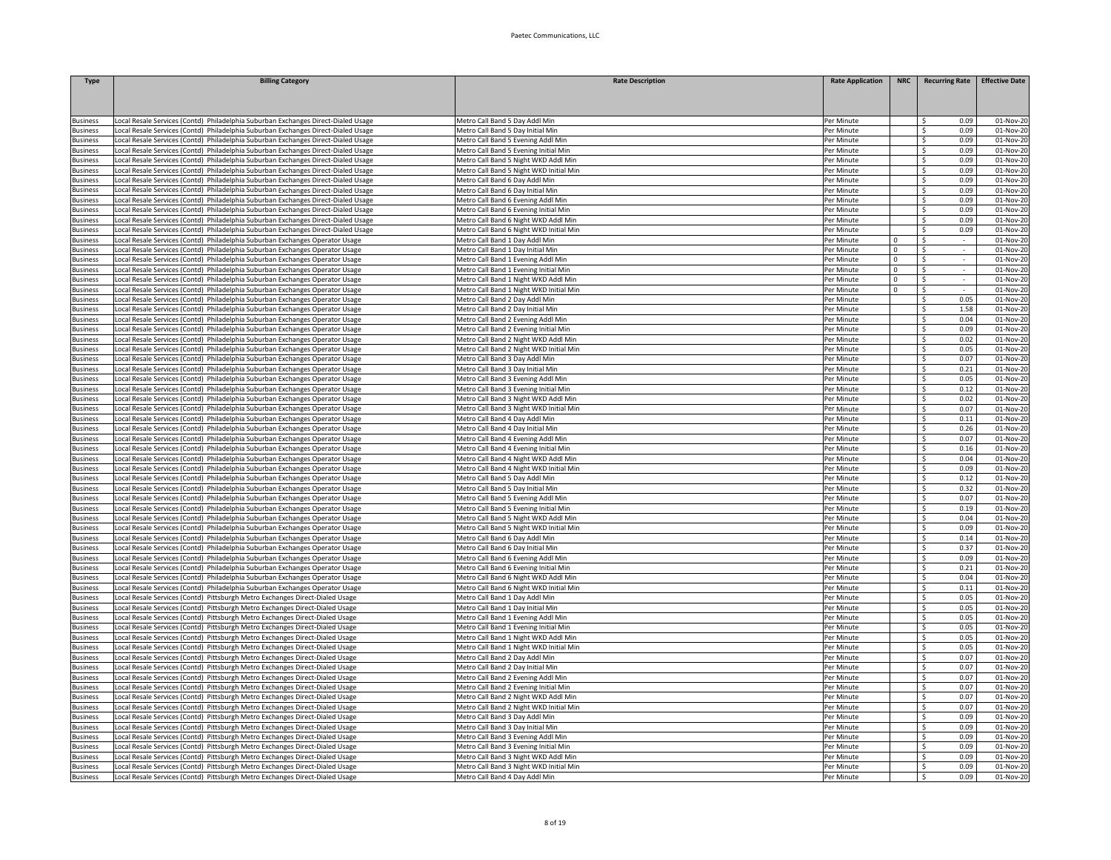| <b>Type</b>                | <b>Billing Category</b>                                                                                                                                     | <b>Rate Description</b>                                                     | <b>Rate Application</b>  | <b>NRC</b>  | <b>Recurring Rate</b>              | <b>Effective Date</b>  |
|----------------------------|-------------------------------------------------------------------------------------------------------------------------------------------------------------|-----------------------------------------------------------------------------|--------------------------|-------------|------------------------------------|------------------------|
|                            |                                                                                                                                                             |                                                                             |                          |             |                                    |                        |
|                            |                                                                                                                                                             |                                                                             |                          |             |                                    |                        |
| usiness                    | ocal Resale Services (Contd) Philadelphia Suburban Exchanges Direct-Dialed Usage                                                                            | Metro Call Band 5 Day Addl Min                                              | Per Minute               |             | Ŝ.<br>0.09                         | 01-Nov-20              |
| <b>Business</b>            | Local Resale Services (Contd) Philadelphia Suburban Exchanges Direct-Dialed Usage                                                                           | Metro Call Band 5 Day Initial Min                                           | Per Minute               |             | $\leq$<br>0.09                     | $01-Nov-20$            |
| <b>Business</b>            | ocal Resale Services (Contd) Philadelphia Suburban Exchanges Direct-Dialed Usage                                                                            | Metro Call Band 5 Evening Addl Min                                          | Per Minute               |             | S.<br>0.09                         | 01-Nov-20              |
| dusiness                   | Local Resale Services (Contd) Philadelphia Suburban Exchanges Direct-Dialed Usage                                                                           | Metro Call Band 5 Evening Initial Min                                       | Per Minute               |             | -Ś<br>0.09                         | 01-Nov-20              |
| usiness                    | ocal Resale Services (Contd) Philadelphia Suburban Exchanges Direct-Dialed Usage                                                                            | Metro Call Band 5 Night WKD Addl Min                                        | Per Minute               |             | Ŝ.<br>0.09                         | 01-Nov-20              |
| <b>Business</b>            | Local Resale Services (Contd) Philadelphia Suburban Exchanges Direct-Dialed Usage                                                                           | Metro Call Band 5 Night WKD Initial Min                                     | Per Minute               |             | 0.09<br>\$                         | 01-Nov-20              |
| Business                   | Local Resale Services (Contd) Philadelphia Suburban Exchanges Direct-Dialed Usage                                                                           | Metro Call Band 6 Day Addl Min                                              | Per Minute               |             | 0.09<br>S.                         | 01-Nov-20              |
| <b>Business</b>            | Local Resale Services (Contd) Philadelphia Suburban Exchanges Direct-Dialed Usage                                                                           | Metro Call Band 6 Day Initial Min                                           | Per Minute               |             | 0.09<br>-S                         | 01-Nov-20              |
| usiness                    | Local Resale Services (Contd) Philadelphia Suburban Exchanges Direct-Dialed Usage                                                                           | Metro Call Band 6 Evening Addl Min                                          | Per Minute               |             | S.<br>0.09                         | 01-Nov-20              |
| <b>Business</b>            | Local Resale Services (Contd) Philadelphia Suburban Exchanges Direct-Dialed Usage                                                                           | Metro Call Band 6 Evening Initial Min                                       | Per Minute               |             | S.<br>0.09                         | 01-Nov-2               |
| <b>Business</b>            | Local Resale Services (Contd) Philadelphia Suburban Exchanges Direct-Dialed Usage                                                                           | Metro Call Band 6 Night WKD Addl Min                                        | Per Minute               |             | S.<br>0.09                         | 01-Nov-20              |
| <b>Business</b>            | ocal Resale Services (Contd) Philadelphia Suburban Exchanges Direct-Dialed Usage                                                                            | Metro Call Band 6 Night WKD Initial Min                                     | Per Minute               |             | l s<br>0.09                        | 01-Nov-20              |
| <b>Business</b>            | ocal Resale Services (Contd) Philadelphia Suburban Exchanges Operator Usage                                                                                 | Metro Call Band 1 Day Addl Min                                              | Per Minute               | $\mathsf 0$ | l s                                | 01-Nov-20              |
| <b>Business</b>            | ocal Resale Services (Contd) Philadelphia Suburban Exchanges Operator Usage                                                                                 | Metro Call Band 1 Day Initial Min                                           | Per Minute               | $\Omega$    | -Ś                                 | 01-Nov-20              |
| <b>Business</b>            | Local Resale Services (Contd) Philadelphia Suburban Exchanges Operator Usage                                                                                | Metro Call Band 1 Evening Addl Min                                          | Per Minute               | $\Omega$    | - Ś                                | 01-Nov-20              |
| <b>Business</b>            | Local Resale Services (Contd) Philadelphia Suburban Exchanges Operator Usage                                                                                | Metro Call Band 1 Evening Initial Min                                       | Per Minute               | $\Omega$    | -S<br>$\sim$                       | 01-Nov-20              |
| <b>Business</b>            | Local Resale Services (Contd) Philadelphia Suburban Exchanges Operator Usage                                                                                | Metro Call Band 1 Night WKD Addl Min                                        | Per Minute               | $\mathbf 0$ | - Ś<br>$\sim$                      | 01-Nov-20              |
| usiness                    | Local Resale Services (Contd) Philadelphia Suburban Exchanges Operator Usage                                                                                | Metro Call Band 1 Night WKD Initial Min                                     | Per Minute               | $\Omega$    | $\mathsf{S}$                       | 01-Nov-2               |
| usiness                    | Local Resale Services (Contd) Philadelphia Suburban Exchanges Operator Usage                                                                                | Metro Call Band 2 Day Addl Min                                              | Per Minute               |             | S.<br>0.05                         | 01-Nov-20              |
| usiness                    | ocal Resale Services (Contd) Philadelphia Suburban Exchanges Operator Usage                                                                                 | Metro Call Band 2 Day Initial Min                                           | Per Minute               |             | 1.58<br>$\leq$                     | 01-Nov-20              |
| usiness                    | ocal Resale Services (Contd) Philadelphia Suburban Exchanges Operator Usage                                                                                 | Metro Call Band 2 Evening Addl Min                                          | Per Minute               |             | $\hat{\varsigma}$<br>0.04          | 01-Nov-20              |
| <b>Business</b>            | ocal Resale Services (Contd) Philadelphia Suburban Exchanges Operator Usage                                                                                 | Metro Call Band 2 Evening Initial Min                                       | Per Minute               |             | $\mathsf{S}$<br>0.09<br>0.02<br>Ŝ. | 01-Nov-20              |
| usiness<br><b>Susiness</b> | ocal Resale Services (Contd) Philadelphia Suburban Exchanges Operator Usage                                                                                 | Metro Call Band 2 Night WKD Addl Min                                        | Per Minute               |             |                                    | 01-Nov-20              |
|                            | Local Resale Services (Contd) Philadelphia Suburban Exchanges Operator Usage                                                                                | Metro Call Band 2 Night WKD Initial Min                                     | Per Minute               |             | 0.05<br>\$                         | 01-Nov-20              |
| <b>Business</b>            | Local Resale Services (Contd) Philadelphia Suburban Exchanges Operator Usage                                                                                | Metro Call Band 3 Day Addl Min                                              | Per Minute               |             | 0.07<br>\$                         | 01-Nov-20              |
| <b>Business</b>            | Local Resale Services (Contd) Philadelphia Suburban Exchanges Operator Usage                                                                                | Metro Call Band 3 Day Initial Min                                           | Per Minute<br>Per Minute |             | \$<br>0.21<br>0.05<br>$\mathsf{S}$ | 01-Nov-20              |
| usiness<br>usiness         | Local Resale Services (Contd) Philadelphia Suburban Exchanges Operator Usage                                                                                | Metro Call Band 3 Evening Addl Min<br>Metro Call Band 3 Evening Initial Min | Per Minute               |             | \$<br>0.12                         | 01-Nov-20              |
|                            | Local Resale Services (Contd) Philadelphia Suburban Exchanges Operator Usage                                                                                | Metro Call Band 3 Night WKD Addl Min                                        |                          |             | $\hat{\varsigma}$<br>0.02          | 01-Nov-20              |
| usiness<br><b>Business</b> | ocal Resale Services (Contd) Philadelphia Suburban Exchanges Operator Usage<br>Local Resale Services (Contd) Philadelphia Suburban Exchanges Operator Usage | Metro Call Band 3 Night WKD Initial Min                                     | Per Minute<br>Per Minute |             | \$<br>0.07                         | 01-Nov-20<br>01-Nov-20 |
| <b>Business</b>            | Local Resale Services (Contd) Philadelphia Suburban Exchanges Operator Usage                                                                                | Metro Call Band 4 Day Addl Min                                              | Per Minute               |             | S.<br>0.11                         | 01-Nov-20              |
| <b>Business</b>            | ocal Resale Services (Contd) Philadelphia Suburban Exchanges Operator Usage                                                                                 | Metro Call Band 4 Day Initial Min                                           | Per Minute               |             | Ŝ.<br>0.26                         | 01-Nov-20              |
| <b>Business</b>            | Local Resale Services (Contd) Philadelphia Suburban Exchanges Operator Usage                                                                                | Metro Call Band 4 Evening Addl Min                                          | Per Minute               |             | 0.07<br>Ŝ.                         | 01-Nov-20              |
| <b>Business</b>            | Local Resale Services (Contd) Philadelphia Suburban Exchanges Operator Usage                                                                                | Metro Call Band 4 Evening Initial Min                                       | Per Minute               |             | 0.16<br>-S                         | 01-Nov-20              |
| <b>Business</b>            | Local Resale Services (Contd) Philadelphia Suburban Exchanges Operator Usage                                                                                | Metro Call Band 4 Night WKD Addl Min                                        | Per Minute               |             | \$<br>0.04                         | 01-Nov-20              |
| usiness                    | Local Resale Services (Contd) Philadelphia Suburban Exchanges Operator Usage                                                                                | Metro Call Band 4 Night WKD Initial Min                                     | Per Minute               |             | 0.09<br>-S                         | 01-Nov-20              |
| usiness                    | Local Resale Services (Contd) Philadelphia Suburban Exchanges Operator Usage                                                                                | Metro Call Band 5 Day Addl Min                                              | Per Minute               |             | $\leq$<br>0.12                     | 01-Nov-20              |
| usiness                    | Local Resale Services (Contd) Philadelphia Suburban Exchanges Operator Usage                                                                                | Metro Call Band 5 Day Initial Min                                           | Per Minute               |             | \$<br>0.32                         | 01-Nov-20              |
| <b>Business</b>            | Local Resale Services (Contd) Philadelphia Suburban Exchanges Operator Usage                                                                                | Metro Call Band 5 Evening Addl Min                                          | Per Minute               |             | \$<br>0.07                         | 01-Nov-20              |
| <b>Business</b>            | Local Resale Services (Contd) Philadelphia Suburban Exchanges Operator Usage                                                                                | Metro Call Band 5 Evening Initial Min                                       | Per Minute               |             | $\leq$<br>0.19                     | 01-Nov-20              |
| usiness                    | ocal Resale Services (Contd) Philadelphia Suburban Exchanges Operator Usage                                                                                 | Metro Call Band 5 Night WKD Addl Min                                        | Per Minute               |             | 0.04<br>- Ś                        | 01-Nov-20              |
| Business                   | Local Resale Services (Contd) Philadelphia Suburban Exchanges Operator Usage                                                                                | Metro Call Band 5 Night WKD Initial Min                                     | Per Minute               |             | 0.09<br>- Ś                        | 01-Nov-20              |
| Business                   | Local Resale Services (Contd) Philadelphia Suburban Exchanges Operator Usage                                                                                | Metro Call Band 6 Day Addl Min                                              | Per Minute               |             | 0.14<br>\$                         | 01-Nov-20              |
| <b>Business</b>            | Local Resale Services (Contd) Philadelphia Suburban Exchanges Operator Usage                                                                                | Metro Call Band 6 Day Initial Min                                           | Per Minute               |             | 0.37<br>-\$                        | 01-Nov-20              |
| <b>Business</b>            | Local Resale Services (Contd) Philadelphia Suburban Exchanges Operator Usage                                                                                | Metro Call Band 6 Evening Addl Min                                          | Per Minute               |             | 0.09<br>-S                         | 01-Nov-20              |
| <b>Business</b>            | Local Resale Services (Contd) Philadelphia Suburban Exchanges Operator Usage                                                                                | Metro Call Band 6 Evening Initial Min                                       | Per Minute               |             | $\mathsf{S}$<br>0.21               | 01-Nov-20              |
| <b>Business</b>            | Local Resale Services (Contd) Philadelphia Suburban Exchanges Operator Usage                                                                                | Metro Call Band 6 Night WKD Addl Min                                        | Per Minute               |             | \$<br>0.04                         | 01-Nov-20              |
| dusiness                   | Local Resale Services (Contd) Philadelphia Suburban Exchanges Operator Usage                                                                                | Metro Call Band 6 Night WKD Initial Min                                     | Per Minute               |             | \$<br>0.11                         | 01-Nov-20              |
| <b>Business</b>            | Local Resale Services (Contd) Pittsburgh Metro Exchanges Direct-Dialed Usage                                                                                | Metro Call Band 1 Day Addl Min                                              | Per Minute               |             | $\overline{\mathsf{s}}$<br>0.05    | 01-Nov-20              |
| <b>Business</b>            | ocal Resale Services (Contd) Pittsburgh Metro Exchanges Direct-Dialed Usage                                                                                 | Metro Call Band 1 Day Initial Min                                           | Per Minute               |             | -\$<br>0.05                        | 01-Nov-20              |
| <b>Business</b>            | Local Resale Services (Contd) Pittsburgh Metro Exchanges Direct-Dialed Usage                                                                                | Metro Call Band 1 Evening Addl Min                                          | Per Minute               |             | -\$<br>0.05                        | 01-Nov-20              |
| <b>Business</b>            | Local Resale Services (Contd) Pittsburgh Metro Exchanges Direct-Dialed Usage                                                                                | Metro Call Band 1 Evening Initial Min                                       | Per Minute               |             | 0.05<br>-\$                        | $01-Nov-20$            |
| <b>Business</b>            | Local Resale Services (Contd) Pittsburgh Metro Exchanges Direct-Dialed Usage                                                                                | Metro Call Band 1 Night WKD Addl Min                                        | Per Minute               |             | 0.05<br>-S                         | 01-Nov-20              |
| usiness                    | Local Resale Services (Contd) Pittsburgh Metro Exchanges Direct-Dialed Usage                                                                                | Metro Call Band 1 Night WKD Initial Min                                     | Per Minute               |             | 0.05<br>- Ś                        | 01-Nov-20              |
| usiness                    | Local Resale Services (Contd) Pittsburgh Metro Exchanges Direct-Dialed Usage                                                                                | Metro Call Band 2 Day Addl Min                                              | Per Minute               |             | -S<br>0.07                         | 01-Nov-20              |
| usiness                    | Local Resale Services (Contd) Pittsburgh Metro Exchanges Direct-Dialed Usage                                                                                | Metro Call Band 2 Day Initial Min                                           | Per Minute               |             | -\$<br>0.07                        | 01-Nov-20              |
| usiness                    | Local Resale Services (Contd) Pittsburgh Metro Exchanges Direct-Dialed Usage                                                                                | Metro Call Band 2 Evening Addl Min                                          | Per Minute               |             | $\overline{\mathsf{s}}$<br>0.07    | 01-Nov-20              |
| <b>Business</b>            | Local Resale Services (Contd) Pittsburgh Metro Exchanges Direct-Dialed Usage                                                                                | Metro Call Band 2 Evening Initial Min                                       | Per Minute               |             | $\overline{\mathsf{s}}$<br>0.07    | 01-Nov-20              |
| <b>Business</b>            | ocal Resale Services (Contd) Pittsburgh Metro Exchanges Direct-Dialed Usage                                                                                 | Metro Call Band 2 Night WKD Addl Min                                        | Per Minute               |             | -\$<br>0.07                        | 01-Nov-20              |
| <b>Business</b>            | ocal Resale Services (Contd) Pittsburgh Metro Exchanges Direct-Dialed Usage                                                                                 | Metro Call Band 2 Night WKD Initial Min                                     | Per Minute               |             | Ŝ.<br>0.07                         | 01-Nov-20              |
| <b>Business</b>            | Local Resale Services (Contd) Pittsburgh Metro Exchanges Direct-Dialed Usage                                                                                | Metro Call Band 3 Day Addl Min                                              | Per Minute               |             | 0.09<br>-\$                        | 01-Nov-20              |
| Business                   | Local Resale Services (Contd) Pittsburgh Metro Exchanges Direct-Dialed Usage                                                                                | Metro Call Band 3 Day Initial Min                                           | Per Minute               |             | 0.09<br>S.                         | 01-Nov-20              |
| <b>Business</b>            | Local Resale Services (Contd) Pittsburgh Metro Exchanges Direct-Dialed Usage                                                                                | Metro Call Band 3 Evening Addl Min                                          | Per Minute               |             | 0.09<br>-\$                        | 01-Nov-20              |
| usiness                    | Local Resale Services (Contd) Pittsburgh Metro Exchanges Direct-Dialed Usage                                                                                | Metro Call Band 3 Evening Initial Min                                       | Per Minute               |             | 0.09<br>-S                         | 01-Nov-20              |
| usiness                    | Local Resale Services (Contd) Pittsburgh Metro Exchanges Direct-Dialed Usage                                                                                | Metro Call Band 3 Night WKD Addl Min                                        | Per Minute               |             | -\$<br>0.09                        | 01-Nov-20              |
| <b>Business</b>            | Local Resale Services (Contd) Pittsburgh Metro Exchanges Direct-Dialed Usage                                                                                | Metro Call Band 3 Night WKD Initial Min                                     | Per Minute               |             | Ŝ.<br>0.09                         | 01-Nov-20              |
| <b>Business</b>            | Local Resale Services (Contd) Pittsburgh Metro Exchanges Direct-Dialed Usage                                                                                | Metro Call Band 4 Day Addl Min                                              | Per Minute               |             | S.<br>0.09                         | 01-Nov-20              |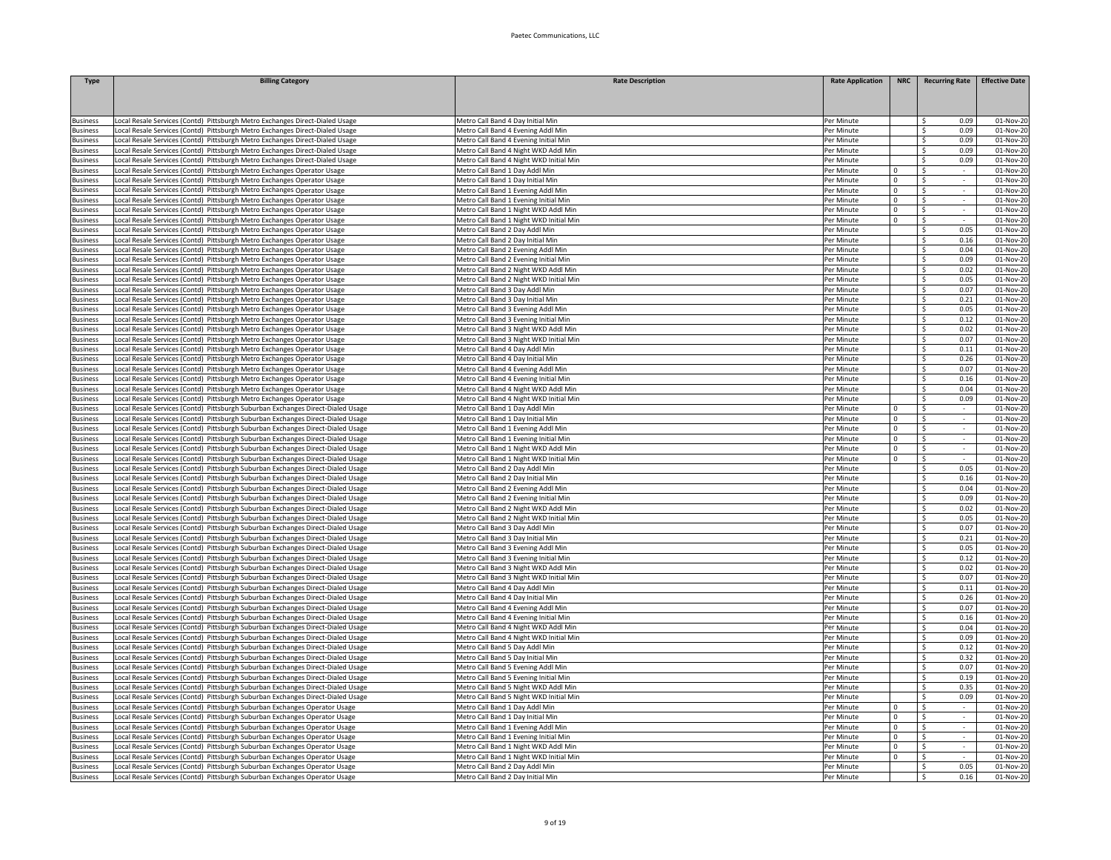| <b>Type</b>                 | <b>Billing Category</b>                                                                                                                                            | <b>Rate Description</b>                                                 | <b>Rate Application</b>  | <b>NRC</b>                 | <b>Recurring Rate</b>           | <b>Effective Date</b>  |
|-----------------------------|--------------------------------------------------------------------------------------------------------------------------------------------------------------------|-------------------------------------------------------------------------|--------------------------|----------------------------|---------------------------------|------------------------|
|                             |                                                                                                                                                                    |                                                                         |                          |                            |                                 |                        |
|                             |                                                                                                                                                                    |                                                                         |                          |                            |                                 |                        |
| usiness                     | ocal Resale Services (Contd) Pittsburgh Metro Exchanges Direct-Dialed Usage                                                                                        | Metro Call Band 4 Day Initial Min                                       | Per Minute               |                            | Ŝ.<br>0.09                      | 01-Nov-20              |
| <b>Business</b>             | Local Resale Services (Contd) Pittsburgh Metro Exchanges Direct-Dialed Usage                                                                                       | Metro Call Band 4 Evening Addl Min                                      | Per Minute               |                            | $\zeta$<br>0.09                 | 01-Nov-20              |
| <b>Business</b>             | ocal Resale Services (Contd) Pittsburgh Metro Exchanges Direct-Dialed Usage                                                                                        | Metro Call Band 4 Evening Initial Min                                   | Per Minute               |                            | 0.09<br>$\zeta$                 | 01-Nov-20              |
| <b>Business</b>             | Local Resale Services (Contd) Pittsburgh Metro Exchanges Direct-Dialed Usage                                                                                       | Metro Call Band 4 Night WKD Addl Min                                    | Per Minute               |                            | $\hat{\zeta}$<br>0.09           | 01-Nov-20              |
| usiness                     | ocal Resale Services (Contd) Pittsburgh Metro Exchanges Direct-Dialed Usage                                                                                        | Metro Call Band 4 Night WKD Initial Min                                 | Per Minute               |                            | Ŝ.<br>0.09                      | 01-Nov-20              |
| <b>Business</b>             | Local Resale Services (Contd) Pittsburgh Metro Exchanges Operator Usage                                                                                            | Metro Call Band 1 Day Addl Min                                          | Per Minute               | $\Omega$                   | - Ś                             | 01-Nov-20              |
| Business                    | Local Resale Services (Contd) Pittsburgh Metro Exchanges Operator Usage                                                                                            | Metro Call Band 1 Day Initial Min                                       | Per Minute               | $\mathbf 0$                | -S<br>$\sim$                    | 01-Nov-20              |
| <b>Business</b>             | Local Resale Services (Contd) Pittsburgh Metro Exchanges Operator Usage                                                                                            | Metro Call Band 1 Evening Addl Min                                      | Per Minute               | $\mathbf 0$                | \$<br>$\sim$                    | 01-Nov-20              |
| usiness                     | Local Resale Services (Contd) Pittsburgh Metro Exchanges Operator Usage                                                                                            | Metro Call Band 1 Evening Initial Min                                   | Per Minute               | $\Omega$                   | $\mathsf{S}$<br>$\sim$          | 01-Nov-20              |
| <b>Susiness</b>             | Local Resale Services (Contd) Pittsburgh Metro Exchanges Operator Usage                                                                                            | Metro Call Band 1 Night WKD Addl Min                                    | Per Minute               | $\mathsf 0$                | \$<br>$\sim$                    | 01-Nov-20              |
| <b>Business</b>             | Local Resale Services (Contd) Pittsburgh Metro Exchanges Operator Usage                                                                                            | Metro Call Band 1 Night WKD Initial Min                                 | Per Minute               | $\Omega$                   | $\zeta$<br>$\overline{a}$       | 01-Nov-20              |
| <b>Business</b>             | Local Resale Services (Contd) Pittsburgh Metro Exchanges Operator Usage                                                                                            | Metro Call Band 2 Day Addl Min                                          | Per Minute               |                            | $\leq$<br>0.05                  | 01-Nov-20              |
| <b>Business</b>             | Local Resale Services (Contd) Pittsburgh Metro Exchanges Operator Usage                                                                                            | Metro Call Band 2 Day Initial Min                                       | Per Minute               |                            | \$<br>0.16                      | 01-Nov-20              |
| <b>Business</b>             | ocal Resale Services (Contd) Pittsburgh Metro Exchanges Operator Usage                                                                                             | Metro Call Band 2 Evening Addl Min                                      | Per Minute               |                            | 0.04<br>Ŝ.                      | 01-Nov-20              |
| <b>Business</b>             | Local Resale Services (Contd) Pittsburgh Metro Exchanges Operator Usage                                                                                            | Metro Call Band 2 Evening Initial Min                                   | Per Minute               |                            | 0.09<br>Ŝ.                      | 01-Nov-20              |
| <b>Business</b>             | Local Resale Services (Contd) Pittsburgh Metro Exchanges Operator Usage                                                                                            | Metro Call Band 2 Night WKD Addl Min                                    | Per Minute               |                            | 0.02<br>-S                      | 01-Nov-20              |
| Business                    | Local Resale Services (Contd) Pittsburgh Metro Exchanges Operator Usage                                                                                            | Metro Call Band 2 Night WKD Initial Min                                 | Per Minute               |                            | 0.05<br>-\$                     | 01-Nov-20              |
| usiness                     | Local Resale Services (Contd) Pittsburgh Metro Exchanges Operator Usage                                                                                            | Metro Call Band 3 Day Addl Min                                          | Per Minute               |                            | 0.07<br>-S                      | 01-Nov-2               |
| usiness                     | Local Resale Services (Contd) Pittsburgh Metro Exchanges Operator Usage                                                                                            | Metro Call Band 3 Day Initial Min                                       | Per Minute               |                            | S.<br>0.21                      | 01-Nov-2               |
| usiness                     | ocal Resale Services (Contd) Pittsburgh Metro Exchanges Operator Usage                                                                                             | Metro Call Band 3 Evening Addl Min                                      | Per Minute               |                            | $\mathsf{S}$<br>0.05            | 01-Nov-20              |
| usiness                     | Local Resale Services (Contd) Pittsburgh Metro Exchanges Operator Usage                                                                                            | Metro Call Band 3 Evening Initial Min                                   | Per Minute               |                            | $\mathsf{s}$<br>0.12            | 01-Nov-20              |
| <b>Business</b>             | Local Resale Services (Contd) Pittsburgh Metro Exchanges Operator Usage                                                                                            | Metro Call Band 3 Night WKD Addl Min                                    | Per Minute               |                            | -Ś<br>0.02                      | 01-Nov-20              |
| usiness                     | ocal Resale Services (Contd) Pittsburgh Metro Exchanges Operator Usage                                                                                             | Metro Call Band 3 Night WKD Initial Min                                 | Per Minute               |                            | -\$<br>0.07                     | 01-Nov-20              |
| <b>Business</b>             | ocal Resale Services (Contd) Pittsburgh Metro Exchanges Operator Usage                                                                                             | Metro Call Band 4 Day Addl Min                                          | Per Minute               |                            | -\$<br>0.11                     | 01-Nov-20              |
| <b>Business</b>             | Local Resale Services (Contd) Pittsburgh Metro Exchanges Operator Usage                                                                                            | Metro Call Band 4 Day Initial Min                                       | Per Minute               |                            | 0.26<br>-\$                     | 01-Nov-20              |
| <b>Business</b>             | Local Resale Services (Contd) Pittsburgh Metro Exchanges Operator Usage                                                                                            | Metro Call Band 4 Evening Addl Min                                      | Per Minute               |                            | 0.07<br>-\$                     | 01-Nov-20              |
| <b>Business</b>             | Local Resale Services (Contd) Pittsburgh Metro Exchanges Operator Usage                                                                                            | Metro Call Band 4 Evening Initial Min                                   | Per Minute               |                            | 0.16<br>-S                      | 01-Nov-20              |
| usiness                     | Local Resale Services (Contd) Pittsburgh Metro Exchanges Operator Usage                                                                                            | Metro Call Band 4 Night WKD Addl Min                                    | Per Minute               |                            | $\mathsf{S}$<br>0.04            | 01-Nov-2               |
| usiness                     | Local Resale Services (Contd) Pittsburgh Metro Exchanges Operator Usage                                                                                            | Metro Call Band 4 Night WKD Initial Min                                 | Per Minute               | $\Omega$                   | Ŝ.<br>0.05<br>S.                | 01-Nov-2               |
| usiness                     | Local Resale Services (Contd) Pittsburgh Suburban Exchanges Direct-Dialed Usage                                                                                    | Metro Call Band 1 Day Addl Min                                          | Per Minute               |                            | s.<br>÷.                        | $01-Nov-20$            |
| <b>Business</b>             | Local Resale Services (Contd) Pittsburgh Suburban Exchanges Direct-Dialed Usage                                                                                    | Metro Call Band 1 Day Initial Min<br>Metro Call Band 1 Evening Addl Min | Per Minute<br>Per Minute | $\mathsf 0$<br>$\mathsf 0$ | $\mathsf{S}$                    | 01-Nov-20<br>01-Nov-20 |
| dusiness<br><b>Business</b> | ocal Resale Services (Contd) Pittsburgh Suburban Exchanges Direct-Dialed Usage                                                                                     | Metro Call Band 1 Evening Initial Min                                   | Per Minute               | $\mathsf 0$                | -\$                             | 01-Nov-20              |
|                             | ocal Resale Services (Contd) Pittsburgh Suburban Exchanges Direct-Dialed Usage                                                                                     | Metro Call Band 1 Night WKD Addl Min                                    | Per Minute               |                            |                                 |                        |
| dusiness                    | ocal Resale Services (Contd) Pittsburgh Suburban Exchanges Direct-Dialed Usage                                                                                     |                                                                         |                          | $\mathbf 0$                | - Ś<br>$\sim$                   | 01-Nov-20              |
| <b>Business</b>             | Local Resale Services (Contd) Pittsburgh Suburban Exchanges Direct-Dialed Usage                                                                                    | Metro Call Band 1 Night WKD Initial Min                                 | Per Minute               | $^{\circ}$                 | -S<br>$\sim$                    | 01-Nov-20              |
| <b>Business</b><br>usiness  | Local Resale Services (Contd) Pittsburgh Suburban Exchanges Direct-Dialed Usage<br>Local Resale Services (Contd) Pittsburgh Suburban Exchanges Direct-Dialed Usage | Metro Call Band 2 Day Addl Min<br>Metro Call Band 2 Day Initial Min     | Per Minute<br>Per Minute |                            | 0.05<br>- Ś<br>Ŝ.<br>0.16       | 01-Nov-20<br>01-Nov-2  |
| usiness                     | Local Resale Services (Contd) Pittsburgh Suburban Exchanges Direct-Dialed Usage                                                                                    | Metro Call Band 2 Evening Addl Min                                      | Per Minute               |                            | S.<br>0.04                      | 01-Nov-2               |
| usiness                     | Local Resale Services (Contd) Pittsburgh Suburban Exchanges Direct-Dialed Usage                                                                                    | Metro Call Band 2 Evening Initial Min                                   | Per Minute               |                            | S.<br>0.09                      | 01-Nov-2               |
| Business                    | Local Resale Services (Contd) Pittsburgh Suburban Exchanges Direct-Dialed Usage                                                                                    | Metro Call Band 2 Night WKD Addl Min                                    | Per Minute               |                            | S.<br>0.02                      | 01-Nov-20              |
| dusiness                    | ocal Resale Services (Contd) Pittsburgh Suburban Exchanges Direct-Dialed Usage                                                                                     | Metro Call Band 2 Night WKD Initial Min                                 | Per Minute               |                            | -Ś<br>0.05                      | 01-Nov-20              |
| usiness                     | ocal Resale Services (Contd) Pittsburgh Suburban Exchanges Direct-Dialed Usage                                                                                     | Metro Call Band 3 Day Addl Min                                          | Per Minute               |                            | Ŝ.<br>0.07                      | 01-Nov-20              |
| <b>Susiness</b>             | ocal Resale Services (Contd) Pittsburgh Suburban Exchanges Direct-Dialed Usage                                                                                     | Metro Call Band 3 Day Initial Min                                       | Per Minute               |                            | 0.21<br>-\$                     | 01-Nov-20              |
| <b>Business</b>             | Local Resale Services (Contd) Pittsburgh Suburban Exchanges Direct-Dialed Usage                                                                                    | Metro Call Band 3 Evening Addl Min                                      | Per Minute               |                            | 0.05<br>S.                      | 01-Nov-20              |
| <b>Business</b>             | Local Resale Services (Contd) Pittsburgh Suburban Exchanges Direct-Dialed Usage                                                                                    | Metro Call Band 3 Evening Initial Min                                   | Per Minute               |                            | 0.12<br>\$                      | 01-Nov-20              |
| usiness                     | Local Resale Services (Contd) Pittsburgh Suburban Exchanges Direct-Dialed Usage                                                                                    | Metro Call Band 3 Night WKD Addl Min                                    | Per Minute               |                            | -Ś<br>0.02                      | 01-Nov-20              |
| usiness                     | Local Resale Services (Contd) Pittsburgh Suburban Exchanges Direct-Dialed Usage                                                                                    | Metro Call Band 3 Night WKD Initial Min                                 | Per Minute               |                            | $\mathsf{S}$<br>0.07            | 01-Nov-2               |
| <b>Business</b>             | Local Resale Services (Contd) Pittsburgh Suburban Exchanges Direct-Dialed Usage                                                                                    | Metro Call Band 4 Day Addl Min                                          | Per Minute               |                            | S.<br>0.11                      | 01-Nov-2               |
| Business                    | Local Resale Services (Contd) Pittsburgh Suburban Exchanges Direct-Dialed Usage                                                                                    | Metro Call Band 4 Day Initial Min                                       | Per Minute               |                            | Ś.<br>0.26                      | 01-Nov-20              |
| <b>Business</b>             | Local Resale Services (Contd) Pittsburgh Suburban Exchanges Direct-Dialed Usage                                                                                    | Metro Call Band 4 Evening Addl Min                                      | Per Minute               |                            | Ŝ.<br>0.07                      | 01-Nov-20              |
| <b>Business</b>             | ocal Resale Services (Contd) Pittsburgh Suburban Exchanges Direct-Dialed Usage                                                                                     | Metro Call Band 4 Evening Initial Min                                   | Per Minute               |                            | Ŝ.<br>0.16                      | 01-Nov-20              |
| <b>Business</b>             | Local Resale Services (Contd) Pittsburgh Suburban Exchanges Direct-Dialed Usage                                                                                    | Metro Call Band 4 Night WKD Addl Min                                    | Per Minute               |                            | 0.04<br>-Ś                      | 01-Nov-20              |
| <b>Business</b>             | Local Resale Services (Contd) Pittsburgh Suburban Exchanges Direct-Dialed Usage                                                                                    | Metro Call Band 4 Night WKD Initial Min                                 | Per Minute               |                            | 0.09<br>\$                      | 01-Nov-20              |
| <b>Business</b>             | Local Resale Services (Contd) Pittsburgh Suburban Exchanges Direct-Dialed Usage                                                                                    | Metro Call Band 5 Day Addl Min                                          | Per Minute               |                            | 0.12<br>Ŝ.                      | 01-Nov-20              |
| <b>Business</b>             | Local Resale Services (Contd) Pittsburgh Suburban Exchanges Direct-Dialed Usage                                                                                    | Metro Call Band 5 Day Initial Min                                       | Per Minute               |                            | \$<br>0.32                      | 01-Nov-20              |
| usiness                     | Local Resale Services (Contd) Pittsburgh Suburban Exchanges Direct-Dialed Usage                                                                                    | Metro Call Band 5 Evening Addl Min                                      | Per Minute               |                            | $\mathsf{S}$<br>0.07            | 01-Nov-2               |
| usiness                     | Local Resale Services (Contd) Pittsburgh Suburban Exchanges Direct-Dialed Usage                                                                                    | Metro Call Band 5 Evening Initial Min                                   | Per Minute               |                            | \$<br>0.19                      | 01-Nov-20              |
| <b>Business</b>             | Local Resale Services (Contd) Pittsburgh Suburban Exchanges Direct-Dialed Usage                                                                                    | Metro Call Band 5 Night WKD Addl Min                                    | Per Minute               |                            | \$<br>0.35                      | 01-Nov-20              |
| <b>Business</b>             | Local Resale Services (Contd) Pittsburgh Suburban Exchanges Direct-Dialed Usage                                                                                    | Metro Call Band 5 Night WKD Initial Min                                 | Per Minute               |                            | $\leq$<br>0.09                  | 01-Nov-20              |
| usiness                     | ocal Resale Services (Contd) Pittsburgh Suburban Exchanges Operator Usage                                                                                          | Metro Call Band 1 Day Addl Min                                          | Per Minute               | $\mathbf 0$                | \$                              | 01-Nov-20              |
| <b>Business</b>             | Local Resale Services (Contd) Pittsburgh Suburban Exchanges Operator Usage                                                                                         | Metro Call Band 1 Day Initial Min                                       | Per Minute               | $\mathbf 0$                | \$<br>$\overline{\phantom{a}}$  | 01-Nov-20              |
| <b>Business</b>             | Local Resale Services (Contd) Pittsburgh Suburban Exchanges Operator Usage                                                                                         | Metro Call Band 1 Evening Addl Min                                      | Per Minute               | $\Omega$                   | -S<br>$\sim$                    | $01-Nov-20$            |
| Business                    | Local Resale Services (Contd) Pittsburgh Suburban Exchanges Operator Usage                                                                                         | Metro Call Band 1 Evening Initial Min                                   | Per Minute               | $\mathbf 0$                | -S<br>$\overline{\phantom{a}}$  | 01-Nov-20              |
| <b>Business</b>             | Local Resale Services (Contd) Pittsburgh Suburban Exchanges Operator Usage                                                                                         | Metro Call Band 1 Night WKD Addl Min                                    | Per Minute               | $^{\circ}$                 | -\$<br>$\sim$                   | 01-Nov-20              |
| usiness                     | Local Resale Services (Contd) Pittsburgh Suburban Exchanges Operator Usage                                                                                         | Metro Call Band 1 Night WKD Initial Min                                 | Per Minute               | $\mathbf 0$                | -S<br>$\sim$                    | 01-Nov-20              |
| <b>Business</b>             | Local Resale Services (Contd) Pittsburgh Suburban Exchanges Operator Usage                                                                                         | Metro Call Band 2 Day Addl Min                                          | Per Minute               |                            | -\$<br>0.05                     | 01-Nov-20              |
| <b>Business</b>             | Local Resale Services (Contd) Pittsburgh Suburban Exchanges Operator Usage                                                                                         | Metro Call Band 2 Day Initial Min                                       | Per Minute               |                            | $\overline{\mathsf{s}}$<br>0.16 | 01-Nov-20              |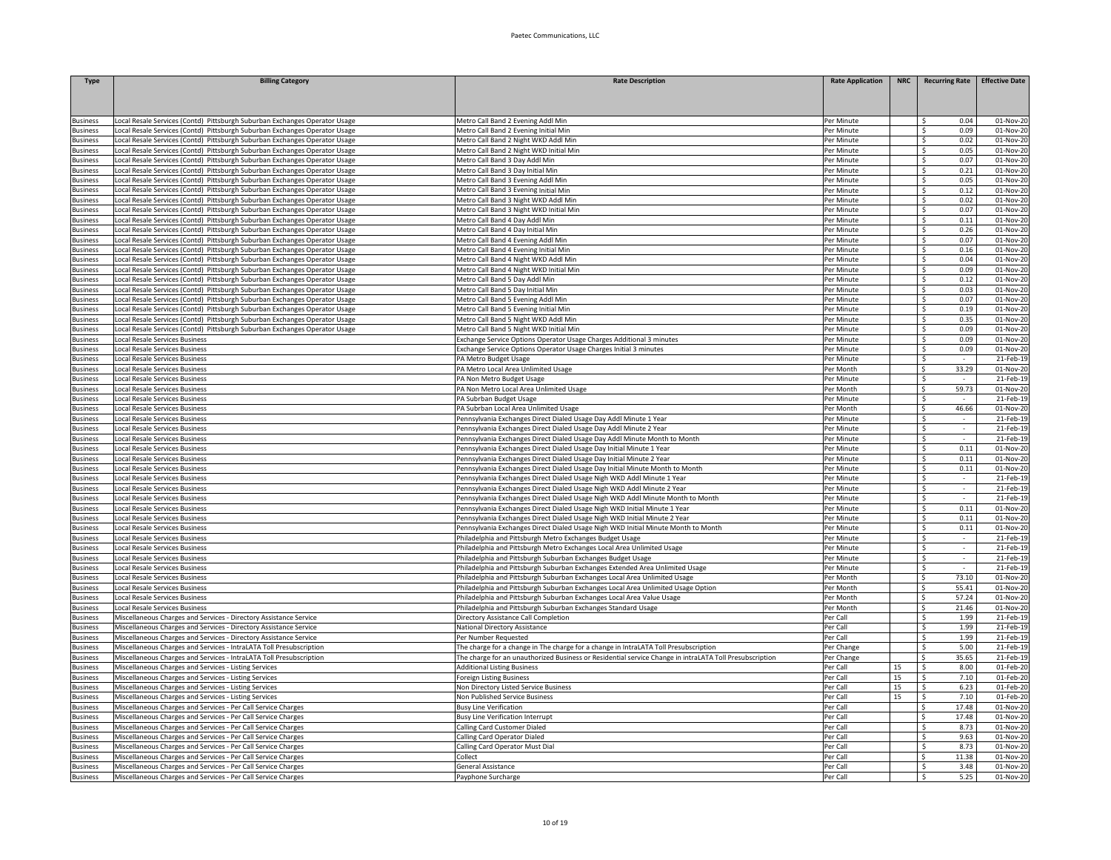| <b>Type</b>                        | <b>Billing Category</b>                                                    | <b>Rate Description</b>                                                                                                                | <b>Rate Application</b>  | <b>NRC</b> | <b>Recurring Rate</b>           | <b>Effective Date</b>   |
|------------------------------------|----------------------------------------------------------------------------|----------------------------------------------------------------------------------------------------------------------------------------|--------------------------|------------|---------------------------------|-------------------------|
|                                    |                                                                            |                                                                                                                                        |                          |            |                                 |                         |
|                                    |                                                                            |                                                                                                                                        |                          |            |                                 |                         |
| <b>Susiness</b>                    | Local Resale Services (Contd) Pittsburgh Suburban Exchanges Operator Usage | Metro Call Band 2 Evening Addl Min                                                                                                     | Per Minute               |            | Š.<br>0.04                      | $\overline{01}$ -Nov-20 |
| <b>Business</b>                    | Local Resale Services (Contd) Pittsburgh Suburban Exchanges Operator Usage | Metro Call Band 2 Evening Initial Min                                                                                                  | Per Minute               |            | $\mathsf{s}$<br>0.09            | 01-Nov-20               |
| <b>Business</b>                    | Local Resale Services (Contd) Pittsburgh Suburban Exchanges Operator Usage | Metro Call Band 2 Night WKD Addl Min                                                                                                   | Per Minute               |            | \$.<br>0.02                     | 01-Nov-20               |
| lusiness                           | Local Resale Services (Contd) Pittsburgh Suburban Exchanges Operator Usage | Metro Call Band 2 Night WKD Initial Min                                                                                                | Per Minute               |            | 0.05<br>Š.                      | 01-Nov-20               |
| <b>Business</b>                    | Local Resale Services (Contd) Pittsburgh Suburban Exchanges Operator Usage | Metro Call Band 3 Day Addl Min                                                                                                         | Per Minute               |            | 0.07<br>Š.                      | 01-Nov-20               |
| <b>Business</b>                    | Local Resale Services (Contd) Pittsburgh Suburban Exchanges Operator Usage | Metro Call Band 3 Day Initial Min                                                                                                      | Per Minute               |            | 0.21<br>\$                      | 01-Nov-20               |
| <b>Business</b>                    | Local Resale Services (Contd) Pittsburgh Suburban Exchanges Operator Usage | Metro Call Band 3 Evening Addl Min                                                                                                     | Per Minute               |            | 0.05<br>\$                      | 01-Nov-20               |
| <b>Business</b>                    | Local Resale Services (Contd) Pittsburgh Suburban Exchanges Operator Usage | Metro Call Band 3 Evening Initial Min                                                                                                  | Per Minute               |            | 0.12<br>\$                      | 01-Nov-20               |
| Business                           | Local Resale Services (Contd) Pittsburgh Suburban Exchanges Operator Usage | Metro Call Band 3 Night WKD Addl Min                                                                                                   | Per Minute               |            | 0.02<br>Ŝ.                      | 01-Nov-2                |
| <b>Business</b>                    | Local Resale Services (Contd) Pittsburgh Suburban Exchanges Operator Usage | Metro Call Band 3 Night WKD Initial Min                                                                                                | Per Minute               |            | \$.<br>0.07                     | 01-Nov-2                |
| <b>Business</b>                    | Local Resale Services (Contd) Pittsburgh Suburban Exchanges Operator Usage | Metro Call Band 4 Day Addl Min                                                                                                         | Per Minute               |            | \$<br>0.11                      | 01-Nov-20               |
| <b>Business</b>                    | Local Resale Services (Contd) Pittsburgh Suburban Exchanges Operator Usage | Metro Call Band 4 Day Initial Min                                                                                                      | Per Minute               |            | $\overline{\mathsf{s}}$<br>0.26 | 01-Nov-20               |
| <b>Business</b>                    | Local Resale Services (Contd) Pittsburgh Suburban Exchanges Operator Usage | Metro Call Band 4 Evening Addl Min                                                                                                     | Per Minute               |            | \$<br>0.07                      | 01-Nov-20               |
| Business                           | Local Resale Services (Contd) Pittsburgh Suburban Exchanges Operator Usage | Metro Call Band 4 Evening Initial Min                                                                                                  | Per Minute               |            | \$<br>0.16                      | 01-Nov-20               |
| <b>Business</b>                    | Local Resale Services (Contd) Pittsburgh Suburban Exchanges Operator Usage | Metro Call Band 4 Night WKD Addl Min                                                                                                   | Per Minute               |            | Ś.<br>0.04                      | 01-Nov-20               |
| <b>Business</b>                    | Local Resale Services (Contd) Pittsburgh Suburban Exchanges Operator Usage | Metro Call Band 4 Night WKD Initial Min                                                                                                | Per Minute               |            | 0.09<br>\$.                     | $01-Nov-20$             |
| Business                           | Local Resale Services (Contd) Pittsburgh Suburban Exchanges Operator Usage | Metro Call Band 5 Day Addl Min                                                                                                         | Per Minute               |            | 0.12<br>\$                      | 01-Nov-20               |
| <b>Business</b>                    | Local Resale Services (Contd) Pittsburgh Suburban Exchanges Operator Usage | Metro Call Band 5 Day Initial Min                                                                                                      | Per Minute               |            | 0.03<br>Ŝ.                      | 01-Nov-2                |
| <b>Business</b>                    | Local Resale Services (Contd) Pittsburgh Suburban Exchanges Operator Usage | Metro Call Band 5 Evening Addl Min                                                                                                     | Per Minute               |            | \$<br>0.07                      | 01-Nov-2                |
| <b>Susiness</b>                    | Local Resale Services (Contd) Pittsburgh Suburban Exchanges Operator Usage | Metro Call Band 5 Evening Initial Min                                                                                                  | Per Minute               |            | s.<br>0.19                      | 01-Nov-2                |
| <b>Business</b>                    | Local Resale Services (Contd) Pittsburgh Suburban Exchanges Operator Usage | Metro Call Band 5 Night WKD Addl Min                                                                                                   | Per Minute               |            | \$.<br>0.35                     | 01-Nov-20               |
| Business                           | Local Resale Services (Contd) Pittsburgh Suburban Exchanges Operator Usage | Metro Call Band 5 Night WKD Initial Min                                                                                                | Per Minute               |            | \$<br>0.09                      | 01-Nov-20               |
| Business                           | Local Resale Services Business                                             | Exchange Service Options Operator Usage Charges Additional 3 minutes                                                                   | Per Minute               |            | \$<br>0.09<br>0.09              | 01-Nov-20               |
| lusiness<br><b>Business</b>        | Local Resale Services Business<br>Local Resale Services Business           | xchange Service Options Operator Usage Charges Initial 3 minutes                                                                       | Per Minute<br>Per Minute |            | Ś.                              | 01-Nov-20<br>21-Feb-1   |
|                                    |                                                                            | PA Metro Budget Usage                                                                                                                  |                          |            | $\ddot{\mathsf{s}}$<br>33.29    |                         |
| Business                           | Local Resale Services Business                                             | PA Metro Local Area Unlimited Usage                                                                                                    | Per Month                |            | Ŝ.                              | 01-Nov-20               |
| <b>Business</b>                    | Local Resale Services Business                                             | PA Non Metro Budget Usage                                                                                                              | Per Minute<br>Per Month  |            | Ŝ.<br>$\sim$<br>59.73<br>Ś.     | 21-Feb-1                |
| <b>Business</b>                    | Local Resale Services Business<br>Local Resale Services Business           | PA Non Metro Local Area Unlimited Usage                                                                                                | Per Minute               |            | Ś                               | 01-Nov-2                |
| <b>Business</b><br>lusiness        | Local Resale Services Business                                             | PA Subrban Budget Usage<br>PA Subrban Local Area Unlimited Usage                                                                       | Per Month                |            | \$<br>46.66                     | 21-Feb-1<br>01-Nov-2    |
|                                    | Local Resale Services Business                                             |                                                                                                                                        | Per Minute               |            | Ś                               | 21-Feb-1                |
| <b>Business</b><br><b>Business</b> | Local Resale Services Business                                             | Pennsylvania Exchanges Direct Dialed Usage Day Addl Minute 1 Year<br>Pennsylvania Exchanges Direct Dialed Usage Day Addl Minute 2 Year | Per Minute               |            | Ŝ.<br>$\sim$                    | 21-Feb-19               |
| <b>Business</b>                    | Local Resale Services Business                                             | Pennsylvania Exchanges Direct Dialed Usage Day Addl Minute Month to Month                                                              | Per Minute               |            | \$                              | 21-Feb-19               |
| <b>Business</b>                    | Local Resale Services Business                                             | Pennsylvania Exchanges Direct Dialed Usage Day Initial Minute 1 Year                                                                   | Per Minute               |            | \$<br>0.11                      | 01-Nov-20               |
| <b>Business</b>                    | Local Resale Services Business                                             | Pennsylvania Exchanges Direct Dialed Usage Day Initial Minute 2 Year                                                                   | Per Minute               |            | 0.11<br>\$                      | 01-Nov-20               |
| Business                           | Local Resale Services Business                                             | Pennsylvania Exchanges Direct Dialed Usage Day Initial Minute Month to Month                                                           | Per Minute               |            | 0.11<br>\$                      | 01-Nov-20               |
| <b>Business</b>                    | <b>Local Resale Services Business</b>                                      | Pennsylvania Exchanges Direct Dialed Usage Nigh WKD Addl Minute 1 Year                                                                 | Per Minute               |            | Ŝ.                              | 21-Feb-1                |
| <b>Business</b>                    | Local Resale Services Business                                             | Pennsylvania Exchanges Direct Dialed Usage Nigh WKD Addl Minute 2 Year                                                                 | Per Minute               |            | Ś.<br>$\sim$                    | 21-Feb-1                |
| dusiness                           | <b>Local Resale Services Business</b>                                      | Pennsylvania Exchanges Direct Dialed Usage Nigh WKD Addl Minute Month to Month                                                         | Per Minute               |            | \$                              | 21-Feb-1                |
| Business                           | <b>Local Resale Services Business</b>                                      | Pennsylvania Exchanges Direct Dialed Usage Nigh WKD Initial Minute 1 Year                                                              | Per Minute               |            | \$<br>0.11                      | 01-Nov-2                |
| Business                           | Local Resale Services Business                                             | Pennsylvania Exchanges Direct Dialed Usage Nigh WKD Initial Minute 2 Year                                                              | Per Minute               |            | s.<br>0.11                      | 01-Nov-20               |
| Business                           | Local Resale Services Business                                             | Pennsylvania Exchanges Direct Dialed Usage Nigh WKD Initial Minute Month to Month                                                      | Per Minute               |            | Ś.<br>0.11                      | 01-Nov-20               |
| <b>Business</b>                    | Local Resale Services Business                                             | hiladelphia and Pittsburgh Metro Exchanges Budget Usage                                                                                | Per Minute               |            | Ś.                              | 21-Feb-1                |
| <b>Business</b>                    | Local Resale Services Business                                             | Philadelphia and Pittsburgh Metro Exchanges Local Area Unlimited Usage                                                                 | Per Minute               |            | \$.<br>$\overline{\phantom{a}}$ | 21-Feb-1                |
| <b>Business</b>                    | Local Resale Services Business                                             | Philadelphia and Pittsburgh Suburban Exchanges Budget Usage                                                                            | Per Minute               |            | \$<br>$\sim$                    | 21-Feb-1                |
| <b>Business</b>                    | <b>Local Resale Services Business</b>                                      | Philadelphia and Pittsburgh Suburban Exchanges Extended Area Unlimited Usage                                                           | Per Minute               |            | Ś.                              | 21-Feb-1                |
| Business                           | Local Resale Services Business                                             | Philadelphia and Pittsburgh Suburban Exchanges Local Area Unlimited Usage                                                              | Per Month                |            | 73.10<br>Ś.                     | 01-Nov-2                |
| <b>Business</b>                    | Local Resale Services Business                                             | Philadelphia and Pittsburgh Suburban Exchanges Local Area Unlimited Usage Option                                                       | Per Month                |            | Ś.<br>55.41                     | 01-Nov-2                |
| <b>Business</b>                    | Local Resale Services Business                                             | Philadelphia and Pittsburgh Suburban Exchanges Local Area Value Usage                                                                  | Per Month                |            | Ś<br>57.24                      | 01-Nov-2                |
| <b>Business</b>                    | Local Resale Services Business                                             | Philadelphia and Pittsburgh Suburban Exchanges Standard Usage                                                                          | Per Month                |            | \$.<br>21.46                    | 01-Nov-20               |
| <b>Business</b>                    | Miscellaneous Charges and Services - Directory Assistance Service          | Directory Assistance Call Completion                                                                                                   | Per Call                 |            | Ŝ.<br>1.99                      | 21-Feb-19               |
| <b>Business</b>                    | Miscellaneous Charges and Services - Directory Assistance Service          | <b>National Directory Assistance</b>                                                                                                   | Per Call                 |            | 1.99<br>Ŝ.                      | 21-Feb-1                |
| <b>Business</b>                    | Miscellaneous Charges and Services - Directory Assistance Service          | Per Number Requested                                                                                                                   | Per Call                 |            | 1.99<br>\$.                     | 21-Feb-1                |
| Business                           | Miscellaneous Charges and Services - IntraLATA Toll Presubscription        | The charge for a change in The charge for a change in IntraLATA Toll Presubscription                                                   | Per Change               |            | 5.00<br>Ŝ.                      | 21-Feb-1                |
| Business                           | Miscellaneous Charges and Services - IntraLATA Toll Presubscription        | The charge for an unauthorized Business or Residential service Change in intraLATA Toll Presubscription                                | Per Change               |            | 35.65<br>\$.                    | 21-Feb-1                |
| <b>Business</b>                    | Miscellaneous Charges and Services - Listing Services                      | <b>Additional Listing Business</b>                                                                                                     | Per Call                 | 15         | 8.00<br>Ŝ.                      | 01-Feb-2                |
| <b>Business</b>                    | Miscellaneous Charges and Services - Listing Services                      | Foreign Listing Business                                                                                                               | Per Call                 | 15         | 7.10<br>Ŝ.                      | 01-Feb-2                |
| <b>Susiness</b>                    | Miscellaneous Charges and Services - Listing Services                      | Non Directory Listed Service Business                                                                                                  | Per Call                 | 15         | $\mathsf{s}$<br>6.23            | 01-Feb-2                |
| <b>Business</b>                    | Miscellaneous Charges and Services - Listing Services                      | Non Published Service Business                                                                                                         | Per Call                 | 15         | $\overline{\mathsf{S}}$<br>7.10 | 01-Feb-20               |
| <b>Business</b>                    | Miscellaneous Charges and Services - Per Call Service Charges              | <b>Busy Line Verification</b>                                                                                                          | Per Call                 |            | \$<br>17.48                     | 01-Nov-20               |
| <b>Business</b>                    | Miscellaneous Charges and Services - Per Call Service Charges              | <b>Busy Line Verification Interrupt</b>                                                                                                | Per Call                 |            | 17.48<br>\$                     | 01-Nov-20               |
| <b>Business</b>                    | Miscellaneous Charges and Services - Per Call Service Charges              | Calling Card Customer Dialed                                                                                                           | Per Call                 |            | Ś<br>8.73                       | 01-Nov-20               |
| <b>Business</b>                    | Miscellaneous Charges and Services - Per Call Service Charges              | Calling Card Operator Dialed                                                                                                           | Per Call                 |            | 9.63<br>\$                      | 01-Nov-20               |
| <b>Business</b>                    | Miscellaneous Charges and Services - Per Call Service Charges              | Calling Card Operator Must Dial                                                                                                        | Per Call                 |            | 8.73<br>\$                      | 01-Nov-20               |
| Business                           | Miscellaneous Charges and Services - Per Call Service Charges              | Collect                                                                                                                                | Per Call                 |            | 11.38<br>\$                     | 01-Nov-20               |
| <b>Business</b>                    | Miscellaneous Charges and Services - Per Call Service Charges              | General Assistance                                                                                                                     | Per Call                 |            | 3.48<br>Ŝ.                      | 01-Nov-20               |
| <b>Business</b>                    | Miscellaneous Charges and Services - Per Call Service Charges              | Payphone Surcharge                                                                                                                     | Per Call                 |            | \$.<br>5.25                     | 01-Nov-20               |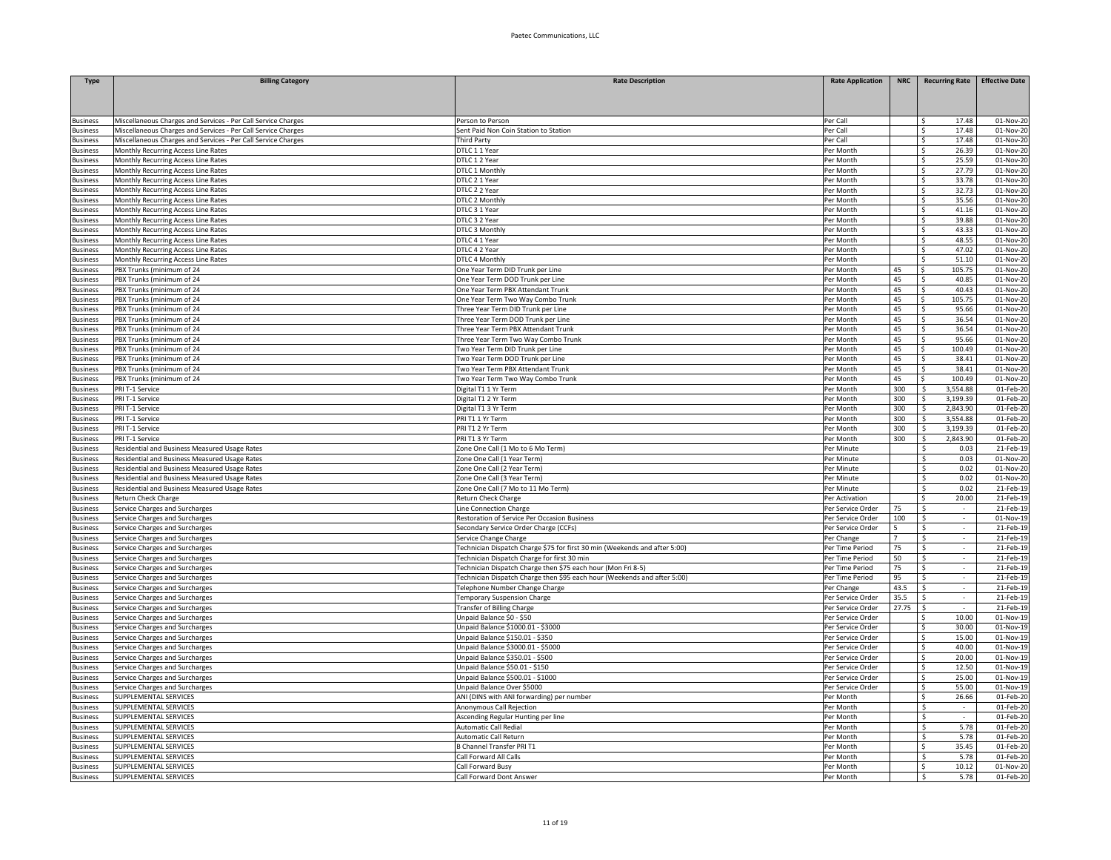| <b>Type</b>                        | <b>Billing Category</b>                                                                        | <b>Rate Description</b>                                                                                     | <b>Rate Application</b>                | <b>NRC</b> |                                         |                  | Recurring Rate Effective Date |
|------------------------------------|------------------------------------------------------------------------------------------------|-------------------------------------------------------------------------------------------------------------|----------------------------------------|------------|-----------------------------------------|------------------|-------------------------------|
|                                    |                                                                                                |                                                                                                             |                                        |            |                                         |                  |                               |
| <b>Business</b>                    | Miscellaneous Charges and Services - Per Call Service Charges                                  | Person to Person                                                                                            | Per Call                               |            | Ŝ                                       | 17.48            | 01-Nov-20                     |
| <b>Business</b>                    | Miscellaneous Charges and Services - Per Call Service Charges                                  | Sent Paid Non Coin Station to Station                                                                       | Per Call                               |            | Ŝ.                                      | 17.48            | 01-Nov-20                     |
| <b>Business</b>                    | Miscellaneous Charges and Services - Per Call Service Charges                                  | <b>Third Party</b>                                                                                          | Per Call                               |            | S.                                      | 17.48            | 01-Nov-20                     |
| <b>Business</b>                    | Monthly Recurring Access Line Rates                                                            | DTLC 1 1 Year                                                                                               | Per Month                              |            | $\overline{\mathsf{s}}$<br>s.           | 26.39            | 01-Nov-20                     |
| <b>Business</b><br><b>Business</b> | Monthly Recurring Access Line Rates<br>Monthly Recurring Access Line Rates                     | DTLC 1 2 Year<br>DTLC 1 Monthly                                                                             | Per Month<br>Per Month                 |            | S.                                      | 25.59<br>27.79   | 01-Nov-20<br>01-Nov-20        |
| <b>Business</b>                    | Monthly Recurring Access Line Rates                                                            | DTLC 2 1 Year                                                                                               | Per Month                              |            | S.                                      | 33.78            | 01-Nov-20                     |
| Business                           | Monthly Recurring Access Line Rates                                                            | DTLC 2 2 Year                                                                                               | Per Month                              |            | \$                                      | 32.73            | 01-Nov-20                     |
| <b>Business</b>                    | Monthly Recurring Access Line Rates                                                            | DTLC 2 Monthly                                                                                              | Per Month                              |            | -\$                                     | 35.56            | 01-Nov-20                     |
| <b>Business</b>                    | Monthly Recurring Access Line Rates                                                            | DTLC 3 1 Year                                                                                               | Per Month                              |            | S.                                      | 41.16            | 01-Nov-20                     |
| <b>Business</b>                    | Monthly Recurring Access Line Rates                                                            | DTLC 3 2 Year                                                                                               | Per Month                              |            | S.                                      | 39.88            | 01-Nov-2                      |
| <b>Business</b>                    | Monthly Recurring Access Line Rates                                                            | DTLC 3 Monthly                                                                                              | Per Month                              |            | $\overline{\mathsf{s}}$                 | 43.33            | $01-Nov-2$                    |
| <b>Business</b>                    | Monthly Recurring Access Line Rates                                                            | DTLC 4 1 Year                                                                                               | Per Month                              |            | $\overline{\mathsf{s}}$<br>$\mathsf{S}$ | 48.55            | 01-Nov-20                     |
| <b>Business</b><br><b>Business</b> | Monthly Recurring Access Line Rates<br>Monthly Recurring Access Line Rates                     | DTLC 4 2 Year<br>DTLC 4 Monthly                                                                             | Per Month<br>Per Month                 |            | S.                                      | 47.02<br>51.10   | 01-Nov-20<br>01-Nov-20        |
| <b>Business</b>                    | PBX Trunks (minimum of 24                                                                      | One Year Term DID Trunk per Line                                                                            | Per Month                              | 45         | \$                                      | 105.75           | 01-Nov-20                     |
| <b>Business</b>                    | PBX Trunks (minimum of 24                                                                      | One Year Term DOD Trunk per Line                                                                            | Per Month                              | 45         | -\$                                     | 40.85            | 01-Nov-20                     |
| <b>Business</b>                    | PBX Trunks (minimum of 24                                                                      | One Year Term PBX Attendant Trunk                                                                           | Per Month                              | 45         | -\$                                     | 40.43            | 01-Nov-20                     |
| <b>Business</b>                    | PBX Trunks (minimum of 24                                                                      | One Year Term Two Way Combo Trunk                                                                           | Per Month                              | 45         | \$                                      | 105.75           | 01-Nov-20                     |
| lusiness                           | PBX Trunks (minimum of 24                                                                      | Three Year Term DID Trunk per Line                                                                          | Per Month                              | 45         | $\mathsf{s}$                            | 95.66            | 01-Nov-2                      |
| susiness                           | PBX Trunks (minimum of 24                                                                      | Three Year Term DOD Trunk per Line                                                                          | Per Month                              | 45         | $\dot{\mathsf{s}}$                      | 36.54            | 01-Nov-2                      |
| <b>Business</b>                    | PBX Trunks (minimum of 24                                                                      | Three Year Term PBX Attendant Trunk                                                                         | Per Month                              | 45         | $\overline{\mathsf{s}}$                 | 36.54            | 01-Nov-20                     |
| <b>Business</b>                    | PBX Trunks (minimum of 24                                                                      | Three Year Term Two Way Combo Trunk                                                                         | Per Month                              | 45         | $\mathsf{s}$<br><b>S</b>                | 95.66            | 01-Nov-20                     |
| <b>Business</b><br><b>Business</b> | PBX Trunks (minimum of 24<br>PBX Trunks (minimum of 24                                         | Two Year Term DID Trunk per Line<br>Two Year Term DOD Trunk per Line                                        | Per Month<br>Per Month                 | 45<br>45   | \$                                      | 100.49<br>38.41  | 01-Nov-20<br>01-Nov-20        |
| Business                           | PBX Trunks (minimum of 24                                                                      | Two Year Term PBX Attendant Trunk                                                                           | Per Month                              | 45         | \$                                      | 38.41            | 01-Nov-20                     |
| <b>Business</b>                    | PBX Trunks (minimum of 24                                                                      | Two Year Term Two Way Combo Trunk                                                                           | Per Month                              | 45         | \$                                      | 100.49           | 01-Nov-20                     |
| <b>Business</b>                    | PRI T-1 Service                                                                                | Digital T1 1 Yr Term                                                                                        | Per Month                              | 300        | \$                                      | 3,554.88         | 01-Feb-20                     |
| lusiness                           | PRI T-1 Service                                                                                | Digital T1 2 Yr Term                                                                                        | Per Month                              | 300        | \$                                      | 3,199.39         | 01-Feb-2                      |
| <b>Business</b>                    | PRI T-1 Service                                                                                | Digital T1 3 Yr Term                                                                                        | Per Month                              | 300        | Ŝ.                                      | 2,843.90         | 01-Feb-20                     |
| <b>Business</b>                    | PRI T-1 Service                                                                                | PRI T1 1 Yr Term                                                                                            | Per Month                              | 300        | S.                                      | 3,554.88         | 01-Feb-20                     |
| <b>Business</b>                    | PRI T-1 Service                                                                                | PRI T1 2 Yr Term                                                                                            | Per Month                              | 300        | - S                                     | 3,199.39         | 01-Feb-20                     |
| <b>Business</b>                    | PRI T-1 Service                                                                                | PRI T1 3 Yr Term                                                                                            | Per Month                              | 300        | $\mathsf{s}$                            | 2,843.90         | 01-Feb-20                     |
| <b>Business</b><br><b>Business</b> | Residential and Business Measured Usage Rates<br>Residential and Business Measured Usage Rates | Zone One Call (1 Mo to 6 Mo Term)<br>Zone One Call (1 Year Term)                                            | Per Minute<br>Per Minute               |            | -S<br>S.                                | 0.03<br>0.03     | 21-Feb-19<br>01-Nov-20        |
| <b>Business</b>                    | Residential and Business Measured Usage Rates                                                  | Zone One Call (2 Year Term)                                                                                 | Per Minute                             |            | - Ś                                     | 0.02             | 01-Nov-20                     |
| <b>Business</b>                    | Residential and Business Measured Usage Rates                                                  | Zone One Call (3 Year Term)                                                                                 | Per Minute                             |            | $\mathsf{S}$                            | 0.02             | 01-Nov-2                      |
| lusiness                           | Residential and Business Measured Usage Rates                                                  | Zone One Call (7 Mo to 11 Mo Term)                                                                          | Per Minute                             |            | -\$                                     | 0.02             | 21-Feb-19                     |
| lusiness                           | Return Check Charge                                                                            | <b>Return Check Charge</b>                                                                                  | Per Activation                         |            | Ŝ.                                      | 20.00            | 21-Feb-1                      |
| Business                           | Service Charges and Surcharges                                                                 | Line Connection Charge                                                                                      | Per Service Order                      | 75         | $\overline{\mathsf{s}}$                 |                  | 21-Feb-19                     |
| <b>Business</b>                    | Service Charges and Surcharges                                                                 | Restoration of Service Per Occasion Business                                                                | Per Service Order                      | 100        | - S                                     | $\sim$           | 01-Nov-19                     |
| <b>Business</b>                    | Service Charges and Surcharges                                                                 | Secondary Service Order Charge (CCFs)                                                                       | Per Service Order                      | 5          | <sup>\$</sup>                           |                  | 21-Feb-19                     |
| <b>Business</b>                    | Service Charges and Surcharges                                                                 | Service Change Charge                                                                                       | Per Change                             | 7          | -S                                      | $\sim$           | 21-Feb-19                     |
| Business                           | Service Charges and Surcharges                                                                 | Technician Dispatch Charge \$75 for first 30 min (Weekends and after 5:00)                                  | Per Time Period                        | 75         | -S                                      | $\sim$           | 21-Feb-19<br>21-Feb-19        |
| <b>Business</b><br><b>Business</b> | Service Charges and Surcharges<br>Service Charges and Surcharges                               | Technician Dispatch Charge for first 30 min<br>Technician Dispatch Charge then \$75 each hour (Mon Fri 8-5) | Per Time Period<br>Per Time Period     | 50<br>75   | -\$<br>- Ś                              | $\sim$<br>$\sim$ | 21-Feb-1                      |
| lusiness                           | Service Charges and Surcharges                                                                 | Technician Dispatch Charge then \$95 each hour (Weekends and after 5:00)                                    | Per Time Period                        | 95         | -\$                                     | $\sim$           | 21-Feb-1                      |
| <b>Business</b>                    | Service Charges and Surcharges                                                                 | Telephone Number Change Charge                                                                              | Per Change                             | 43.5       | s.                                      | $\mathcal{L}$    | 21-Feb-1                      |
| <b>Business</b>                    | Service Charges and Surcharges                                                                 | <b>Temporary Suspension Charge</b>                                                                          | Per Service Order                      | 35.5       | S.                                      | $\sim$           | 21-Feb-19                     |
| <b>Business</b>                    | Service Charges and Surcharges                                                                 | <b>Transfer of Billing Charge</b>                                                                           | Per Service Order                      | 27.75      | -Ś                                      | $\sim$           | 21-Feb-19                     |
| <b>Business</b>                    | Service Charges and Surcharges                                                                 | Unpaid Balance \$0 - \$50                                                                                   | Per Service Order                      |            |                                         | 10.00            | 01-Nov-19                     |
| <b>Business</b>                    | Service Charges and Surcharges                                                                 | Unpaid Balance \$1000.01 - \$3000                                                                           | Per Service Order                      |            | -\$                                     | 30.00            | 01-Nov-19                     |
| <b>Business</b>                    | Service Charges and Surcharges                                                                 | Unpaid Balance \$150.01 - \$350                                                                             | Per Service Order                      |            | -S                                      | 15.00            | 01-Nov-19                     |
| <b>Business</b>                    | Service Charges and Surcharges                                                                 | Unpaid Balance \$3000.01 - \$5000                                                                           | Per Service Order<br>Per Service Order |            | S.<br>- S                               | 40.00<br>20.00   | 01-Nov-19                     |
| <b>Business</b><br>lusiness        | Service Charges and Surcharges<br>Service Charges and Surcharges                               | Unpaid Balance \$350.01 - \$500<br>Unpaid Balance \$50.01 - \$150                                           | Per Service Order                      |            | S.                                      | 12.50            | 01-Nov-19<br>01-Nov-1         |
| <b>Business</b>                    | Service Charges and Surcharges                                                                 | Unpaid Balance \$500.01 - \$1000                                                                            | Per Service Order                      |            | s.                                      | 25.00            | 01-Nov-1                      |
| <b>Business</b>                    | Service Charges and Surcharges                                                                 | Unpaid Balance Over \$5000                                                                                  | Per Service Order                      |            | $\overline{\mathsf{s}}$                 | 55.00            | 01-Nov-19                     |
| <b>Business</b>                    | SUPPLEMENTAL SERVICES                                                                          | ANI (DINS with ANI forwarding) per number                                                                   | Per Month                              |            | -Ś                                      | 26.66            | 01-Feb-20                     |
| <b>Business</b>                    | SUPPLEMENTAL SERVICES                                                                          | Anonymous Call Rejection                                                                                    | Per Month                              |            | Ŝ.                                      |                  | 01-Feb-20                     |
| <b>Business</b>                    | SUPPLEMENTAL SERVICES                                                                          | Ascending Regular Hunting per line                                                                          | Per Month                              |            | \$                                      | $\sim$           | 01-Feb-20                     |
| <b>Business</b>                    | SUPPLEMENTAL SERVICES                                                                          | Automatic Call Redial                                                                                       | Per Month                              |            | \$                                      | 5.78             | 01-Feb-20                     |
| Business                           | SUPPLEMENTAL SERVICES                                                                          | Automatic Call Return                                                                                       | Per Month                              |            | -\$                                     | 5.78             | 01-Feb-20                     |
| <b>Business</b>                    | SUPPLEMENTAL SERVICES                                                                          | <b>B Channel Transfer PRI T1</b>                                                                            | Per Month                              |            | -S                                      | 35.45            | 01-Feb-20                     |
| <b>Business</b>                    | SUPPLEMENTAL SERVICES<br>SUPPLEMENTAL SERVICES                                                 | Call Forward All Calls                                                                                      | Per Month<br>Per Month                 |            | -\$<br>Ŝ.                               | 5.78<br>10.12    | 01-Feb-20<br>01-Nov-20        |
| <b>Business</b><br><b>Business</b> | SUPPLEMENTAL SERVICES                                                                          | Call Forward Busy<br>Call Forward Dont Answer                                                               | Per Month                              |            | S.                                      | 5.78             | 01-Feb-20                     |
|                                    |                                                                                                |                                                                                                             |                                        |            |                                         |                  |                               |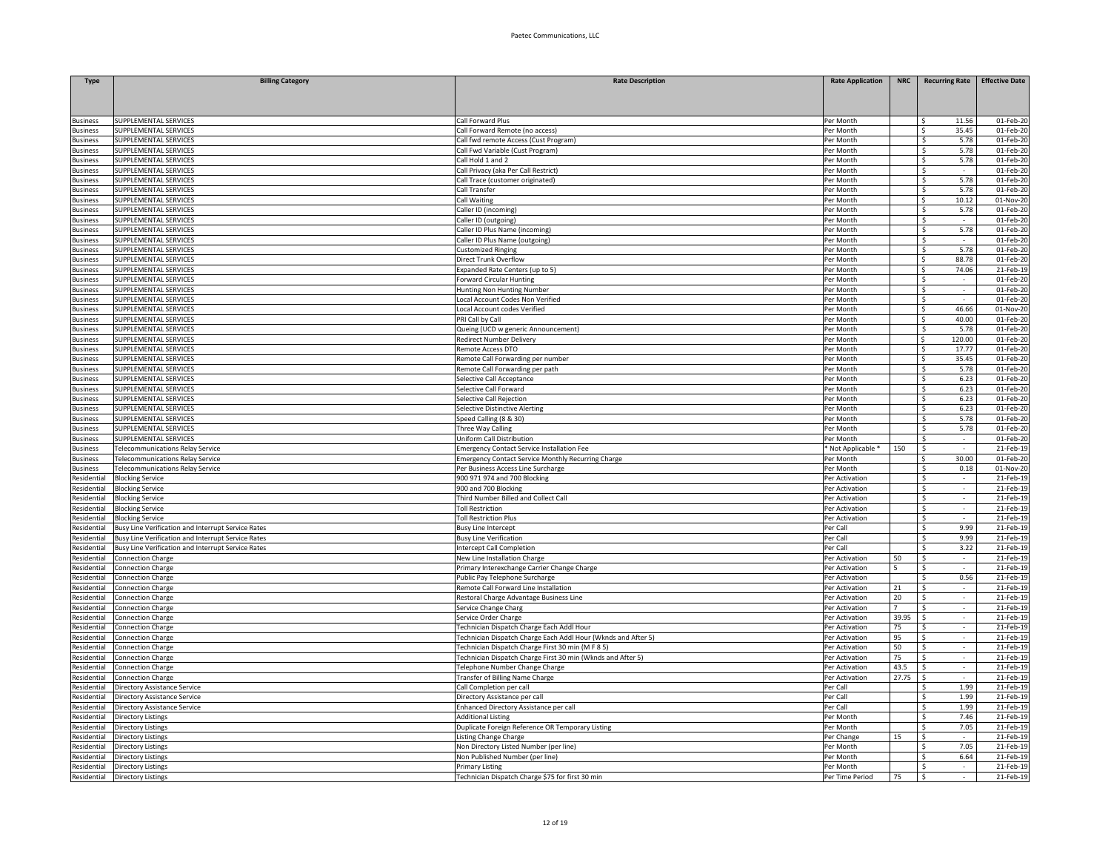| <b>Type</b>                        | <b>Billing Category</b>                            | <b>Rate Description</b>                                                       | <b>Rate Application</b>          | NRC            | <b>Recurring Rate</b>                    | <b>Effective Date</b>  |
|------------------------------------|----------------------------------------------------|-------------------------------------------------------------------------------|----------------------------------|----------------|------------------------------------------|------------------------|
|                                    |                                                    |                                                                               |                                  |                |                                          |                        |
|                                    |                                                    |                                                                               |                                  |                |                                          |                        |
| <b>Business</b>                    | SUPPLEMENTAL SERVICES                              | Call Forward Plus                                                             | Per Month                        |                | 11.56<br>S.                              | 01-Feb-20              |
| <b>Business</b>                    | SUPPLEMENTAL SERVICES                              | Call Forward Remote (no access)                                               | Per Month                        |                | -\$<br>35.45                             | 01-Feb-20              |
| <b>Business</b>                    | SUPPLEMENTAL SERVICES                              | Call fwd remote Access (Cust Program)                                         | Per Month                        |                | 5.78<br>- Ś                              | 01-Feb-2               |
| lusiness                           | SUPPLEMENTAL SERVICES                              | Call Fwd Variable (Cust Program)                                              | Per Month                        |                | \$<br>5.78                               | 01-Feb-20              |
| <b>Business</b>                    | SUPPLEMENTAL SERVICES                              | Call Hold 1 and 2                                                             | Per Month                        |                | \$<br>5.78                               | 01-Feb-20              |
| <b>Business</b>                    | SUPPLEMENTAL SERVICES                              | Call Privacy (aka Per Call Restrict)                                          | Per Month                        |                | \$                                       | 01-Feb-20              |
| <b>Business</b>                    | SUPPLEMENTAL SERVICES                              | Call Trace (customer originated)                                              | Per Month                        |                | \$<br>5.78                               | 01-Feb-20              |
| <b>Business</b>                    | SUPPLEMENTAL SERVICES                              | Call Transfer                                                                 | Per Month                        |                | Ŝ.<br>5.78                               | 01-Feb-20              |
| lusiness                           | SUPPLEMENTAL SERVICES                              | Call Waiting                                                                  | Per Month                        |                | 10.12<br>\$                              | 01-Nov-20              |
| <b>Business</b>                    | SUPPLEMENTAL SERVICES                              | Caller ID (incoming)                                                          | Per Month                        |                | 5.78<br>S.                               | 01-Feb-20              |
| <b>Business</b>                    | SUPPLEMENTAL SERVICES                              | Caller ID (outgoing)                                                          | Per Month                        |                | \$<br>$\sim$                             | 01-Feb-20              |
| <b>Business</b><br>lusiness        | SUPPLEMENTAL SERVICES<br>SUPPLEMENTAL SERVICES     | Caller ID Plus Name (incoming)<br>Caller ID Plus Name (outgoing)              | Per Month<br>Per Month           |                | 5.78<br>$\mathsf{S}$<br>-\$              | 01-Feb-2<br>01-Feb-2   |
| <b>Business</b>                    | SUPPLEMENTAL SERVICES                              | <b>Customized Ringing</b>                                                     | Per Month                        |                | \$<br>5.78                               | 01-Feb-2               |
| <b>Business</b>                    | SUPPLEMENTAL SERVICES                              | Direct Trunk Overflow                                                         | Per Month                        |                | $\overline{\mathsf{s}}$<br>88.78         | 01-Feb-20              |
| <b>Business</b>                    | SUPPLEMENTAL SERVICES                              | Expanded Rate Centers (up to 5)                                               | Per Month                        |                | S.<br>74.06                              | 21-Feb-19              |
| <b>Business</b>                    | SUPPLEMENTAL SERVICES                              | <b>Forward Circular Hunting</b>                                               | Per Month                        |                | Ŝ.                                       | 01-Feb-20              |
| <b>Business</b>                    | SUPPLEMENTAL SERVICES                              | <b>Hunting Non Hunting Number</b>                                             | Per Month                        |                | -\$<br>$\mathcal{L}_{\mathcal{A}}$       | 01-Feb-20              |
| <b>Business</b>                    | SUPPLEMENTAL SERVICES                              | Local Account Codes Non Verified                                              | Per Month                        |                | -\$<br>$\sim$                            | 01-Feb-20              |
| <b>Business</b>                    | SUPPLEMENTAL SERVICES                              | Local Account codes Verified                                                  | Per Month                        |                | l \$<br>46.66                            | 01-Nov-20              |
| lusiness                           | SUPPLEMENTAL SERVICES                              | PRI Call by Call                                                              | Per Month                        |                | S.<br>40.00                              | 01-Feb-20              |
| lusiness                           | SUPPLEMENTAL SERVICES                              | Queing (UCD w generic Announcement)                                           | Per Month                        |                | -\$<br>5.78                              | 01-Feb-2               |
| <b>Business</b>                    | SUPPLEMENTAL SERVICES                              | Redirect Number Delivery                                                      | Per Month                        |                | S.<br>120.00                             | 01-Feb-20              |
| <b>Business</b>                    | SUPPLEMENTAL SERVICES                              | Remote Access DTO                                                             | Per Month                        |                | $\overline{\mathsf{s}}$<br>17.77         | 01-Feb-20              |
| <b>Business</b>                    | SUPPLEMENTAL SERVICES                              | Remote Call Forwarding per number                                             | Per Month                        |                | -Ś<br>35.45                              | 01-Feb-20              |
| <b>Business</b>                    | SUPPLEMENTAL SERVICES                              | Remote Call Forwarding per path                                               | Per Month                        |                | -\$<br>5.78                              | 01-Feb-20              |
| <b>Business</b>                    | SUPPLEMENTAL SERVICES                              | selective Call Acceptance                                                     | Per Month                        |                | 6.23<br>-\$                              | 01-Feb-20              |
| <b>Business</b>                    | SUPPLEMENTAL SERVICES                              | Selective Call Forward                                                        | Per Month                        |                | 6.23<br>\$                               | 01-Feb-20              |
| <b>Business</b><br><b>Business</b> | SUPPLEMENTAL SERVICES<br>SUPPLEMENTAL SERVICES     | Selective Call Rejection<br>Selective Distinctive Alerting                    | Per Month<br>Per Month           |                | -\$<br>6.23<br>6.23<br>-S                | 01-Feb-20<br>01-Feb-20 |
| <b>Business</b>                    | SUPPLEMENTAL SERVICES                              | Speed Calling (8 & 30)                                                        | Per Month                        |                | -\$<br>5.78                              | 01-Feb-2               |
| <b>Business</b>                    | SUPPLEMENTAL SERVICES                              | <b>Three Way Calling</b>                                                      | Per Month                        |                | $\overline{\mathsf{s}}$<br>5.78          | 01-Feb-20              |
| <b>Business</b>                    | SUPPLEMENTAL SERVICES                              | Uniform Call Distribution                                                     | Per Month                        |                | $\overline{\mathsf{s}}$<br>$\sim$        | 01-Feb-20              |
| <b>Business</b>                    | Telecommunications Relay Service                   | <b>Emergency Contact Service Installation Fee</b>                             | * Not Applicable *               | 150            | -\$                                      | 21-Feb-19              |
| <b>Business</b>                    | Telecommunications Relay Service                   | <b>Emergency Contact Service Monthly Recurring Charge</b>                     | Per Month                        |                | 30.00<br>Ŝ                               | 01-Feb-20              |
| Business                           | <b>Felecommunications Relay Service</b>            | Per Business Access Line Surcharge                                            | Per Month                        |                | 0.18<br>-\$                              | 01-Nov-20              |
| Residential                        | <b>Blocking Service</b>                            | 900 971 974 and 700 Blocking                                                  | Per Activation                   |                | -\$<br>$\sim$                            | 21-Feb-19              |
| Residential                        | <b>Blocking Service</b>                            | 900 and 700 Blocking                                                          | Per Activation                   |                | \$<br>$\sim$                             | 21-Feb-19              |
| Residential                        | <b>Blocking Service</b>                            | Third Number Billed and Collect Call                                          | Per Activation                   |                | \$<br>$\sim$                             | 21-Feb-19              |
| Residential                        | <b>Blocking Service</b>                            | <b>Toll Restriction</b>                                                       | Per Activation                   |                | \$<br>$\sim$                             | 21-Feb-1               |
| Residential                        | <b>Blocking Service</b>                            | <b>Toll Restriction Plus</b>                                                  | Per Activation                   |                | $\overline{\mathsf{S}}$                  | 21-Feb-19              |
| Residential                        | Busy Line Verification and Interrupt Service Rates | <b>Busy Line Intercept</b>                                                    | Per Call                         |                | 9.99<br>$\mathsf{S}$                     | 21-Feb-19              |
| Residential                        | Busy Line Verification and Interrupt Service Rates | <b>Busy Line Verification</b>                                                 | Per Call                         |                | 9.99<br>$\hat{\zeta}$                    | 21-Feb-19              |
| Residential                        | Busy Line Verification and Interrupt Service Rates | <b>Intercept Call Completion</b>                                              | Per Call                         |                | 3.22<br>\$                               | 21-Feb-19<br>21-Feb-19 |
| Residential<br>Residential         | Connection Charge<br>Connection Charge             | New Line Installation Charge<br>Primary Interexchange Carrier Change Charge   | Per Activation<br>Per Activation | 50<br>5        | \$<br>$\sim$<br>\$<br>$\mathcal{L}$      | 21-Feb-19              |
| Residential                        | <b>Connection Charge</b>                           | Public Pay Telephone Surcharge                                                | Per Activation                   |                | 0.56<br>S.                               | 21-Feb-19              |
| Residential                        | Connection Charge                                  | Remote Call Forward Line Installation                                         | Per Activation                   | 21             | -\$                                      | 21-Feb-19              |
| Residential                        | Connection Charge                                  | Restoral Charge Advantage Business Line                                       | Per Activation                   | 20             | \$<br>$\mathcal{L}$                      | 21-Feb-1               |
| Residential                        | <b>Connection Charge</b>                           | Service Change Charg                                                          | Per Activation                   | $\overline{7}$ | $\overline{\mathsf{s}}$<br>÷.            | 21-Feb-19              |
| Residential                        | Connection Charge                                  | Service Order Charge                                                          | Per Activation                   | 39.95          | $\mathsf{s}$<br>$\sim$                   | 21-Feb-19              |
| Residential                        | Connection Charge                                  | Technician Dispatch Charge Each Addl Hour                                     | Per Activation                   | 75             | <sup>\$</sup>                            | 21-Feb-19              |
| Residential                        | Connection Charge                                  | Technician Dispatch Charge Each Addl Hour (Wknds and After 5)                 | Per Activation                   | 95             | - Ś                                      | 21-Feb-19              |
| Residential                        | Connection Charge                                  | Technician Dispatch Charge First 30 min (M F 8 5)                             | Per Activation                   | 50             | $\mathsf{s}$<br>$\overline{\phantom{a}}$ | 21-Feb-19              |
| Residential                        | <b>Connection Charge</b>                           | Technician Dispatch Charge First 30 min (Wknds and After 5)                   | Per Activation                   | 75             | -\$<br>$\sim$                            | 21-Feb-19              |
| Residential                        | Connection Charge                                  | Telephone Number Change Charge                                                | Per Activation                   | 43.5           | - Ś<br>$\sim$                            | 21-Feb-19              |
| Residential                        | Connection Charge                                  | <b>Transfer of Billing Name Charge</b>                                        | Per Activation                   | 27.75          | -\$                                      | 21-Feb-1               |
| Residential                        | Directory Assistance Service                       | Call Completion per call                                                      | Per Call                         |                | <sup>\$</sup><br>1.99                    | 21-Feb-1               |
| Residential                        | Directory Assistance Service                       | Directory Assistance per call                                                 | Per Call                         |                | S.<br>1.99                               | 21-Feb-19              |
| Residential                        | Directory Assistance Service                       | Enhanced Directory Assistance per call                                        | Per Call                         |                | <sup>\$</sup><br>1.99                    | 21-Feb-19              |
| Residential<br>Residential         | Directory Listings<br><b>Directory Listings</b>    | <b>Additional Listing</b><br>Duplicate Foreign Reference OR Temporary Listing | Per Month<br>Per Month           |                | Ŝ.<br>7.46<br>7.05<br>-S                 | 21-Feb-19<br>21-Feb-19 |
| Residential                        | <b>Directory Listings</b>                          | Listing Change Charge                                                         | Per Change                       | 15             | - S<br>$\sim$                            | 21-Feb-19              |
| Residential                        | <b>Directory Listings</b>                          | Non Directory Listed Number (per line)                                        | Per Month                        |                | 7.05<br>-\$                              | 21-Feb-19              |
| Residential                        | Directory Listings                                 | Non Published Number (per line)                                               | Per Month                        |                | 6.64<br>-S                               | 21-Feb-19              |
| Residential                        | Directory Listings                                 | Primary Listing                                                               | Per Month                        |                | -\$                                      | 21-Feb-19              |
| Residential                        | <b>Directory Listings</b>                          | Technician Dispatch Charge \$75 for first 30 min                              | Per Time Period                  | 75             | l\$<br>$\sim$                            | 21-Feb-19              |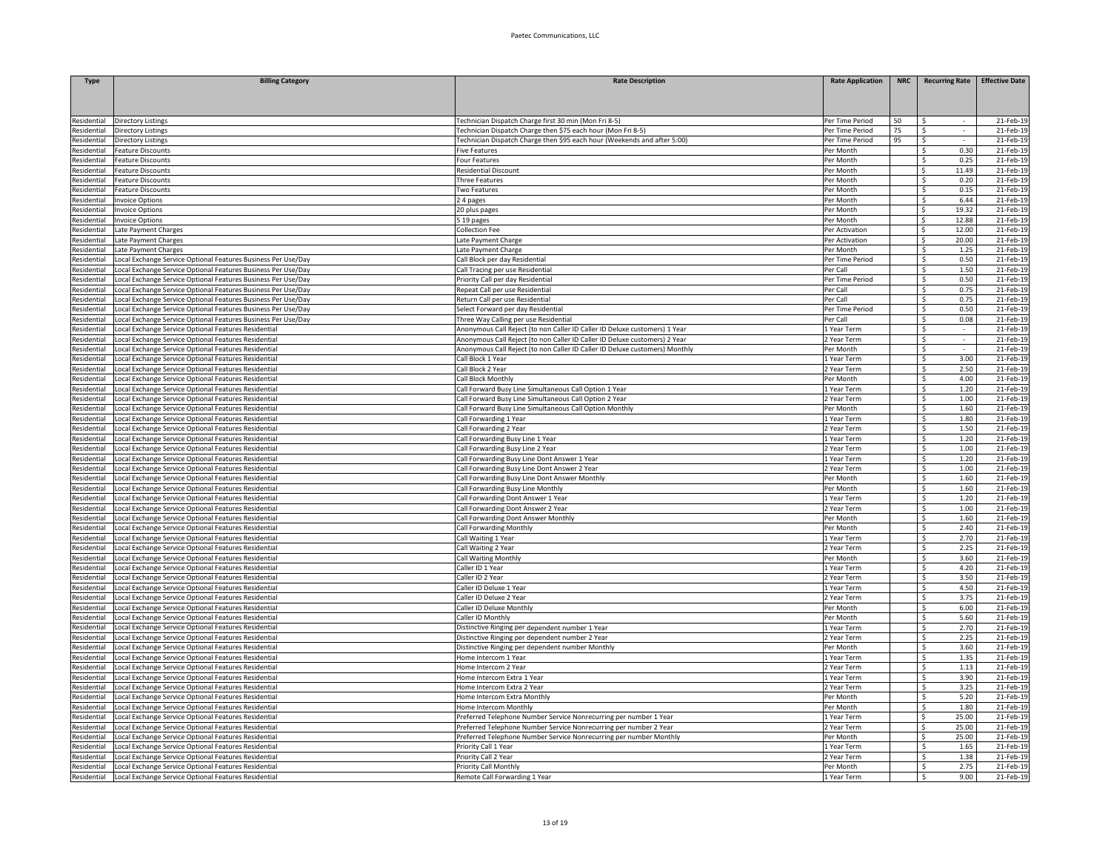| <b>Type</b>                | <b>Billing Category</b>                                                                                     | <b>Rate Description</b>                                                                                                                  | <b>Rate Application</b>      | <b>NRC</b> | <b>Recurring Rate</b>           | <b>Effective Date</b>  |
|----------------------------|-------------------------------------------------------------------------------------------------------------|------------------------------------------------------------------------------------------------------------------------------------------|------------------------------|------------|---------------------------------|------------------------|
|                            |                                                                                                             |                                                                                                                                          |                              |            |                                 |                        |
|                            |                                                                                                             |                                                                                                                                          |                              |            |                                 |                        |
|                            |                                                                                                             |                                                                                                                                          |                              |            |                                 |                        |
| Residential                | Directory Listings                                                                                          | Technician Dispatch Charge first 30 min (Mon Fri 8-5)                                                                                    | Per Time Period              | 50         |                                 | 21-Feb-19              |
| Residential                | Directory Listings                                                                                          | Technician Dispatch Charge then \$75 each hour (Mon Fri 8-5)<br>Technician Dispatch Charge then \$95 each hour (Weekends and after 5:00) | Per Time Period              | 75<br>95   | -\$<br>$\sim$<br>- Ś            | 21-Feb-19<br>21-Feb-1  |
| esidential<br>esidential   | Directory Listings<br>eature Discounts                                                                      | <b>Five Features</b>                                                                                                                     | Per Time Period<br>Per Month |            | $\zeta$<br>0.30                 | 21-Feb-1               |
| esidential                 | eature Discounts                                                                                            | Four Features                                                                                                                            | Per Month                    |            | \$<br>0.25                      | 21-Feb-1               |
| esidential                 | eature Discounts                                                                                            | Residential Discount                                                                                                                     | Per Month                    |            | $\leq$<br>11.49                 | 21-Feb-19              |
| esidential                 | eature Discounts                                                                                            | Three Features                                                                                                                           | Per Month                    |            | -Ś<br>0.20                      | 21-Feb-19              |
| esidential                 | eature Discounts                                                                                            | Two Features                                                                                                                             | Per Month                    |            | 0.15<br>Ŝ.                      | 21-Feb-19              |
| esidential                 | nvoice Ontions                                                                                              | 24 pages                                                                                                                                 | Per Month                    |            | 6.44<br>-Ś                      | 21-Feb-19              |
| Residential                | nvoice Options                                                                                              | 20 plus pages                                                                                                                            | Per Month                    |            | 19.32<br>\$                     | 21-Feb-19              |
| Residential                | <b>Invoice Options</b>                                                                                      | 5 19 pages                                                                                                                               | Per Month                    |            | \$<br>12.88                     | 21-Feb-19              |
| esidential                 | Late Payment Charges                                                                                        | Collection Fee                                                                                                                           | Per Activation               |            | 12.00<br>-Ś.                    | 21-Feb-1               |
| esidential                 | Late Payment Charges                                                                                        | Late Payment Charge                                                                                                                      | Per Activation               |            | -Ś.<br>20.00                    | 21-Feb-1               |
| esidential                 | Late Payment Charges                                                                                        | Late Payment Charge                                                                                                                      | Per Month                    |            | \$<br>1.25                      | 21-Feb-1               |
| esidential                 | Local Exchange Service Optional Features Business Per Use/Day                                               | Call Block per day Residential                                                                                                           | Per Time Period              |            | S.<br>0.50                      | 21-Feb-19              |
| Residential                | ocal Exchange Service Optional Features Business Per Use/Day                                                | Call Tracing per use Residential                                                                                                         | Per Call                     |            | -\$<br>1.50                     | 21-Feb-19              |
| esidential                 | ocal Exchange Service Optional Features Business Per Use/Day                                                | Priority Call per day Residential                                                                                                        | Per Time Period              |            | -\$<br>0.50                     | 21-Feb-19              |
| Residential                | ocal Exchange Service Optional Features Business Per Use/Day                                                | Repeat Call per use Residential                                                                                                          | Per Call                     |            | 0.75<br>-\$                     | 21-Feb-19              |
| Residential                | Local Exchange Service Optional Features Business Per Use/Day                                               | Return Call per use Residential                                                                                                          | Per Call                     |            | 0.75<br>-\$                     | 21-Feb-19              |
| Residential                | ocal Exchange Service Optional Features Business Per Use/Day                                                | Select Forward per day Residential                                                                                                       | Per Time Period              |            | -\$<br>0.50                     | 21-Feb-19              |
| esidential                 | ocal Exchange Service Optional Features Business Per Use/Day                                                | Three Way Calling per use Residential                                                                                                    | Per Call                     |            | $\mathsf{S}$<br>0.08            | 21-Feb-1               |
| esidential                 | ocal Exchange Service Optional Features Residential                                                         | Anonymous Call Reject (to non Caller ID Caller ID Deluxe customers) 1 Year                                                               | 1 Year Term                  |            | S.                              | 21-Feb-1               |
| esidential                 | ocal Exchange Service Optional Features Residential                                                         | Anonymous Call Reject (to non Caller ID Caller ID Deluxe customers) 2 Year                                                               | 2 Year Term                  |            | \$                              | 21-Feb-1               |
| esidential                 | Local Exchange Service Optional Features Residential                                                        | Anonymous Call Reject (to non Caller ID Caller ID Deluxe customers) Monthly                                                              | Per Month                    |            | S.<br>$\sim$                    | 21-Feb-19              |
| esidential                 | ocal Exchange Service Optional Features Residential                                                         | Call Block 1 Year                                                                                                                        | 1 Year Term                  |            | -\$<br>3.00                     | 21-Feb-19              |
| esidential<br>Residential  | ocal Exchange Service Optional Features Residential                                                         | Call Block 2 Year                                                                                                                        | 2 Year Term                  |            | Ŝ.<br>2.50<br>4.00              | 21-Feb-19              |
|                            | ocal Exchange Service Optional Features Residential                                                         | Call Block Monthly                                                                                                                       | Per Month                    |            | \$                              | 21-Feb-19              |
| Residential<br>Residential | Local Exchange Service Optional Features Residential                                                        | Call Forward Busy Line Simultaneous Call Option 1 Year                                                                                   | 1 Year Term<br>2 Year Term   |            | 1.20<br>-S<br>-\$<br>1.00       | 21-Feb-19<br>21-Feb-1  |
| <b>Residential</b>         | ocal Exchange Service Optional Features Residential<br>Local Exchange Service Optional Features Residential | Call Forward Busy Line Simultaneous Call Option 2 Year<br>Call Forward Busy Line Simultaneous Call Option Monthly                        | Per Month                    |            | 1.60<br>-S                      | 21-Feb-1               |
| esidential                 | Local Exchange Service Optional Features Residential                                                        | Call Forwarding 1 Year                                                                                                                   | 1 Year Term                  |            | S.<br>1.80                      | 21-Feb-1               |
| esidential                 | Local Exchange Service Optional Features Residential                                                        | Call Forwarding 2 Year                                                                                                                   | 2 Year Term                  |            | $\overline{\mathsf{S}}$<br>1.50 | 21-Feb-19              |
| Residential                | Local Exchange Service Optional Features Residential                                                        | Call Forwarding Busy Line 1 Year                                                                                                         | 1 Year Term                  |            | $\overline{\mathsf{S}}$<br>1.20 | 21-Feb-19              |
| Residential                | ocal Exchange Service Optional Features Residential                                                         | Call Forwarding Busy Line 2 Year                                                                                                         | 2 Year Term                  |            | -\$<br>1.00                     | 21-Feb-19              |
| Residential                | ocal Exchange Service Optional Features Residential                                                         | Call Forwarding Busy Line Dont Answer 1 Year                                                                                             | 1 Year Term                  |            | -\$<br>1.20                     | 21-Feb-19              |
| Residential                | ocal Exchange Service Optional Features Residential                                                         | Call Forwarding Busy Line Dont Answer 2 Year                                                                                             | 2 Year Term                  |            | 1.00<br>-\$                     | 21-Feb-19              |
| Residential                | ocal Exchange Service Optional Features Residential                                                         | Call Forwarding Busy Line Dont Answer Monthly                                                                                            | Per Month                    |            | 1.60<br>-\$                     | 21-Feb-19              |
| Residential                | ocal Exchange Service Optional Features Residential                                                         | Call Forwarding Busy Line Monthly                                                                                                        | Per Month                    |            | \$<br>1.60                      | 21-Feb-19              |
| esidential                 | ocal Exchange Service Optional Features Residential                                                         | Call Forwarding Dont Answer 1 Year                                                                                                       | 1 Year Term                  |            | 1.20<br>Ŝ.                      | 21-Feb-1               |
| esidential                 | ocal Exchange Service Optional Features Residential                                                         | Call Forwarding Dont Answer 2 Year                                                                                                       | 2 Year Term                  |            | \$<br>1.00                      | 21-Feb-1               |
| esidential                 | ocal Exchange Service Optional Features Residential                                                         | Call Forwarding Dont Answer Monthly                                                                                                      | Per Month                    |            | 1.60<br>$\zeta$                 | 21-Feb-19              |
| <b>Residential</b>         | ocal Exchange Service Optional Features Residential                                                         | Call Forwarding Monthly                                                                                                                  | Per Month                    |            | \$<br>2.40                      | 21-Feb-19              |
| esidential                 | ocal Exchange Service Optional Features Residential                                                         | all Waiting 1 Year                                                                                                                       | 1 Year Term                  |            | 2.70<br>Ŝ.                      | 21-Feb-19              |
| Residential                | ocal Exchange Service Optional Features Residential                                                         | all Waiting 2 Year                                                                                                                       | 2 Year Term                  |            | 2.25<br>Ŝ.                      | 21-Feb-19              |
| <b>Residential</b>         | ocal Exchange Service Optional Features Residential                                                         | Call Waiting Monthly                                                                                                                     | Per Month                    |            | 3.60<br>\$                      | 21-Feb-19              |
| <b>Residential</b>         | Local Exchange Service Optional Features Residential                                                        | Caller ID 1 Year                                                                                                                         | 1 Year Term                  |            | 4.20<br>\$.                     | 21-Feb-19              |
| <b>Residential</b>         | ocal Exchange Service Optional Features Residential                                                         | Caller ID 2 Year                                                                                                                         | 2 Year Term                  |            | S.<br>3.50                      | 21-Feb-19              |
| esidential                 | ocal Exchange Service Optional Features Residential                                                         | Caller ID Deluxe 1 Year                                                                                                                  | 1 Year Term                  |            | $\mathsf{S}$<br>4.50            | 21-Feb-1               |
| esidential                 | ocal Exchange Service Optional Features Residential                                                         | Caller ID Deluxe 2 Year                                                                                                                  | 2 Year Term                  |            | S.<br>3.75<br>$\zeta$<br>6.00   | 21-Feb-1               |
| esidential                 | Local Exchange Service Optional Features Residential                                                        | Caller ID Deluxe Monthly                                                                                                                 | Per Month                    |            |                                 | 21-Feb-19              |
| Residential<br>esidential  | ocal Exchange Service Optional Features Residential<br>ocal Exchange Service Optional Features Residential  | Caller ID Monthly                                                                                                                        | Per Month<br>1 Year Term     |            | -\$<br>5.60<br>2.70<br>Ŝ.       | 21-Feb-19<br>21-Feb-19 |
| Residential                | ocal Exchange Service Optional Features Residential                                                         | Distinctive Ringing per dependent number 1 Year                                                                                          | 2 Year Term                  |            | 2.25                            | 21-Feb-19              |
| esidential                 | ocal Exchange Service Optional Features Residential                                                         | Distinctive Ringing per dependent number 2 Year<br>Distinctive Ringing per dependent number Monthly                                      | Per Month                    |            | -\$<br>3.60<br>-Ś               | 21-Feb-19              |
| <b>Residential</b>         | Local Exchange Service Optional Features Residential                                                        | Home Intercom 1 Year                                                                                                                     | 1 Year Term                  |            | 1.35<br>-\$                     | 21-Feb-19              |
| Residential                | ocal Exchange Service Optional Features Residential                                                         | Home Intercom 2 Year                                                                                                                     | 2 Year Term                  |            | 1.13<br>- Ś                     | 21-Feb-1               |
| esidential                 | ocal Exchange Service Optional Features Residential                                                         | Home Intercom Extra 1 Year                                                                                                               | 1 Year Term                  |            | S.<br>3.90                      | 21-Feb-1               |
| esidential                 | ocal Exchange Service Optional Features Residential                                                         | Home Intercom Extra 2 Year                                                                                                               | 2 Year Term                  |            | Ś.<br>3.25                      | 21-Feb-1               |
| <b>Residential</b>         | Local Exchange Service Optional Features Residential                                                        | Home Intercom Extra Monthly                                                                                                              | Per Month                    |            | S.<br>5.20                      | 21-Feb-19              |
| esidential                 | ocal Exchange Service Optional Features Residential                                                         | Home Intercom Monthly                                                                                                                    | Per Month                    |            | -\$<br>1.80                     | 21-Feb-19              |
| esidential                 | ocal Exchange Service Optional Features Residential                                                         | Preferred Telephone Number Service Nonrecurring per number 1 Year                                                                        | 1 Year Term                  |            | Ŝ.<br>25.00                     | 21-Feb-19              |
| Residential                | ocal Exchange Service Optional Features Residential                                                         | Preferred Telephone Number Service Nonrecurring per number 2 Year                                                                        | 2 Year Term                  |            | 25.00<br>S.                     | 21-Feb-19              |
| Residential                | ocal Exchange Service Optional Features Residential                                                         | Preferred Telephone Number Service Nonrecurring per number Monthly                                                                       | Per Month                    |            | 25.00<br>Ŝ.                     | 21-Feb-19              |
| Residential                | Local Exchange Service Optional Features Residential                                                        | Priority Call 1 Year                                                                                                                     | 1 Year Term                  |            | 1.65<br>-\$                     | 21-Feb-19              |
| Residential                | ocal Exchange Service Optional Features Residential                                                         | Priority Call 2 Year                                                                                                                     | 2 Year Term                  |            | 1.38<br>- Ś                     | 21-Feb-19              |
| esidential                 | Local Exchange Service Optional Features Residential                                                        | Priority Call Monthly                                                                                                                    | Per Month                    |            | -\$<br>2.75                     | 21-Feb-19              |
| Residential                | Local Exchange Service Optional Features Residential                                                        | Remote Call Forwarding 1 Year                                                                                                            | 1 Year Term                  |            | Ŝ.<br>9.00                      | 21-Feb-19              |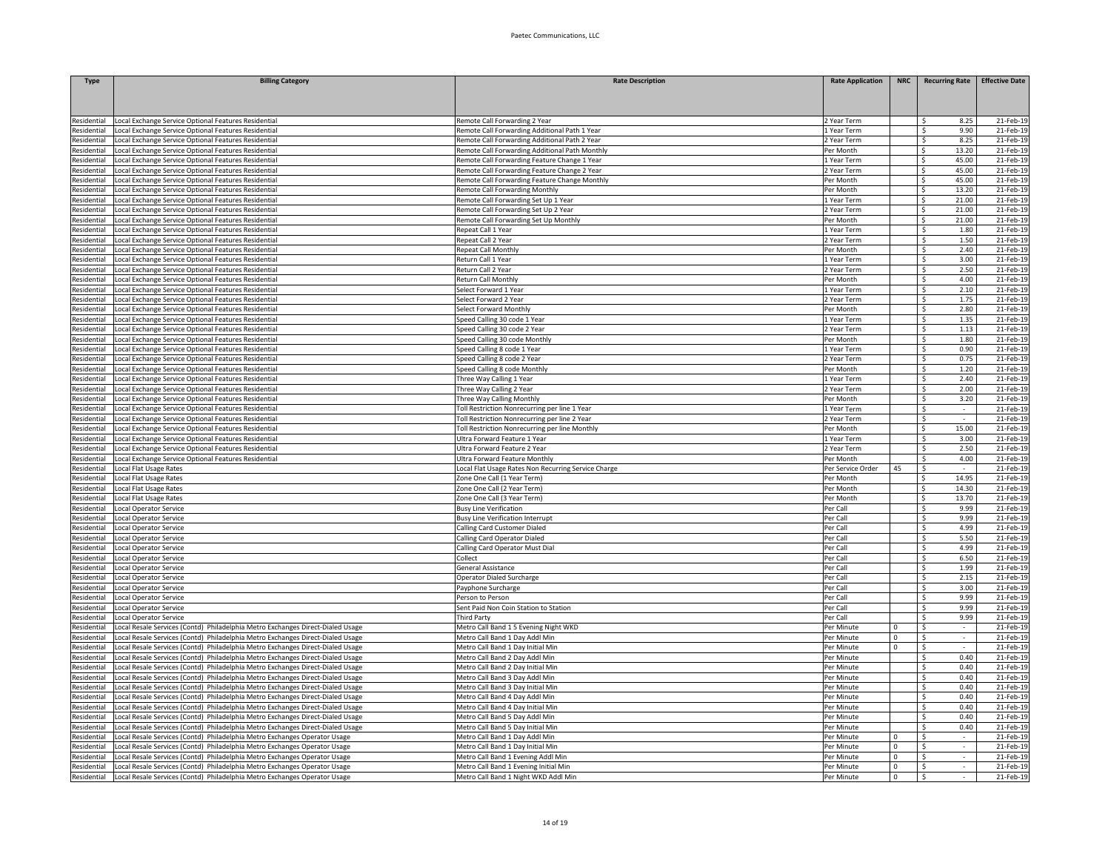| Type                       | <b>Billing Category</b>                                                                                                                                        | <b>Rate Description</b>                                                                         | <b>Rate Application</b>    | <b>NRC</b>                 |                                          | Recurring Rate Effective Date |
|----------------------------|----------------------------------------------------------------------------------------------------------------------------------------------------------------|-------------------------------------------------------------------------------------------------|----------------------------|----------------------------|------------------------------------------|-------------------------------|
|                            |                                                                                                                                                                |                                                                                                 |                            |                            |                                          |                               |
| esidential                 | ocal Exchange Service Optional Features Residential                                                                                                            | Remote Call Forwarding 2 Year                                                                   | 2 Year Term                |                            | 8.25<br>Ŝ.                               | 21-Feb-19                     |
| Residential                | ocal Exchange Service Optional Features Residential                                                                                                            | Remote Call Forwarding Additional Path 1 Year                                                   | 1 Year Term                |                            | Ŝ.<br>9.90                               | 21-Feb-1                      |
| Residential<br>esidential  | ocal Exchange Service Optional Features Residential<br>ocal Exchange Service Optional Features Residential                                                     | Remote Call Forwarding Additional Path 2 Year<br>Remote Call Forwarding Additional Path Monthly | 2 Year Term<br>Per Month   |                            | Ŝ.<br>8.25<br>$\hat{\varsigma}$<br>13.20 | 21-Feb-19<br>21-Feb-19        |
| esidential                 | ocal Exchange Service Optional Features Residential                                                                                                            | Remote Call Forwarding Feature Change 1 Year                                                    | 1 Year Term                |                            | S.<br>45.00                              | 21-Feb-19                     |
| esidential                 | ocal Exchange Service Optional Features Residential                                                                                                            | Remote Call Forwarding Feature Change 2 Year                                                    | 2 Year Term                |                            | -Ś<br>45.00                              | 21-Feb-19                     |
| esidential                 | ocal Exchange Service Optional Features Residential                                                                                                            | Remote Call Forwarding Feature Change Monthly                                                   | Per Month                  |                            | Ŝ.<br>45.00                              | 21-Feb-19                     |
| Residential                | ocal Exchange Service Optional Features Residential                                                                                                            | Remote Call Forwarding Monthly                                                                  | Per Month                  |                            | 13.20<br>Ŝ.                              | 21-Feb-19                     |
| esidential                 | Local Exchange Service Optional Features Residential                                                                                                           | Remote Call Forwarding Set Up 1 Year                                                            | 1 Year Term                |                            | 21.00<br>-S                              | 21-Feb-19                     |
| esidential<br>esidential   | ocal Exchange Service Optional Features Residential<br>ocal Exchange Service Optional Features Residential                                                     | Remote Call Forwarding Set Up 2 Year<br>Remote Call Forwarding Set Up Monthly                   | 2 Year Term<br>Per Month   |                            | 21.00<br>-S<br>S.<br>21.00               | 21-Feb-19<br>21-Feb-1         |
| Residential                | ocal Exchange Service Optional Features Residential                                                                                                            | Repeat Call 1 Year                                                                              | 1 Year Term                |                            | Ŝ.<br>1.80                               | 21-Feb-1                      |
| Residential                | ocal Exchange Service Optional Features Residential                                                                                                            | Repeat Call 2 Year                                                                              | 2 Year Term                |                            | 1.50<br>\$                               | 21-Feb-19                     |
| Residential                | ocal Exchange Service Optional Features Residential                                                                                                            | Repeat Call Monthly                                                                             | Per Month                  |                            | S.<br>2.40                               | 21-Feb-19                     |
| Residential                | ocal Exchange Service Optional Features Residential                                                                                                            | Return Call 1 Year                                                                              | 1 Year Term                |                            | -\$<br>3.00                              | 21-Feb-19                     |
| Residential                | ocal Exchange Service Optional Features Residential                                                                                                            | Return Call 2 Year                                                                              | 2 Year Term                |                            | Ŝ.<br>2.50                               | 21-Feb-19                     |
| Residential                | ocal Exchange Service Optional Features Residential                                                                                                            | Return Call Monthly                                                                             | Per Month                  |                            | 4.00<br>Ŝ.                               | 21-Feb-19                     |
| esidential<br>esidentia    | ocal Exchange Service Optional Features Residential<br>ocal Exchange Service Optional Features Residential                                                     | Select Forward 1 Year<br>Select Forward 2 Year                                                  | 1 Year Term<br>2 Year Term |                            | 2.10<br>-\$<br>1.75<br>- Ś               | 21-Feb-19<br>21-Feb-19        |
| esidential                 | ocal Exchange Service Optional Features Residential                                                                                                            | Select Forward Monthly                                                                          | Per Month                  |                            | Ŝ.<br>2.80                               | 21-Feb-1                      |
| esidential                 | ocal Exchange Service Optional Features Residential                                                                                                            | Speed Calling 30 code 1 Year                                                                    | 1 Year Term                |                            | Š.<br>1.35                               | 21-Feb-1                      |
| esidential                 | ocal Exchange Service Optional Features Residential                                                                                                            | Speed Calling 30 code 2 Year                                                                    | 2 Year Term                |                            | \$<br>1.13                               | 21-Feb-19                     |
| Residential                | ocal Exchange Service Optional Features Residential                                                                                                            | Speed Calling 30 code Monthly                                                                   | Per Month                  |                            | S.<br>1.80                               | 21-Feb-19                     |
| esidential                 | ocal Exchange Service Optional Features Residential                                                                                                            | Speed Calling 8 code 1 Year                                                                     | 1 Year Term                |                            | -\$<br>0.90                              | 21-Feb-19                     |
| Residential                | ocal Exchange Service Optional Features Residential                                                                                                            | Speed Calling 8 code 2 Year                                                                     | 2 Year Term                |                            | Ŝ.<br>0.75<br>1.20                       | 21-Feb-19<br>21-Feb-19        |
| Residential<br>esidential  | ocal Exchange Service Optional Features Residential<br>ocal Exchange Service Optional Features Residential                                                     | Speed Calling 8 code Monthly<br>Three Way Calling 1 Year                                        | Per Month<br>1 Year Term   |                            | \$<br>2.40<br>-\$                        | 21-Feb-19                     |
| esidential                 | ocal Exchange Service Optional Features Residential                                                                                                            | Three Way Calling 2 Year                                                                        | 2 Year Term                |                            | 2.00<br>- Ś                              | 21-Feb-19                     |
| esidential                 | ocal Exchange Service Optional Features Residential                                                                                                            | Three Way Calling Monthly                                                                       | Per Month                  |                            | 3.20<br>-Ś                               | 21-Feb-1                      |
| Residential                | ocal Exchange Service Optional Features Residential                                                                                                            | Toll Restriction Nonrecurring per line 1 Year                                                   | 1 Year Term                |                            | -\$                                      | 21-Feb-1                      |
| Residential                | ocal Exchange Service Optional Features Residential                                                                                                            | Toll Restriction Nonrecurring per line 2 Year                                                   | 2 Year Term                |                            | Ŝ.                                       | 21-Feb-19                     |
| Residential                | ocal Exchange Service Optional Features Residential                                                                                                            | Toll Restriction Nonrecurring per line Monthly                                                  | Per Month                  |                            | S.<br>15.00                              | 21-Feb-19                     |
| Residential<br>Residential | ocal Exchange Service Optional Features Residential<br>ocal Exchange Service Optional Features Residential                                                     | Jltra Forward Feature 1 Year<br>Jltra Forward Feature 2 Year                                    | 1 Year Term<br>2 Year Term |                            | -\$<br>3.00<br>Ŝ.<br>2.50                | 21-Feb-19<br>21-Feb-19        |
| Residential                | ocal Exchange Service Optional Features Residential                                                                                                            | Ultra Forward Feature Monthly                                                                   | Per Month                  |                            | 4.00<br>\$                               | 21-Feb-19                     |
| esidential                 | ocal Flat Usage Rates                                                                                                                                          | Local Flat Usage Rates Non Recurring Service Charge                                             | Per Service Order          | 45                         | -\$<br>$\sim$                            | 21-Feb-19                     |
| esidential                 | ocal Flat Usage Rates                                                                                                                                          | Zone One Call (1 Year Term)                                                                     | Per Month                  |                            | 14.95<br>-S                              | 21-Feb-19                     |
| esidential                 | ocal Flat Usage Rates                                                                                                                                          | Zone One Call (2 Year Term)                                                                     | Per Month                  |                            | 14.30<br>-S                              | 21-Feb-19                     |
| esidential                 | ocal Flat Usage Rates                                                                                                                                          | Zone One Call (3 Year Term)                                                                     | Per Month                  |                            | Ŝ.<br>13.70                              | 21-Feb-1                      |
| Residential                | ocal Operator Service                                                                                                                                          | Busy Line Verification                                                                          | Per Call                   |                            | Ś.<br>9.99<br>S.                         | 21-Feb-19                     |
| Residential<br>esidential  | ocal Operator Service<br>ocal Operator Service                                                                                                                 | Busy Line Verification Interrupt<br>Calling Card Customer Dialed                                | Per Call<br>Per Call       |                            | 9.99<br><sup>\$</sup><br>4.99            | 21-Feb-19<br>21-Feb-19        |
| Residential                | ocal Operator Service                                                                                                                                          | Calling Card Operator Dialed                                                                    | Per Call                   |                            | 5.50<br>Ŝ.                               | 21-Feb-19                     |
| Residential                | ocal Operator Service                                                                                                                                          | Calling Card Operator Must Dial                                                                 | Per Call                   |                            | 4.99<br>\$                               | 21-Feb-19                     |
| esidential                 | Local Operator Service                                                                                                                                         | Collect                                                                                         | Per Call                   |                            | 6.50<br>S.                               | 21-Feb-19                     |
| esidential                 | ocal Operator Service                                                                                                                                          | General Assistance                                                                              | Per Call                   |                            | 1.99<br>Ŝ.                               | 21-Feb-19                     |
| esidential                 | ocal Operator Service                                                                                                                                          | Operator Dialed Surcharge                                                                       | Per Call                   |                            | 2.15<br>- Ś                              | 21-Feb-19                     |
| Residential                | ocal Operator Service                                                                                                                                          | Payphone Surcharge                                                                              | Per Call<br>Per Call       |                            | Ŝ.<br>3.00<br>Ś.<br>9.99                 | 21-Feb-1<br>21-Feb-19         |
| Residential<br>Residential | ocal Operator Service<br>ocal Operator Service                                                                                                                 | Person to Person<br>Sent Paid Non Coin Station to Station                                       | Per Call                   |                            | 9.99<br>-Ś                               | 21-Feb-19                     |
| Residential                | ocal Operator Service                                                                                                                                          | <b>Third Party</b>                                                                              | Per Call                   |                            | -\$<br>9.99                              | 21-Feb-19                     |
| Residential                | ocal Resale Services (Contd) Philadelphia Metro Exchanges Direct-Dialed Usage                                                                                  | Metro Call Band 1 5 Evening Night WKD                                                           | Per Minute                 | $\Omega$                   | Ŝ.<br>$\overline{\phantom{a}}$           | 21-Feb-19                     |
| Residential                | ocal Resale Services (Contd) Philadelphia Metro Exchanges Direct-Dialed Usage                                                                                  | Metro Call Band 1 Day Addl Min                                                                  | Per Minute                 | $\mathbf 0$                | - Ś<br>$\sim$                            | 21-Feb-19                     |
| esidential                 | ocal Resale Services (Contd) Philadelphia Metro Exchanges Direct-Dialed Usage                                                                                  | Metro Call Band 1 Day Initial Min                                                               | Per Minute                 | $\mathbf 0$                | -S<br>$\sim$                             | 21-Feb-19                     |
| esidential                 | ocal Resale Services (Contd) Philadelphia Metro Exchanges Direct-Dialed Usage                                                                                  | Metro Call Band 2 Day Addl Min                                                                  | Per Minute                 |                            | 0.40<br>-\$                              | 21-Feb-19                     |
| esidential<br>Residential  | ocal Resale Services (Contd) Philadelphia Metro Exchanges Direct-Dialed Usage<br>ocal Resale Services (Contd) Philadelphia Metro Exchanges Direct-Dialed Usage | Metro Call Band 2 Day Initial Min<br>Metro Call Band 3 Day Addl Min                             | Per Minute<br>Per Minute   |                            | 0.40<br>-S<br>Ŝ.<br>0.40                 | 21-Feb-1<br>21-Feb-1          |
| Residential                | ocal Resale Services (Contd) Philadelphia Metro Exchanges Direct-Dialed Usage                                                                                  | Metro Call Band 3 Day Initial Min                                                               | Per Minute                 |                            | 0.40<br>\$                               | 21-Feb-19                     |
| Residential                | ocal Resale Services (Contd) Philadelphia Metro Exchanges Direct-Dialed Usage                                                                                  | Metro Call Band 4 Day Addl Min                                                                  | Per Minute                 |                            | $\mathsf{S}$<br>0.40                     | 21-Feb-19                     |
| esidential                 | ocal Resale Services (Contd) Philadelphia Metro Exchanges Direct-Dialed Usage                                                                                  | Metro Call Band 4 Day Initial Min                                                               | Per Minute                 |                            | 0.40<br>- Ś                              | 21-Feb-19                     |
| Residential                | ocal Resale Services (Contd) Philadelphia Metro Exchanges Direct-Dialed Usage                                                                                  | Metro Call Band 5 Day Addl Min                                                                  | Per Minute                 |                            | Ŝ.<br>0.40                               | 21-Feb-19                     |
| Residential                | ocal Resale Services (Contd) Philadelphia Metro Exchanges Direct-Dialed Usage                                                                                  | Metro Call Band 5 Day Initial Min                                                               | Per Minute                 |                            | 0.40<br>Ŝ.                               | 21-Feb-19                     |
| Residential                | ocal Resale Services (Contd) Philadelphia Metro Exchanges Operator Usage                                                                                       | Metro Call Band 1 Day Addl Min                                                                  | Per Minute                 | 0                          | -S<br>$\overline{\phantom{a}}$           | 21-Feb-19                     |
| Residential<br>esidential  | Local Resale Services (Contd) Philadelphia Metro Exchanges Operator Usage<br>ocal Resale Services (Contd) Philadelphia Metro Exchanges Operator Usage          | Metro Call Band 1 Day Initial Min<br>Metro Call Band 1 Evening Addl Min                         | Per Minute<br>Per Minute   | $\mathbf 0$<br>$\mathbf 0$ | -\$<br>$\sim$<br>-S<br>$\sim$            | 21-Feb-19<br>21-Feb-19        |
| Residential                | Local Resale Services (Contd) Philadelphia Metro Exchanges Operator Usage                                                                                      | Metro Call Band 1 Evening Initial Min                                                           | Per Minute                 | $\mathsf 0$                | S.<br>$\sim$                             | 21-Feb-19                     |
| Residential                | Local Resale Services (Contd) Philadelphia Metro Exchanges Operator Usage                                                                                      | Metro Call Band 1 Night WKD Addl Min                                                            | Per Minute                 | $\mathsf 0$                | $\overline{\mathsf{S}}$<br>÷.            | 21-Feb-19                     |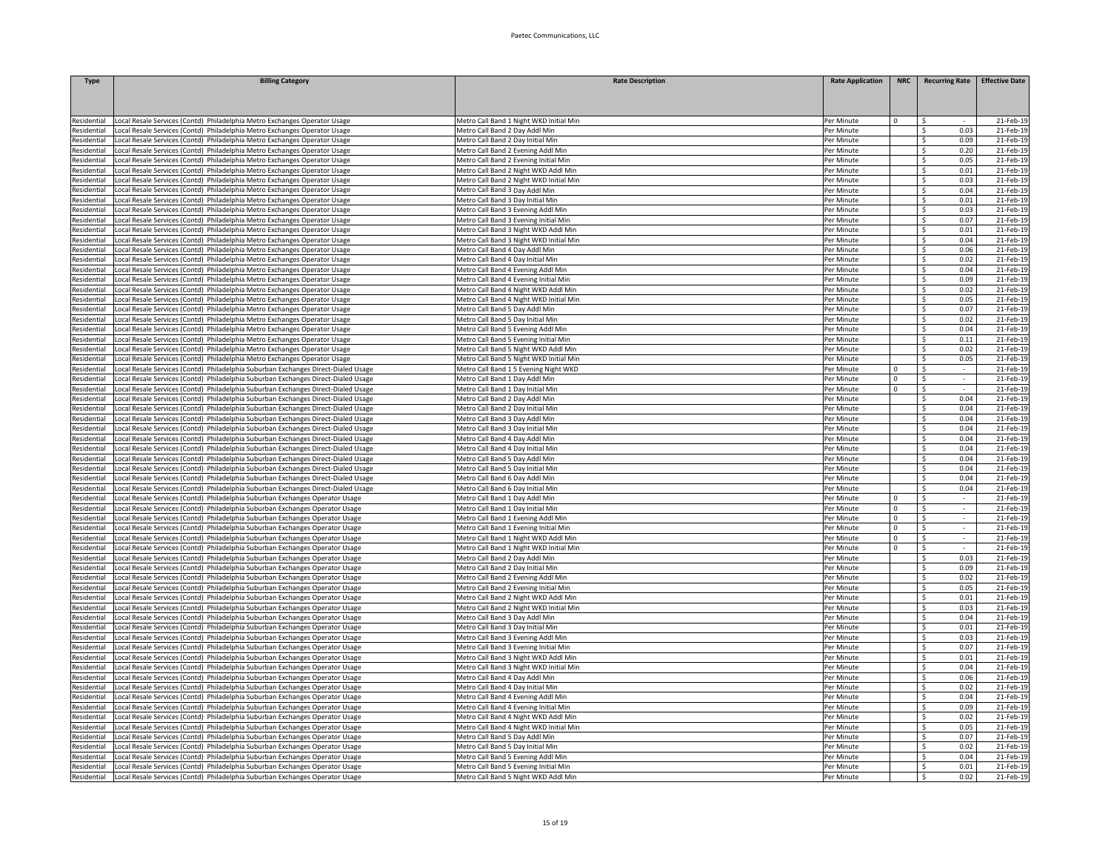| Type                       | <b>Billing Category</b>                                                                                                                                                | <b>Rate Description</b>                                                         | <b>Rate Application</b>  | <b>NRC</b>  | <b>Recurring Rate</b>     | <b>Effective Date</b>  |
|----------------------------|------------------------------------------------------------------------------------------------------------------------------------------------------------------------|---------------------------------------------------------------------------------|--------------------------|-------------|---------------------------|------------------------|
|                            |                                                                                                                                                                        |                                                                                 |                          |             |                           |                        |
|                            |                                                                                                                                                                        |                                                                                 |                          |             |                           |                        |
| Residential                | Local Resale Services (Contd) Philadelphia Metro Exchanges Operator Usage                                                                                              | Metro Call Band 1 Night WKD Initial Min                                         | Per Minute               | $\Omega$    | Ŝ.                        | 21-Feb-19              |
| Residential                | Local Resale Services (Contd) Philadelphia Metro Exchanges Operator Usage                                                                                              | Metro Call Band 2 Day Addl Min                                                  | Per Minute               |             | 0.03<br>Ŝ.                | 21-Feb-1               |
| Residential                | Local Resale Services (Contd) Philadelphia Metro Exchanges Operator Usage                                                                                              | Metro Call Band 2 Day Initial Min                                               | Per Minute               |             | $\hat{\zeta}$<br>0.09     | 21-Feb-19              |
| tesidential                | Local Resale Services (Contd) Philadelphia Metro Exchanges Operator Usage                                                                                              | Metro Call Band 2 Evening Addl Min                                              | Per Minute               |             | $\zeta$<br>0.20           | 21-Feb-19              |
| Residential                | ocal Resale Services (Contd) Philadelphia Metro Exchanges Operator Usage                                                                                               | Metro Call Band 2 Evening Initial Min                                           | Per Minute               |             | -Ś<br>0.05<br>0.01        | 21-Feb-19              |
| Residential<br>Residential | ocal Resale Services (Contd) Philadelphia Metro Exchanges Operator Usage<br>Local Resale Services (Contd) Philadelphia Metro Exchanges Operator Usage                  | Metro Call Band 2 Night WKD Addl Min<br>Metro Call Band 2 Night WKD Initial Min | Per Minute<br>Per Minute |             | Ŝ.<br>0.03<br>\$          | 21-Feb-19<br>21-Feb-19 |
| Residential                | Local Resale Services (Contd) Philadelphia Metro Exchanges Operator Usage                                                                                              | Metro Call Band 3 Day Addl Min                                                  | Per Minute               |             | 0.04<br>\$                | 21-Feb-19              |
| Residential                | Local Resale Services (Contd) Philadelphia Metro Exchanges Operator Usage                                                                                              | Metro Call Band 3 Day Initial Min                                               | Per Minute               |             | 0.01<br>-S                | 21-Feb-19              |
| <b>Residential</b>         | Local Resale Services (Contd) Philadelphia Metro Exchanges Operator Usage                                                                                              | Metro Call Band 3 Evening Addl Min                                              | Per Minute               |             | \$<br>0.03                | 21-Feb-1               |
| Residential                | Local Resale Services (Contd) Philadelphia Metro Exchanges Operator Usage                                                                                              | Metro Call Band 3 Evening Initial Min                                           | Per Minute               |             | Ś.<br>0.07                | 21-Feb-1               |
| Residential                | Local Resale Services (Contd) Philadelphia Metro Exchanges Operator Usage                                                                                              | Metro Call Band 3 Night WKD Addl Min                                            | Per Minute               |             | $\hat{\zeta}$<br>0.01     | 21-Feb-19              |
| Residential                | Local Resale Services (Contd) Philadelphia Metro Exchanges Operator Usage                                                                                              | Metro Call Band 3 Night WKD Initial Min                                         | Per Minute               |             | $\zeta$<br>0.04           | 21-Feb-19              |
| Residential                | Local Resale Services (Contd) Philadelphia Metro Exchanges Operator Usage                                                                                              | Metro Call Band 4 Day Addl Min                                                  | Per Minute               |             | -\$<br>0.06               | 21-Feb-19              |
| Residential                | ocal Resale Services (Contd) Philadelphia Metro Exchanges Operator Usage                                                                                               | Metro Call Band 4 Day Initial Min                                               | Per Minute               |             | Ŝ.<br>0.02                | 21-Feb-19              |
| Residential                | Local Resale Services (Contd) Philadelphia Metro Exchanges Operator Usage                                                                                              | Metro Call Band 4 Evening Addl Min                                              | Per Minute               |             | 0.04<br>Ŝ.                | 21-Feb-19              |
| Residential                | Local Resale Services (Contd) Philadelphia Metro Exchanges Operator Usage                                                                                              | Metro Call Band 4 Evening Initial Min                                           | Per Minute               |             | 0.09<br>S.                | 21-Feb-19              |
| Residential                | Local Resale Services (Contd) Philadelphia Metro Exchanges Operator Usage                                                                                              | Metro Call Band 4 Night WKD Addl Min                                            | Per Minute               |             | 0.02<br>- Ś               | 21-Feb-19              |
| esidential<br>tesidential  | ocal Resale Services (Contd) Philadelphia Metro Exchanges Operator Usage                                                                                               | Metro Call Band 4 Night WKD Initial Min<br>Metro Call Band 5 Day Addl Min       | Per Minute<br>Per Minute |             | -\$<br>0.05<br>S.<br>0.07 | 21-Feb-19              |
| esidential                 | ocal Resale Services (Contd) Philadelphia Metro Exchanges Operator Usage<br>ocal Resale Services (Contd) Philadelphia Metro Exchanges Operator Usage                   | Metro Call Band 5 Day Initial Min                                               | Per Minute               |             | $\hat{\zeta}$<br>0.02     | 21-Feb-1<br>21-Feb-19  |
| Residential                | Local Resale Services (Contd) Philadelphia Metro Exchanges Operator Usage                                                                                              | Metro Call Band 5 Evening Addl Min                                              | Per Minute               |             | $\zeta$<br>0.04           | 21-Feb-19              |
| Residential                | ocal Resale Services (Contd) Philadelphia Metro Exchanges Operator Usage                                                                                               | Metro Call Band 5 Evening Initial Min                                           | Per Minute               |             | -Ś<br>0.11                | 21-Feb-19              |
| <b>tesidential</b>         | ocal Resale Services (Contd) Philadelphia Metro Exchanges Operator Usage                                                                                               | Metro Call Band 5 Night WKD Addl Min                                            | Per Minute               |             | Ŝ.<br>0.02                | 21-Feb-19              |
| Residential                | ocal Resale Services (Contd) Philadelphia Metro Exchanges Operator Usage                                                                                               | Metro Call Band 5 Night WKD Initial Min                                         | Per Minute               |             | 0.05<br>Ŝ.                | 21-Feb-19              |
| Residential                | Local Resale Services (Contd) Philadelphia Suburban Exchanges Direct-Dialed Usage                                                                                      | Metro Call Band 1 5 Evening Night WKD                                           | Per Minute               | $\Omega$    | S.<br>$\sim$              | 21-Feb-19              |
| Residential                | Local Resale Services (Contd) Philadelphia Suburban Exchanges Direct-Dialed Usage                                                                                      | Metro Call Band 1 Day Addl Min                                                  | Per Minute               | $\mathbf 0$ | - Ś<br>$\sim$             | 21-Feb-19              |
| <b>Residential</b>         | Local Resale Services (Contd) Philadelphia Suburban Exchanges Direct-Dialed Usage                                                                                      | Metro Call Band 1 Day Initial Min                                               | Per Minute               | $\Omega$    | $\mathsf{S}$<br>÷.        | 21-Feb-19              |
| esidential                 | ocal Resale Services (Contd) Philadelphia Suburban Exchanges Direct-Dialed Usage                                                                                       | Metro Call Band 2 Day Addl Min                                                  | Per Minute               |             | \$<br>0.04                | 21-Feb-1               |
| Residential                | Local Resale Services (Contd) Philadelphia Suburban Exchanges Direct-Dialed Usage                                                                                      | Metro Call Band 2 Day Initial Min                                               | Per Minute               |             | S.<br>0.04                | 21-Feb-1               |
| Residential                | Local Resale Services (Contd) Philadelphia Suburban Exchanges Direct-Dialed Usage                                                                                      | Metro Call Band 3 Day Addl Min                                                  | Per Minute               |             | Ś.<br>0.04                | 21-Feb-19              |
| Residential                | Local Resale Services (Contd) Philadelphia Suburban Exchanges Direct-Dialed Usage                                                                                      | Metro Call Band 3 Day Initial Min                                               | Per Minute               |             | -Ś<br>0.04                | 21-Feb-19              |
| Residential                | ocal Resale Services (Contd) Philadelphia Suburban Exchanges Direct-Dialed Usage                                                                                       | Metro Call Band 4 Day Addl Min                                                  | Per Minute<br>Per Minute |             | Ŝ.<br>0.04                | 21-Feb-19              |
| Residential<br>Residential | ocal Resale Services (Contd) Philadelphia Suburban Exchanges Direct-Dialed Usage                                                                                       | Metro Call Band 4 Day Initial Min                                               | Per Minute               |             | 0.04<br>Ŝ.<br>0.04<br>S.  | 21-Feb-19<br>21-Feb-19 |
| Residential                | Local Resale Services (Contd) Philadelphia Suburban Exchanges Direct-Dialed Usage<br>Local Resale Services (Contd) Philadelphia Suburban Exchanges Direct-Dialed Usage | Metro Call Band 5 Day Addl Min<br>Metro Call Band 5 Day Initial Min             | Per Minute               |             | 0.04<br>-S                | 21-Feb-19              |
| Residential                | Local Resale Services (Contd) Philadelphia Suburban Exchanges Direct-Dialed Usage                                                                                      | Metro Call Band 6 Day Addl Min                                                  | Per Minute               |             | -Ś<br>0.04                | 21-Feb-19              |
| Residential                | ocal Resale Services (Contd) Philadelphia Suburban Exchanges Direct-Dialed Usage                                                                                       | Metro Call Band 6 Day Initial Min                                               | Per Minute               |             | \$<br>0.04                | 21-Feb-19              |
| Residential                | Local Resale Services (Contd) Philadelphia Suburban Exchanges Operator Usage                                                                                           | Metro Call Band 1 Day Addl Min                                                  | Per Minute               | $\Omega$    | \$                        | 21-Feb-1               |
| Residential                | Local Resale Services (Contd) Philadelphia Suburban Exchanges Operator Usage                                                                                           | Metro Call Band 1 Day Initial Min                                               | Per Minute               | $\Omega$    | $\overline{\mathsf{S}}$   | 21-Feb-19              |
| Residential                | ocal Resale Services (Contd) Philadelphia Suburban Exchanges Operator Usage                                                                                            | Metro Call Band 1 Evening Addl Min                                              | Per Minute               | $\mathbf 0$ | $\hat{\zeta}$<br>$\sim$   | 21-Feb-19              |
| Residential                | ocal Resale Services (Contd) Philadelphia Suburban Exchanges Operator Usage                                                                                            | Metro Call Band 1 Evening Initial Min                                           | Per Minute               | $\Omega$    | Ŝ.                        | 21-Feb-19              |
| Residential                | ocal Resale Services (Contd) Philadelphia Suburban Exchanges Operator Usage                                                                                            | Metro Call Band 1 Night WKD Addl Min                                            | Per Minute               | $\mathbf 0$ | Ŝ.<br>$\sim$              | 21-Feb-19              |
| Residential                | Local Resale Services (Contd) Philadelphia Suburban Exchanges Operator Usage                                                                                           | Metro Call Band 1 Night WKD Initial Min                                         | Per Minute               | $\mathbf 0$ | S.<br>$\sim$              | 21-Feb-19              |
| Residential                | Local Resale Services (Contd) Philadelphia Suburban Exchanges Operator Usage                                                                                           | Metro Call Band 2 Day Addl Min                                                  | Per Minute               |             | 0.03<br>-S                | 21-Feb-19              |
| Residential                | Local Resale Services (Contd) Philadelphia Suburban Exchanges Operator Usage                                                                                           | Metro Call Band 2 Day Initial Min                                               | Per Minute               |             | Ŝ.<br>0.09                | 21-Feb-19              |
| Residential<br>Residential | Local Resale Services (Contd) Philadelphia Suburban Exchanges Operator Usage<br>Local Resale Services (Contd) Philadelphia Suburban Exchanges Operator Usage           | Metro Call Band 2 Evening Addl Min<br>Metro Call Band 2 Evening Initial Min     | Per Minute<br>Per Minute |             | 0.02<br>Ŝ.<br>\$<br>0.05  | 21-Feb-19<br>21-Feb-1  |
| Residential                | Local Resale Services (Contd) Philadelphia Suburban Exchanges Operator Usage                                                                                           | Metro Call Band 2 Night WKD Addl Min                                            | Per Minute               |             | \$<br>0.01                | 21-Feb-19              |
| Residential                | Local Resale Services (Contd) Philadelphia Suburban Exchanges Operator Usage                                                                                           | Metro Call Band 2 Night WKD Initial Min                                         | Per Minute               |             | $\leq$<br>0.03            | 21-Feb-19              |
| Residential                | ocal Resale Services (Contd) Philadelphia Suburban Exchanges Operator Usage                                                                                            | Metro Call Band 3 Day Addl Min                                                  | Per Minute               |             | 0.04<br>Ŝ.                | 21-Feb-19              |
| Residential                | ocal Resale Services (Contd) Philadelphia Suburban Exchanges Operator Usage                                                                                            | Metro Call Band 3 Day Initial Min                                               | Per Minute               |             | 0.01<br>Ŝ.                | 21-Feb-19              |
| Residential                | Local Resale Services (Contd) Philadelphia Suburban Exchanges Operator Usage                                                                                           | Metro Call Band 3 Evening Addl Min                                              | Per Minute               |             | 0.03<br>-S                | 21-Feb-19              |
| Residential                | Local Resale Services (Contd) Philadelphia Suburban Exchanges Operator Usage                                                                                           | Metro Call Band 3 Evening Initial Min                                           | Per Minute               |             | 0.07<br>Ŝ.                | 21-Feb-19              |
| Residential                | Local Resale Services (Contd) Philadelphia Suburban Exchanges Operator Usage                                                                                           | Metro Call Band 3 Night WKD Addl Min                                            | Per Minute               |             | -\$<br>0.01               | 21-Feb-19              |
| Residential                | Local Resale Services (Contd) Philadelphia Suburban Exchanges Operator Usage                                                                                           | Metro Call Band 3 Night WKD Initial Min                                         | Per Minute               |             | 0.04<br>-S                | 21-Feb-1               |
| Residential                | Local Resale Services (Contd) Philadelphia Suburban Exchanges Operator Usage                                                                                           | Metro Call Band 4 Day Addl Min                                                  | Per Minute               |             | \$<br>0.06                | 21-Feb-1               |
| Residential                | Local Resale Services (Contd) Philadelphia Suburban Exchanges Operator Usage                                                                                           | Metro Call Band 4 Day Initial Min                                               | Per Minute               |             | \$<br>0.02                | 21-Feb-19              |
| Residential                | Local Resale Services (Contd) Philadelphia Suburban Exchanges Operator Usage                                                                                           | Metro Call Band 4 Evening Addl Min                                              | Per Minute               |             | $\mathsf{S}$<br>0.04      | 21-Feb-19              |
| Residential                | ocal Resale Services (Contd) Philadelphia Suburban Exchanges Operator Usage                                                                                            | Metro Call Band 4 Evening Initial Min                                           | Per Minute               |             | 0.09<br>- Ś               | 21-Feb-19              |
| Residential<br>Residential | ocal Resale Services (Contd) Philadelphia Suburban Exchanges Operator Usage                                                                                            | Metro Call Band 4 Night WKD Addl Min<br>Metro Call Band 4 Night WKD Initial Min | Per Minute<br>Per Minute |             | 0.02<br>Ŝ.<br>0.05        | 21-Feb-19<br>21-Feb-19 |
| Residential                | Local Resale Services (Contd) Philadelphia Suburban Exchanges Operator Usage<br>Local Resale Services (Contd) Philadelphia Suburban Exchanges Operator Usage           | Metro Call Band 5 Day Addl Min                                                  | Per Minute               |             | S.<br>0.07<br>-S          | 21-Feb-19              |
| Residential                | Local Resale Services (Contd) Philadelphia Suburban Exchanges Operator Usage                                                                                           | Metro Call Band 5 Day Initial Min                                               | Per Minute               |             | 0.02<br>-\$               | 21-Feb-19              |
| Residential                | Local Resale Services (Contd) Philadelphia Suburban Exchanges Operator Usage                                                                                           | Metro Call Band 5 Evening Addl Min                                              | Per Minute               |             | 0.04<br>-S                | 21-Feb-19              |
| Residential                | Local Resale Services (Contd) Philadelphia Suburban Exchanges Operator Usage                                                                                           | Metro Call Band 5 Evening Initial Min                                           | Per Minute               |             | Ŝ.<br>0.01                | 21-Feb-19              |
| Residential                | Local Resale Services (Contd) Philadelphia Suburban Exchanges Operator Usage                                                                                           | Metro Call Band 5 Night WKD Addl Min                                            | Per Minute               |             | 0.02<br>-Ś                | 21-Feb-19              |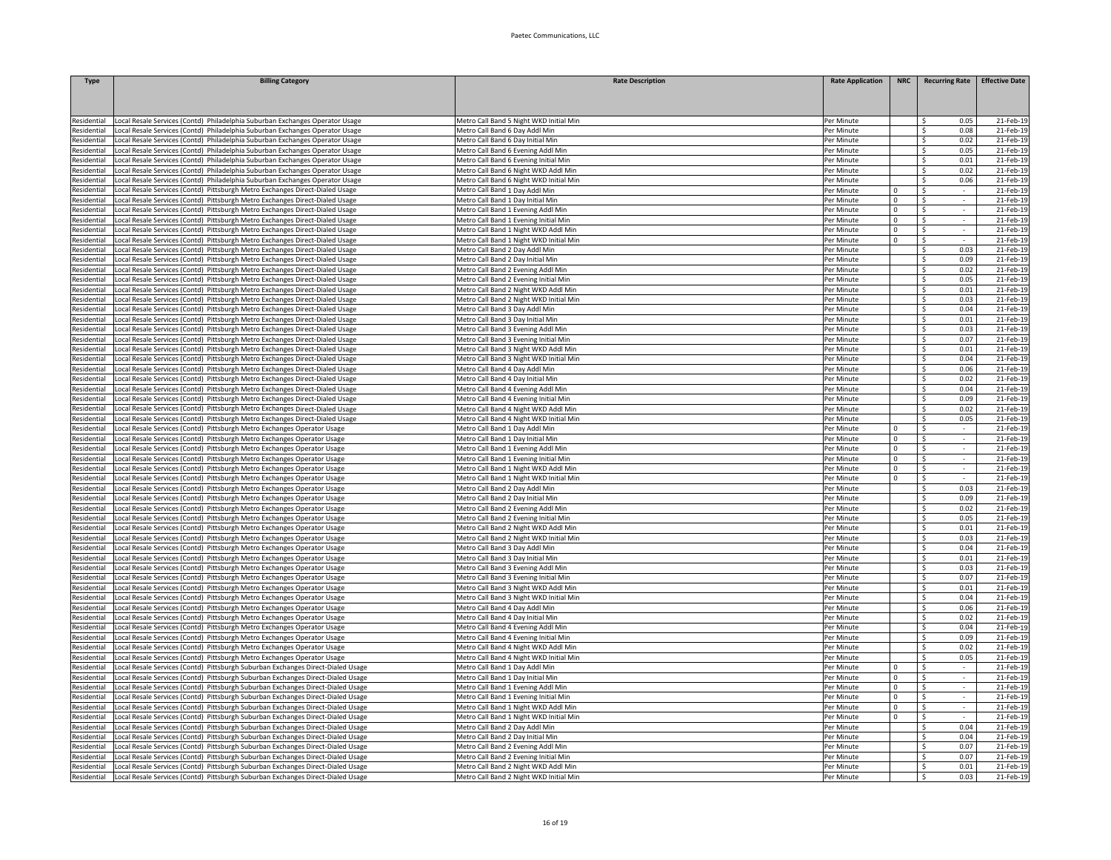| Type                     | <b>Billing Category</b>                                                                                                                          | <b>Rate Description</b>                                                         | <b>Rate Application</b>  | <b>NRC</b>              | <b>Recurring Rate</b>                     | <b>Effective Date</b>  |
|--------------------------|--------------------------------------------------------------------------------------------------------------------------------------------------|---------------------------------------------------------------------------------|--------------------------|-------------------------|-------------------------------------------|------------------------|
|                          |                                                                                                                                                  |                                                                                 |                          |                         |                                           |                        |
|                          |                                                                                                                                                  |                                                                                 |                          |                         |                                           |                        |
| Residential              | ocal Resale Services (Contd) Philadelphia Suburban Exchanges Operator Usage                                                                      | Metro Call Band 5 Night WKD Initial Min                                         | Per Minute               |                         | $\zeta$<br>0.05                           | 21-Feb-1               |
| Residential              | Local Resale Services (Contd) Philadelphia Suburban Exchanges Operator Usage                                                                     | Metro Call Band 6 Day Addl Min                                                  | Per Minute               |                         | $\hat{\varsigma}$<br>0.08                 | 21-Feb-19              |
| Residential              | ocal Resale Services (Contd) Philadelphia Suburban Exchanges Operator Usage                                                                      | Metro Call Band 6 Day Initial Min                                               | Per Minute               |                         | 0.02<br>$\mathsf{S}$                      | 21-Feb-19              |
| Residential              | ocal Resale Services (Contd) Philadelphia Suburban Exchanges Operator Usage                                                                      | Metro Call Band 6 Evening Addl Min                                              | Per Minute               |                         | $\hat{\zeta}$<br>0.05                     | 21-Feb-19              |
| Residential              | ocal Resale Services (Contd) Philadelphia Suburban Exchanges Operator Usage                                                                      | Metro Call Band 6 Evening Initial Min                                           | Per Minute               |                         | Ŝ.<br>0.01                                | 21-Feb-19              |
| Residential              | ocal Resale Services (Contd) Philadelphia Suburban Exchanges Operator Usage                                                                      | Metro Call Band 6 Night WKD Addl Min                                            | Per Minute               |                         | 0.02<br>Ŝ.                                | 21-Feb-19              |
| Residential              | ocal Resale Services (Contd) Philadelphia Suburban Exchanges Operator Usage                                                                      | Metro Call Band 6 Night WKD Initial Min                                         | Per Minute               |                         | 0.06<br>S.                                | 21-Feb-19              |
| Residential              | ocal Resale Services (Contd) Pittsburgh Metro Exchanges Direct-Dialed Usage                                                                      | Metro Call Band 1 Day Addl Min                                                  | Per Minute               | $\mathbf 0$             | \$<br>$\sim$                              | 21-Feb-19              |
| esidential               | ocal Resale Services (Contd) Pittsburgh Metro Exchanges Direct-Dialed Usage                                                                      | Metro Call Band 1 Day Initial Min                                               | Per Minute               | $\Omega$                | $\mathsf{S}$<br>$\sim$                    | 21-Feb-1               |
| Residentia               | ocal Resale Services (Contd) Pittsburgh Metro Exchanges Direct-Dialed Usage                                                                      | Metro Call Band 1 Evening Addl Min                                              | Per Minute               | $\mathsf 0$             | \$<br>$\sim$                              | 21-Feb-1               |
| Residential              | ocal Resale Services (Contd) Pittsburgh Metro Exchanges Direct-Dialed Usage                                                                      | Metro Call Band 1 Evening Initial Min                                           | Per Minute               | $\mathbf 0$             | \$<br>÷.                                  | 21-Feb-19              |
| Residential              | ocal Resale Services (Contd) Pittsburgh Metro Exchanges Direct-Dialed Usage                                                                      | Metro Call Band 1 Night WKD Addl Min                                            | Per Minute               | $\mathbf 0$             | \$<br>$\mathbf{r}$                        | 21-Feb-19              |
| Residential              | ocal Resale Services (Contd) Pittsburgh Metro Exchanges Direct-Dialed Usage                                                                      | Metro Call Band 1 Night WKD Initial Min                                         | Per Minute               | $\Omega$                | $\mathsf{S}$<br>$\sim$                    | 21-Feb-19              |
| Residential              | ocal Resale Services (Contd) Pittsburgh Metro Exchanges Direct-Dialed Usage                                                                      | Metro Call Band 2 Day Addl Min                                                  | Per Minute               |                         | 0.03<br>$\zeta$                           | 21-Feb-19              |
| Residential              | ocal Resale Services (Contd) Pittsburgh Metro Exchanges Direct-Dialed Usage                                                                      | Metro Call Band 2 Day Initial Min                                               | Per Minute               |                         | 0.09<br>-S                                | 21-Feb-19              |
| Residential              | ocal Resale Services (Contd) Pittsburgh Metro Exchanges Direct-Dialed Usage                                                                      | Metro Call Band 2 Evening Addl Min                                              | Per Minute               |                         | 0.02<br>-S                                | 21-Feb-19              |
| Residential              | ocal Resale Services (Contd) Pittsburgh Metro Exchanges Direct-Dialed Usage.                                                                     | Metro Call Band 2 Evening Initial Min                                           | Per Minute               |                         | 0.05<br>- Ś                               | 21-Feb-19              |
| esidential               | ocal Resale Services (Contd) Pittsburgh Metro Exchanges Direct-Dialed Usage                                                                      | Metro Call Band 2 Night WKD Addl Min                                            | Per Minute               |                         | 0.01<br>-S                                | 21-Feb-19              |
| Residential              | ocal Resale Services (Contd) Pittsburgh Metro Exchanges Direct-Dialed Usage                                                                      | Metro Call Band 2 Night WKD Initial Min                                         | Per Minute               |                         | Ŝ.<br>0.03                                | 21-Feb-1               |
| Residential              | ocal Resale Services (Contd) Pittsburgh Metro Exchanges Direct-Dialed Usage                                                                      | Metro Call Band 3 Day Addl Min                                                  | Per Minute               |                         | $\overline{\mathsf{s}}$<br>0.04           | 21-Feb-1               |
| Residential              | ocal Resale Services (Contd) Pittsburgh Metro Exchanges Direct-Dialed Usage                                                                      | Metro Call Band 3 Day Initial Min                                               | Per Minute               |                         | $\mathsf{S}$<br>0.01                      | 21-Feb-19              |
| esidential               | ocal Resale Services (Contd) Pittsburgh Metro Exchanges Direct-Dialed Usage                                                                      | Metro Call Band 3 Evening Addl Min                                              | Per Minute               |                         | -Ś<br>0.03                                | 21-Feb-19              |
| esidential               | ocal Resale Services (Contd) Pittsburgh Metro Exchanges Direct-Dialed Usage                                                                      | Metro Call Band 3 Evening Initial Min                                           | Per Minute               |                         | Ŝ.<br>0.07                                | 21-Feb-19              |
| Residential              | ocal Resale Services (Contd) Pittsburgh Metro Exchanges Direct-Dialed Usage                                                                      | Metro Call Band 3 Night WKD Addl Min                                            | Per Minute               |                         | 0.01<br>Ŝ.                                | 21-Feb-19              |
| Residential              | ocal Resale Services (Contd) Pittsburgh Metro Exchanges Direct-Dialed Usage                                                                      | Metro Call Band 3 Night WKD Initial Min                                         | Per Minute               |                         | 0.04<br>S.                                | 21-Feb-19              |
| Residential              | ocal Resale Services (Contd) Pittsburgh Metro Exchanges Direct-Dialed Usage.                                                                     | Metro Call Band 4 Day Addl Min                                                  | Per Minute               |                         | 0.06<br>-\$                               | 21-Feb-19              |
| esidential               | ocal Resale Services (Contd) Pittsburgh Metro Exchanges Direct-Dialed Usage                                                                      | Metro Call Band 4 Day Initial Min                                               | Per Minute               |                         | 0.02<br>- Ś                               | 21-Feb-19              |
| esidential               | ocal Resale Services (Contd) Pittsburgh Metro Exchanges Direct-Dialed Usage                                                                      | Metro Call Band 4 Evening Addl Min                                              | Per Minute               |                         | <sup>\$</sup><br>0.04                     | 21-Feb-1               |
| esidential               | ocal Resale Services (Contd) Pittsburgh Metro Exchanges Direct-Dialed Usage                                                                      | Metro Call Band 4 Evening Initial Min                                           | Per Minute               |                         | Š.<br>0.05                                | 21-Feb-1               |
| Residential              | ocal Resale Services (Contd) Pittsburgh Metro Exchanges Direct-Dialed Usage                                                                      | Metro Call Band 4 Night WKD Addl Min                                            | Per Minute               |                         | 0.02<br>S.<br>S.                          | 21-Feb-19              |
| Residential              | ocal Resale Services (Contd) Pittsburgh Metro Exchanges Direct-Dialed Usage.                                                                     | Metro Call Band 4 Night WKD Initial Min                                         | Per Minute               |                         | 0.05                                      | 21-Feb-19              |
| Residential              | ocal Resale Services (Contd) Pittsburgh Metro Exchanges Operator Usage                                                                           | Metro Call Band 1 Day Addl Min<br>Metro Call Band 1 Day Initial Min             | Per Minute               | $\mathbf 0$<br>$\Omega$ | -\$<br>Ŝ.                                 | 21-Feb-19<br>21-Feb-19 |
| Residential              | ocal Resale Services (Contd) Pittsburgh Metro Exchanges Operator Usage                                                                           | Metro Call Band 1 Evening Addl Min                                              | Per Minute               |                         |                                           | 21-Feb-19              |
| Residential              | ocal Resale Services (Contd) Pittsburgh Metro Exchanges Operator Usage                                                                           |                                                                                 | Per Minute               | $\mathbf 0$             | -\$<br>$\overline{\phantom{a}}$<br>$\sim$ |                        |
| esidential               | ocal Resale Services (Contd) Pittsburgh Metro Exchanges Operator Usage                                                                           | Metro Call Band 1 Evening Initial Min                                           | Per Minute               | $^{\circ}$              | -S<br>$\sim$                              | 21-Feb-19              |
| esidential<br>esidential | ocal Resale Services (Contd) Pittsburgh Metro Exchanges Operator Usage<br>ocal Resale Services (Contd) Pittsburgh Metro Exchanges Operator Usage | Metro Call Band 1 Night WKD Addl Min<br>Metro Call Band 1 Night WKD Initial Min | Per Minute<br>Per Minute | $^{\circ}$<br>$\Omega$  | - Ś<br>-Ś                                 | 21-Feb-19<br>21-Feb-1  |
| esidential               | ocal Resale Services (Contd) Pittsburgh Metro Exchanges Operator Usage                                                                           | Metro Call Band 2 Day Addl Min                                                  | Per Minute               |                         | -\$<br>0.03                               | 21-Feb-1               |
| esidential               | ocal Resale Services (Contd) Pittsburgh Metro Exchanges Operator Usage                                                                           | Metro Call Band 2 Day Initial Min                                               | Per Minute               |                         | Ś.<br>0.09                                | 21-Feb-1               |
| Residential              | ocal Resale Services (Contd) Pittsburgh Metro Exchanges Operator Usage                                                                           | Metro Call Band 2 Evening Addl Min                                              | Per Minute               |                         | $\zeta$<br>0.02                           | 21-Feb-19              |
| Residential              | ocal Resale Services (Contd) Pittsburgh Metro Exchanges Operator Usage                                                                           | Metro Call Band 2 Evening Initial Min                                           | Per Minute               |                         | Ŝ.<br>0.05                                | 21-Feb-19              |
| Residential              | ocal Resale Services (Contd) Pittsburgh Metro Exchanges Operator Usage                                                                           | Metro Call Band 2 Night WKD Addl Min                                            | Per Minute               |                         | Ŝ.<br>0.01                                | 21-Feb-19              |
| Residential              | ocal Resale Services (Contd) Pittsburgh Metro Exchanges Operator Usage                                                                           | Metro Call Band 2 Night WKD Initial Min                                         | Per Minute               |                         | 0.03<br>S.                                | 21-Feb-19              |
| Residential              | ocal Resale Services (Contd) Pittsburgh Metro Exchanges Operator Usage                                                                           | Metro Call Band 3 Day Addl Min                                                  | Per Minute               |                         | 0.04<br>S.                                | 21-Feb-19              |
| esidential               | ocal Resale Services (Contd) Pittsburgh Metro Exchanges Operator Usage                                                                           | Metro Call Band 3 Day Initial Min                                               | Per Minute               |                         | 0.01<br>- Ś                               | 21-Feb-19              |
| esidential               | ocal Resale Services (Contd) Pittsburgh Metro Exchanges Operator Usage                                                                           | Metro Call Band 3 Evening Addl Min                                              | Per Minute               |                         | -Ś<br>0.03                                | 21-Feb-19              |
| esidential               | ocal Resale Services (Contd) Pittsburgh Metro Exchanges Operator Usage                                                                           | Metro Call Band 3 Evening Initial Min                                           | Per Minute               |                         | S.<br>0.07                                | 21-Feb-1               |
| Residential              | ocal Resale Services (Contd) Pittsburgh Metro Exchanges Operator Usage                                                                           | Metro Call Band 3 Night WKD Addl Min                                            | Per Minute               |                         | S.<br>0.01                                | 21-Feb-1               |
| Residential              | ocal Resale Services (Contd) Pittsburgh Metro Exchanges Operator Usage                                                                           | Metro Call Band 3 Night WKD Initial Min                                         | Per Minute               |                         | Ś.<br>0.04                                | 21-Feb-19              |
| Residential              | ocal Resale Services (Contd) Pittsburgh Metro Exchanges Operator Usage                                                                           | Metro Call Band 4 Day Addl Min                                                  | Per Minute               |                         | 0.06<br>-Ś                                | 21-Feb-19              |
| Residential              | ocal Resale Services (Contd) Pittsburgh Metro Exchanges Operator Usage                                                                           | Metro Call Band 4 Day Initial Min                                               | Per Minute               |                         | Ŝ.<br>0.02                                | 21-Feb-19              |
| Residential              | ocal Resale Services (Contd) Pittsburgh Metro Exchanges Operator Usage                                                                           | Metro Call Band 4 Evening Addl Min                                              | Per Minute               |                         | 0.04<br>Ŝ.                                | 21-Feb-19              |
| Residential              | ocal Resale Services (Contd) Pittsburgh Metro Exchanges Operator Usage                                                                           | Metro Call Band 4 Evening Initial Min                                           | Per Minute               |                         | 0.09<br>-S                                | 21-Feb-19              |
| esidential               | ocal Resale Services (Contd) Pittsburgh Metro Exchanges Operator Usage                                                                           | Metro Call Band 4 Night WKD Addl Min                                            | Per Minute               |                         | 0.02<br>Ŝ.                                | 21-Feb-19              |
| esidential               | ocal Resale Services (Contd) Pittsburgh Metro Exchanges Operator Usage                                                                           | Metro Call Band 4 Night WKD Initial Min                                         | Per Minute               |                         | \$<br>0.05                                | 21-Feb-19              |
| esidential               | ocal Resale Services (Contd) Pittsburgh Suburban Exchanges Direct-Dialed Usage                                                                   | Metro Call Band 1 Day Addl Min                                                  | Per Minute               | $\Omega$                | $\mathsf{S}$                              | 21-Feb-1               |
| Residential              | ocal Resale Services (Contd) Pittsburgh Suburban Exchanges Direct-Dialed Usage                                                                   | Metro Call Band 1 Day Initial Min                                               | Per Minute               | $\mathbf 0$             | \$                                        | 21-Feb-1               |
| Residential              | ocal Resale Services (Contd) Pittsburgh Suburban Exchanges Direct-Dialed Usage                                                                   | Metro Call Band 1 Evening Addl Min                                              | Per Minute               | $\mathbf 0$             | \$                                        | 21-Feb-19              |
| Residential              | ocal Resale Services (Contd) Pittsburgh Suburban Exchanges Direct-Dialed Usage                                                                   | Metro Call Band 1 Evening Initial Min                                           | Per Minute               | 0                       | \$<br>$\sim$                              | 21-Feb-19              |
| esidential               | ocal Resale Services (Contd) Pittsburgh Suburban Exchanges Direct-Dialed Usage                                                                   | Metro Call Band 1 Night WKD Addl Min                                            | Per Minute               | $\mathbf 0$             | - Ś                                       | 21-Feb-19              |
| Residential              | ocal Resale Services (Contd) Pittsburgh Suburban Exchanges Direct-Dialed Usage                                                                   | Metro Call Band 1 Night WKD Initial Min                                         | Per Minute               | $\Omega$                | Ŝ.                                        | 21-Feb-19              |
| Residential              | ocal Resale Services (Contd) Pittsburgh Suburban Exchanges Direct-Dialed Usage                                                                   | Metro Call Band 2 Day Addl Min                                                  | Per Minute               |                         | 0.04<br>-S                                | 21-Feb-19              |
| Residential              | ocal Resale Services (Contd) Pittsburgh Suburban Exchanges Direct-Dialed Usage                                                                   | Metro Call Band 2 Day Initial Min                                               | Per Minute               |                         | 0.04<br>-S                                | 21-Feb-19              |
| Residential              | Local Resale Services (Contd) Pittsburgh Suburban Exchanges Direct-Dialed Usage                                                                  | Metro Call Band 2 Evening Addl Min                                              | Per Minute               |                         | 0.07<br>-\$                               | 21-Feb-19              |
| esidential               | ocal Resale Services (Contd) Pittsburgh Suburban Exchanges Direct-Dialed Usage                                                                   | Metro Call Band 2 Evening Initial Min                                           | Per Minute               |                         | 0.07<br>Ŝ.                                | 21-Feb-19              |
| Residential              | ocal Resale Services (Contd) Pittsburgh Suburban Exchanges Direct-Dialed Usage                                                                   | Metro Call Band 2 Night WKD Addl Min                                            | Per Minute               |                         | Ŝ.<br>0.01                                | 21-Feb-19              |
| Residential              | Local Resale Services (Contd) Pittsburgh Suburban Exchanges Direct-Dialed Usage                                                                  | Metro Call Band 2 Night WKD Initial Min                                         | Per Minute               |                         | 0.03<br>-Ś                                | 21-Feb-19              |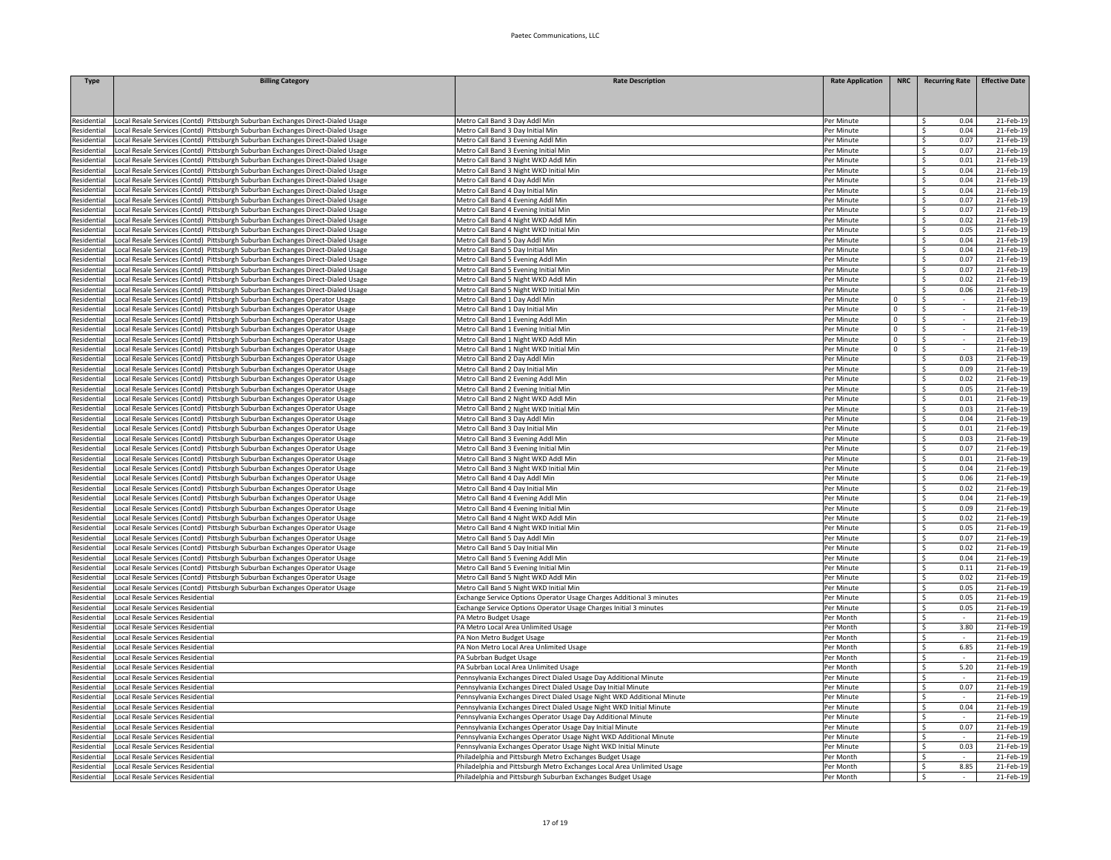| <b>Type</b>                | <b>Billing Category</b>                                                                                                                                 | <b>Rate Description</b>                                                     | <b>Rate Application</b>  | <b>NRC</b>  | <b>Recurring Rate</b>                   | <b>Effective Date</b> |
|----------------------------|---------------------------------------------------------------------------------------------------------------------------------------------------------|-----------------------------------------------------------------------------|--------------------------|-------------|-----------------------------------------|-----------------------|
|                            |                                                                                                                                                         |                                                                             |                          |             |                                         |                       |
|                            |                                                                                                                                                         |                                                                             |                          |             |                                         |                       |
| Residential                | Local Resale Services (Contd) Pittsburgh Suburban Exchanges Direct-Dialed Usage                                                                         | Metro Call Band 3 Day Addl Min                                              | Per Minute               |             | Ŝ.<br>0.04                              | 21-Feb-19             |
| Residential                | Local Resale Services (Contd) Pittsburgh Suburban Exchanges Direct-Dialed Usage                                                                         | Metro Call Band 3 Day Initial Min                                           | Per Minute               |             | $\hat{\varsigma}$<br>0.04               | 21-Feb-19             |
| Residential                | Local Resale Services (Contd) Pittsburgh Suburban Exchanges Direct-Dialed Usage                                                                         | Metro Call Band 3 Evening Addl Min                                          | Per Minute               |             | 0.07<br>$\mathsf{S}$                    | 21-Feb-19             |
| Residential                | ocal Resale Services (Contd) Pittsburgh Suburban Exchanges Direct-Dialed Usage                                                                          | Metro Call Band 3 Evening Initial Min                                       | Per Minute               |             | $\hat{\zeta}$<br>0.07                   | 21-Feb-19             |
| <b>tesidential</b>         | ocal Resale Services (Contd) Pittsburgh Suburban Exchanges Direct-Dialed Usage                                                                          | Metro Call Band 3 Night WKD Addl Min                                        | Per Minute               |             | Ŝ.<br>0.01                              | 21-Feb-19             |
| Residential                | ocal Resale Services (Contd) Pittsburgh Suburban Exchanges Direct-Dialed Usage                                                                          | Metro Call Band 3 Night WKD Initial Min                                     | Per Minute               |             | 0.04<br>S.                              | 21-Feb-19             |
| Residential                | Local Resale Services (Contd) Pittsburgh Suburban Exchanges Direct-Dialed Usage                                                                         | Metro Call Band 4 Day Addl Min                                              | Per Minute               |             | 0.04<br>S.                              | 21-Feb-19             |
| Residential                | Local Resale Services (Contd) Pittsburgh Suburban Exchanges Direct-Dialed Usage                                                                         | Metro Call Band 4 Day Initial Min                                           | Per Minute               |             | 0.04<br>-\$                             | 21-Feb-19             |
| Residential                | Local Resale Services (Contd) Pittsburgh Suburban Exchanges Direct-Dialed Usage                                                                         | Metro Call Band 4 Evening Addl Min                                          | Per Minute               |             | 0.07<br>$\mathsf{S}$                    | 21-Feb-1              |
| Residential                | Local Resale Services (Contd) Pittsburgh Suburban Exchanges Direct-Dialed Usage                                                                         | Metro Call Band 4 Evening Initial Min                                       | Per Minute               |             | \$<br>0.07                              | 21-Feb-1              |
| Residential                | Local Resale Services (Contd) Pittsburgh Suburban Exchanges Direct-Dialed Usage                                                                         | Metro Call Band 4 Night WKD Addl Min                                        | Per Minute               |             | \$<br>0.02                              | 21-Feb-19             |
| Residential                | ocal Resale Services (Contd) Pittsburgh Suburban Exchanges Direct-Dialed Usage                                                                          | Metro Call Band 4 Night WKD Initial Min                                     | Per Minute               |             | $\leq$<br>0.05                          | 21-Feb-19             |
| Residential                | Local Resale Services (Contd) Pittsburgh Suburban Exchanges Direct-Dialed Usage                                                                         | Metro Call Band 5 Day Addl Min                                              | Per Minute               |             | $\mathsf{S}$<br>0.04                    | 21-Feb-19             |
| Residential                | ocal Resale Services (Contd) Pittsburgh Suburban Exchanges Direct-Dialed Usage                                                                          | Metro Call Band 5 Day Initial Min                                           | Per Minute               |             | 0.04<br>Ŝ.                              | 21-Feb-19             |
| Residential                | ocal Resale Services (Contd) Pittsburgh Suburban Exchanges Direct-Dialed Usage                                                                          | Metro Call Band 5 Evening Addl Min                                          | Per Minute               |             | 0.07<br>Ŝ.                              | 21-Feb-19             |
| Residential                | Local Resale Services (Contd) Pittsburgh Suburban Exchanges Direct-Dialed Usage                                                                         | Metro Call Band 5 Evening Initial Min                                       | Per Minute               |             | 0.07<br>-S                              | 21-Feb-19             |
| Residential                | Local Resale Services (Contd) Pittsburgh Suburban Exchanges Direct-Dialed Usage                                                                         | Metro Call Band 5 Night WKD Addl Min                                        | Per Minute               |             | 0.02<br>-\$                             | 21-Feb-19             |
| Residential                | Local Resale Services (Contd) Pittsburgh Suburban Exchanges Direct-Dialed Usage                                                                         | Metro Call Band 5 Night WKD Initial Min                                     | Per Minute               |             | 0.06<br>-S                              | 21-Feb-1              |
| Residential                | Local Resale Services (Contd) Pittsburgh Suburban Exchanges Operator Usage                                                                              | Metro Call Band 1 Day Addl Min                                              | Per Minute               | $\mathbf 0$ | S.                                      | 21-Feb-1              |
| Residential                | Local Resale Services (Contd) Pittsburgh Suburban Exchanges Operator Usage                                                                              | Metro Call Band 1 Day Initial Min                                           | Per Minute               | $\Omega$    | $\overline{\mathsf{S}}$                 | 21-Feb-1              |
| Residential                | Local Resale Services (Contd) Pittsburgh Suburban Exchanges Operator Usage                                                                              | Metro Call Band 1 Evening Addl Min                                          | Per Minute               | $\mathbf 0$ | \$<br>$\overline{\mathsf{s}}$<br>$\sim$ | 21-Feb-19             |
| Residential                | Local Resale Services (Contd) Pittsburgh Suburban Exchanges Operator Usage                                                                              | Metro Call Band 1 Evening Initial Min                                       | Per Minute               | 0           |                                         | 21-Feb-19             |
| Residential                | ocal Resale Services (Contd) Pittsburgh Suburban Exchanges Operator Usage                                                                               | Metro Call Band 1 Night WKD Addl Min                                        | Per Minute               | $\mathbf 0$ | -\$                                     | 21-Feb-19             |
| Residential<br>Residential | ocal Resale Services (Contd) Pittsburgh Suburban Exchanges Operator Usage                                                                               | Metro Call Band 1 Night WKD Initial Min                                     | Per Minute<br>Per Minute | $\Omega$    | -\$                                     | 21-Feb-19             |
|                            | Local Resale Services (Contd) Pittsburgh Suburban Exchanges Operator Usage                                                                              | Metro Call Band 2 Day Addl Min                                              |                          |             | 0.03<br>S.                              | 21-Feb-19             |
| Residential                | Local Resale Services (Contd) Pittsburgh Suburban Exchanges Operator Usage                                                                              | Metro Call Band 2 Day Initial Min                                           | Per Minute               |             | 0.09<br>-\$                             | 21-Feb-19             |
| Residential                | Local Resale Services (Contd) Pittsburgh Suburban Exchanges Operator Usage                                                                              | Metro Call Band 2 Evening Addl Min<br>Metro Call Band 2 Evening Initial Min | Per Minute               |             | 0.02<br>- Ś<br><sup>\$</sup><br>0.05    | 21-Feb-19<br>21-Feb-1 |
| esidential                 | Local Resale Services (Contd) Pittsburgh Suburban Exchanges Operator Usage                                                                              | Metro Call Band 2 Night WKD Addl Min                                        | Per Minute               |             | Š.<br>0.01                              |                       |
| tesidential<br>Residential | Local Resale Services (Contd) Pittsburgh Suburban Exchanges Operator Usage                                                                              | Metro Call Band 2 Night WKD Initial Min                                     | Per Minute<br>Per Minute |             | 0.03<br>S.                              | 21-Feb-1<br>21-Feb-19 |
|                            | Local Resale Services (Contd) Pittsburgh Suburban Exchanges Operator Usage                                                                              | Metro Call Band 3 Day Addl Min                                              |                          |             | S.<br>0.04                              | 21-Feb-19             |
| Residential<br>Residential | Local Resale Services (Contd) Pittsburgh Suburban Exchanges Operator Usage<br>ocal Resale Services (Contd) Pittsburgh Suburban Exchanges Operator Usage | Metro Call Band 3 Day Initial Min                                           | Per Minute<br>Per Minute |             | -\$<br>0.01                             | 21-Feb-19             |
| Residential                | ocal Resale Services (Contd) Pittsburgh Suburban Exchanges Operator Usage                                                                               | Metro Call Band 3 Evening Addl Min                                          | Per Minute               |             | Ŝ.<br>0.03                              | 21-Feb-19             |
| Residential                | Local Resale Services (Contd) Pittsburgh Suburban Exchanges Operator Usage                                                                              | Metro Call Band 3 Evening Initial Min                                       | Per Minute               |             | 0.07<br>-S                              | 21-Feb-19             |
| Residential                | Local Resale Services (Contd) Pittsburgh Suburban Exchanges Operator Usage                                                                              | Metro Call Band 3 Night WKD Addl Min                                        | Per Minute               |             | 0.01<br>-\$                             | 21-Feb-19             |
| Residential                | Local Resale Services (Contd) Pittsburgh Suburban Exchanges Operator Usage                                                                              | Metro Call Band 3 Night WKD Initial Min                                     | Per Minute               |             | 0.04<br>- Ś                             | 21-Feb-19             |
| esidential                 | ocal Resale Services (Contd) Pittsburgh Suburban Exchanges Operator Usage                                                                               | Metro Call Band 4 Day Addl Min                                              | Per Minute               |             | $\mathsf{S}$<br>0.06                    | 21-Feb-1              |
| tesidential                | Local Resale Services (Contd) Pittsburgh Suburban Exchanges Operator Usage                                                                              | Metro Call Band 4 Day Initial Min                                           | Per Minute               |             | S.<br>0.02                              | 21-Feb-1              |
| tesidential                | ocal Resale Services (Contd) Pittsburgh Suburban Exchanges Operator Usage                                                                               | Metro Call Band 4 Evening Addl Min                                          | Per Minute               |             | Ś.<br>0.04                              | 21-Feb-1              |
| Residential                | Local Resale Services (Contd) Pittsburgh Suburban Exchanges Operator Usage                                                                              | Metro Call Band 4 Evening Initial Min                                       | Per Minute               |             | S.<br>0.09                              | 21-Feb-19             |
| Residential                | ocal Resale Services (Contd) Pittsburgh Suburban Exchanges Operator Usage                                                                               | Metro Call Band 4 Night WKD Addl Min                                        | Per Minute               |             | -Ś<br>0.02                              | 21-Feb-19             |
| Residential                | ocal Resale Services (Contd) Pittsburgh Suburban Exchanges Operator Usage                                                                               | Metro Call Band 4 Night WKD Initial Min                                     | Per Minute               |             | 0.05<br>Ŝ.                              | 21-Feb-19             |
| Residential                | ocal Resale Services (Contd) Pittsburgh Suburban Exchanges Operator Usage                                                                               | Metro Call Band 5 Day Addl Min                                              | Per Minute               |             | 0.07<br>S.                              | 21-Feb-19             |
| Residential                | Local Resale Services (Contd) Pittsburgh Suburban Exchanges Operator Usage                                                                              | Metro Call Band 5 Day Initial Min                                           | Per Minute               |             | 0.02<br>S.                              | 21-Feb-19             |
| Residential                | Local Resale Services (Contd) Pittsburgh Suburban Exchanges Operator Usage                                                                              | Metro Call Band 5 Evening Addl Min                                          | Per Minute               |             | 0.04<br>- Ś                             | 21-Feb-19             |
| esidential                 | Local Resale Services (Contd) Pittsburgh Suburban Exchanges Operator Usage                                                                              | Metro Call Band 5 Evening Initial Min                                       | Per Minute               |             | -Ś<br>0.11                              | 21-Feb-1              |
| esidential                 | Local Resale Services (Contd) Pittsburgh Suburban Exchanges Operator Usage                                                                              | Metro Call Band 5 Night WKD Addl Min                                        | Per Minute               |             | S.<br>0.02                              | 21-Feb-1              |
| Residential                | Local Resale Services (Contd) Pittsburgh Suburban Exchanges Operator Usage                                                                              | Metro Call Band 5 Night WKD Initial Min                                     | Per Minute               |             | S.<br>0.05                              | 21-Feb-1              |
| Residential                | Local Resale Services Residential                                                                                                                       | Exchange Service Options Operator Usage Charges Additional 3 minutes        | Per Minute               |             | Ś.<br>0.05                              | 21-Feb-19             |
| Residential                | Local Resale Services Residential                                                                                                                       | Exchange Service Options Operator Usage Charges Initial 3 minutes           | Per Minute               |             | S.<br>0.05                              | 21-Feb-19             |
| Residential                | ocal Resale Services Residential                                                                                                                        | PA Metro Budget Usage                                                       | Per Month                |             | Ŝ.                                      | 21-Feb-19             |
| Residential                | ocal Resale Services Residential                                                                                                                        | PA Metro Local Area Unlimited Usage                                         | Per Month                |             | 3.80<br>-Ś                              | 21-Feb-19             |
| Residential                | ocal Resale Services Residential                                                                                                                        | PA Non Metro Budget Usage                                                   | Per Month                |             | S.<br>$\sim$                            | 21-Feb-19             |
| Residential                | Local Resale Services Residential                                                                                                                       | PA Non Metro Local Area Unlimited Usage                                     | Per Month                |             | 6.85<br>Ŝ.                              | 21-Feb-19             |
| Residential                | Local Resale Services Residential                                                                                                                       | PA Subrban Budget Usage                                                     | Per Month                |             | -\$                                     | 21-Feb-19             |
| Residential                | ocal Resale Services Residential                                                                                                                        | PA Subrban Local Area Unlimited Usage                                       | Per Month                |             | 5.20<br>$\mathsf{S}$                    | 21-Feb-1              |
| Residential                | Local Resale Services Residentia                                                                                                                        | Pennsylvania Exchanges Direct Dialed Usage Day Additional Minute            | Per Minute               |             | \$                                      | 21-Feb-1              |
| Residential                | Local Resale Services Residential                                                                                                                       | Pennsylvania Exchanges Direct Dialed Usage Day Initial Minute               | Per Minute               |             | 0.07<br>\$                              | 21-Feb-19             |
| Residential                | Local Resale Services Residential                                                                                                                       | Pennsylvania Exchanges Direct Dialed Usage Night WKD Additional Minute      | Per Minute               |             | $\leq$                                  | 21-Feb-19             |
| Residential                | ocal Resale Services Residential                                                                                                                        | ennsylvania Exchanges Direct Dialed Usage Night WKD Initial Minute          | Per Minute               |             | 0.04<br>Ŝ.                              | 21-Feb-19             |
| Residential                | ocal Resale Services Residential                                                                                                                        | ennsylvania Exchanges Operator Usage Day Additional Minute                  | Per Minute               |             | Ŝ.                                      | 21-Feb-19             |
| Residential                | Local Resale Services Residential                                                                                                                       | Pennsylvania Exchanges Operator Usage Day Initial Minute                    | Per Minute               |             | 0.07<br>S.                              | 21-Feb-19             |
| Residential                | Local Resale Services Residential                                                                                                                       | Pennsylvania Exchanges Operator Usage Night WKD Additional Minute           | Per Minute               |             | -S<br>$\overline{\phantom{a}}$          | 21-Feb-19             |
| Residential                | Local Resale Services Residential                                                                                                                       | Pennsylvania Exchanges Operator Usage Night WKD Initial Minute              | Per Minute               |             | 0.03<br>-\$                             | 21-Feb-19             |
| Residential                | Local Resale Services Residential                                                                                                                       | Philadelphia and Pittsburgh Metro Exchanges Budget Usage                    | Per Month                |             | -S<br>$\sim$                            | 21-Feb-19             |
| Residential                | Local Resale Services Residential                                                                                                                       | Philadelphia and Pittsburgh Metro Exchanges Local Area Unlimited Usage      | Per Month                |             | -\$<br>8.85                             | 21-Feb-19             |
| Residential                | Local Resale Services Residential                                                                                                                       | Philadelphia and Pittsburgh Suburban Exchanges Budget Usage                 | Per Month                |             | $\overline{\mathsf{s}}$                 | 21-Feb-19             |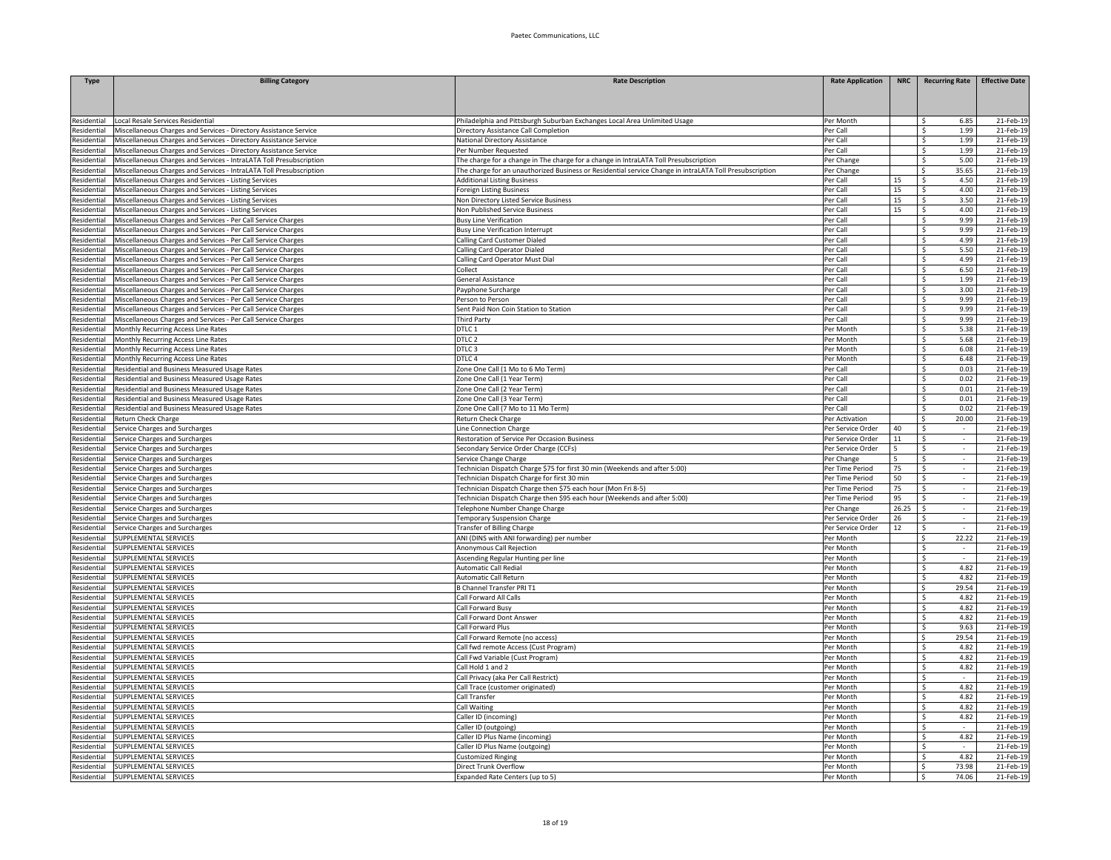| Type                       | <b>Billing Category</b>                                                                                                                  | <b>Rate Description</b>                                                                                      | <b>Rate Application</b>            | <b>NRC</b> | <b>Recurring Rate</b>               | <b>Effective Date</b>  |
|----------------------------|------------------------------------------------------------------------------------------------------------------------------------------|--------------------------------------------------------------------------------------------------------------|------------------------------------|------------|-------------------------------------|------------------------|
|                            |                                                                                                                                          |                                                                                                              |                                    |            |                                     |                        |
|                            |                                                                                                                                          |                                                                                                              |                                    |            |                                     |                        |
| esidential                 | Local Resale Services Residential                                                                                                        | Philadelphia and Pittsburgh Suburban Exchanges Local Area Unlimited Usage                                    | Per Month                          |            | 6.85<br>-S                          | 21-Feb-19              |
| esidential                 | Miscellaneous Charges and Services - Directory Assistance Service                                                                        | Directory Assistance Call Completion                                                                         | Per Call                           |            | 1.99<br>Ŝ.                          | 21-Feb-19              |
| esidential                 | Miscellaneous Charges and Services - Directory Assistance Service                                                                        | National Directory Assistance                                                                                | Per Call                           |            | Ŝ.<br>1.99                          | 21-Feb-1               |
| esidential<br>Residential  | Miscellaneous Charges and Services - Directory Assistance Service<br>Miscellaneous Charges and Services - IntraLATA Toll Presubscription | Per Number Requested<br>The charge for a change in The charge for a change in IntraLATA Toll Presubscription | Per Call<br>Per Change             |            | 1.99<br>Ŝ.<br>$\hat{\zeta}$<br>5.00 | 21-Feb-1<br>21-Feb-19  |
| Residential                | Miscellaneous Charges and Services - IntraLATA Toll Presubscription                                                                      | The charge for an unauthorized Business or Residential service Change in intraLATA Toll Presubscription      | Per Change                         |            | 35.65<br>$\hat{\zeta}$              | 21-Feb-19              |
| esidential                 | Miscellaneous Charges and Services - Listing Services                                                                                    | <b>Additional Listing Business</b>                                                                           | Per Call                           | 15         | 4.50<br>Ŝ.                          | 21-Feb-19              |
| Residential                | Miscellaneous Charges and Services - Listing Services                                                                                    | Foreign Listing Business                                                                                     | Per Call                           | 15         | 4.00<br>\$.                         | 21-Feb-19              |
| Residential                | Miscellaneous Charges and Services - Listing Services                                                                                    | Non Directory Listed Service Business                                                                        | Per Call                           | 15         | 3.50<br>S.                          | 21-Feb-19              |
| esidential                 | Miscellaneous Charges and Services - Listing Services                                                                                    | Non Published Service Business                                                                               | Per Call                           | 15         | 4.00<br>-S                          | 21-Feb-19              |
| esidential                 | Miscellaneous Charges and Services - Per Call Service Charges                                                                            | <b>Busy Line Verification</b>                                                                                | Per Call                           |            | 9.99<br><sup>\$</sup>               | 21-Feb-1               |
| esidential                 | Miscellaneous Charges and Services - Per Call Service Charges                                                                            | <b>Busy Line Verification Interrupt</b>                                                                      | Per Call                           |            | $\hat{\varsigma}$<br>9.99           | 21-Feb-1               |
| Residential                | Miscellaneous Charges and Services - Per Call Service Charges                                                                            | Calling Card Customer Dialed                                                                                 | Per Call                           |            | Š.<br>4.99<br>$\hat{\varsigma}$     | 21-Feb-1               |
| Residential<br>Residential | Miscellaneous Charges and Services - Per Call Service Charges                                                                            | Calling Card Operator Dialed                                                                                 | Per Call<br>Per Call               |            | 5.50<br>4.99<br>-Ś                  | 21-Feb-19<br>21-Feb-19 |
| Residential                | Miscellaneous Charges and Services - Per Call Service Charges<br>Miscellaneous Charges and Services - Per Call Service Charges           | Calling Card Operator Must Dial<br>Collect                                                                   | Per Call                           |            | Ŝ.<br>6.50                          | 21-Feb-19              |
| Residential                | Miscellaneous Charges and Services - Per Call Service Charges                                                                            | General Assistance                                                                                           | Per Call                           |            | 1.99<br>Ŝ.                          | 21-Feb-19              |
| Residential                | Miscellaneous Charges and Services - Per Call Service Charges                                                                            | Payphone Surcharge                                                                                           | Per Call                           |            | 3.00<br>S.                          | 21-Feb-19              |
| esidential                 | Miscellaneous Charges and Services - Per Call Service Charges                                                                            | Person to Person                                                                                             | Per Call                           |            | 9.99<br>Ŝ.                          | 21-Feb-19              |
| esidential                 | Miscellaneous Charges and Services - Per Call Service Charges                                                                            | Sent Paid Non Coin Station to Station                                                                        | Per Call                           |            | 9.99<br>Ŝ.                          | 21-Feb-1               |
| Residential                | Miscellaneous Charges and Services - Per Call Service Charges                                                                            | <b>Third Party</b>                                                                                           | Per Call                           |            | Š.<br>9.99                          | 21-Feb-1               |
| Residential                | Monthly Recurring Access Line Rates                                                                                                      | DTLC 1                                                                                                       | Per Month                          |            | S.<br>5.38                          | 21-Feb-19              |
| Residential                | Monthly Recurring Access Line Rates                                                                                                      | DTLC 2                                                                                                       | Per Month                          |            | S.<br>5.68                          | 21-Feb-19              |
| esidential                 | Monthly Recurring Access Line Rates                                                                                                      | DTLC <sub>3</sub>                                                                                            | Per Month                          |            | -Ś<br>6.08                          | 21-Feb-19              |
| esidential<br>Residential  | Monthly Recurring Access Line Rates                                                                                                      | DTLC 4<br>Zone One Call (1 Mo to 6 Mo Term)                                                                  | Per Month<br>Per Call              |            | Ŝ.<br>6.48<br>0.03<br>Ŝ.            | 21-Feb-19<br>21-Feb-19 |
| Residential                | tesidential and Business Measured Usage Rates<br>Residential and Business Measured Usage Rates                                           | Zone One Call (1 Year Term)                                                                                  | Per Call                           |            | 0.02<br>S.                          | 21-Feb-19              |
| esidential                 | Residential and Business Measured Usage Rates                                                                                            | Zone One Call (2 Year Term)                                                                                  | Per Call                           |            | 0.01<br>- Ś                         | 21-Feb-19              |
| esidential                 | Residential and Business Measured Usage Rates                                                                                            | Zone One Call (3 Year Term)                                                                                  | Per Call                           |            | <sup>\$</sup><br>0.01               | 21-Feb-1               |
| Residential                | Residential and Business Measured Usage Rates                                                                                            | Zone One Call (7 Mo to 11 Mo Term)                                                                           | Per Call                           |            | Ŝ.<br>0.02                          | 21-Feb-1               |
| Residential                | Return Check Charge                                                                                                                      | Return Check Charge                                                                                          | Per Activation                     |            | Ŝ.<br>20.00                         | 21-Feb-19              |
| Residential                | Service Charges and Surcharges                                                                                                           | Line Connection Charge                                                                                       | Per Service Order                  | 40         | Ŝ.                                  | 21-Feb-19              |
| Residential                | ervice Charges and Surcharges                                                                                                            | Restoration of Service Per Occasion Business                                                                 | Per Service Order                  | 11         | -\$                                 | 21-Feb-19              |
| Residential                | Service Charges and Surcharges                                                                                                           | Secondary Service Order Charge (CCFs)                                                                        | Per Service Order                  |            | Ŝ.                                  | 21-Feb-19              |
| Residential                | Service Charges and Surcharges                                                                                                           | Service Change Charge                                                                                        | Per Change                         |            | Ŝ.<br>$\overline{\phantom{a}}$      | 21-Feb-19              |
| esidential                 | Service Charges and Surcharges                                                                                                           | Technician Dispatch Charge \$75 for first 30 min (Weekends and after 5:00)                                   | Per Time Period                    | 75         | -\$<br>$\sim$                       | 21-Feb-19              |
| esidential<br>esidential   | Service Charges and Surcharges<br>Service Charges and Surcharges                                                                         | Technician Dispatch Charge for first 30 min<br>Technician Dispatch Charge then \$75 each hour (Mon Fri 8-5)  | Per Time Period<br>Per Time Period | 50<br>75   | - Ś<br>-S<br>$\sim$                 | 21-Feb-19<br>21-Feb-19 |
| Residential                | Service Charges and Surcharges                                                                                                           | Technician Dispatch Charge then \$95 each hour (Weekends and after 5:00)                                     | Per Time Period                    | 95         | \$                                  | 21-Feb-1               |
| Residential                | Service Charges and Surcharges                                                                                                           | Telephone Number Change Charge                                                                               | Per Change                         | 26.25      | \$                                  | 21-Feb-19              |
| Residential                | Service Charges and Surcharges                                                                                                           | <b>Femporary Suspension Charge</b>                                                                           | Per Service Order                  | 26         | $\sim$<br>$\zeta$                   | 21-Feb-19              |
| esidential                 | ervice Charges and Surcharges                                                                                                            | ransfer of Billing Charge                                                                                    | Per Service Order                  | 12         | Ŝ.                                  | 21-Feb-19              |
| Residential                | SUPPLEMENTAL SERVICES                                                                                                                    | ANI (DINS with ANI forwarding) per number                                                                    | Per Month                          |            | 22.22<br>S.                         | 21-Feb-19              |
| Residential                | SUPPLEMENTAL SERVICES                                                                                                                    | Anonymous Call Rejection                                                                                     | Per Month                          |            | Ŝ.<br>$\sim$                        | 21-Feb-19              |
| esidential                 | SUPPLEMENTAL SERVICES                                                                                                                    | Ascending Regular Hunting per line                                                                           | Per Month                          |            | Ŝ.<br>$\sim$                        | 21-Feb-19              |
| esidential                 | SUPPLEMENTAL SERVICES                                                                                                                    | Automatic Call Redial                                                                                        | Per Month                          |            | 4.82<br>Ŝ.                          | 21-Feb-19              |
| esidential<br>Residential  | SUPPLEMENTAL SERVICES<br><b>SUPPLEMENTAL SERVICES</b>                                                                                    | Automatic Call Return<br>3 Channel Transfer PRI T1                                                           | Per Month<br>Per Month             |            | $\mathsf{S}$<br>4.82<br>Š.<br>29.54 | 21-Feb-1<br>21-Feb-1   |
| Residential                | SUPPLEMENTAL SERVICES                                                                                                                    | Call Forward All Calls                                                                                       | Per Month                          |            | $\hat{\zeta}$<br>4.82               | 21-Feb-19              |
| Residential                | SUPPLEMENTAL SERVICES                                                                                                                    | Call Forward Busy                                                                                            | Per Month                          |            | 4.82<br>-Ś                          | 21-Feb-19              |
| Residential                | SUPPLEMENTAL SERVICES                                                                                                                    | Call Forward Dont Answer                                                                                     | Per Month                          |            | 4.82<br>Ŝ.                          | 21-Feb-19              |
| Residential                | SUPPLEMENTAL SERVICES                                                                                                                    | Call Forward Plus                                                                                            | Per Month                          |            | 9.63<br>Ŝ.                          | 21-Feb-19              |
| Residential                | SUPPLEMENTAL SERVICES                                                                                                                    | Call Forward Remote (no access)                                                                              | Per Month                          |            | 29.54<br>-Ś.                        | 21-Feb-19              |
| esidential                 | SUPPLEMENTAL SERVICES                                                                                                                    | Call fwd remote Access (Cust Program)                                                                        | Per Month                          |            | Ŝ.<br>4.82                          | 21-Feb-19              |
| esidential                 | SUPPLEMENTAL SERVICES                                                                                                                    | Call Fwd Variable (Cust Program)                                                                             | Per Month                          |            | 4.82<br>- Ś                         | 21-Feb-19              |
| esidential                 | SUPPLEMENTAL SERVICES                                                                                                                    | Call Hold 1 and 2                                                                                            | Per Month                          |            | S.<br>4.82                          | 21-Feb-1               |
| esidential<br>Residential  | SUPPLEMENTAL SERVICES<br>SUPPLEMENTAL SERVICES                                                                                           | Call Privacy (aka Per Call Restrict)<br>Call Trace (customer originated)                                     | Per Month                          |            | Ś.<br>S.<br>4.82                    | 21-Feb-1<br>21-Feb-19  |
| esidential                 | SUPPLEMENTAL SERVICES                                                                                                                    | Call Transfer                                                                                                | Per Month<br>Per Month             |            | <sup>\$</sup><br>4.82               | 21-Feb-19              |
| Residential                | SUPPLEMENTAL SERVICES                                                                                                                    | Call Waiting                                                                                                 | Per Month                          |            | 4.82<br>Ŝ.                          | 21-Feb-19              |
| Residential                | SUPPLEMENTAL SERVICES                                                                                                                    | Caller ID (incoming)                                                                                         | Per Month                          |            | 4.82<br>\$                          | 21-Feb-19              |
| Residential                | SUPPLEMENTAL SERVICES                                                                                                                    | Caller ID (outgoing)                                                                                         | Per Month                          |            | S.<br>$\sim$                        | 21-Feb-19              |
| esidential                 | SUPPLEMENTAL SERVICES                                                                                                                    | Caller ID Plus Name (incoming)                                                                               | Per Month                          |            | 4.82<br>\$                          | 21-Feb-19              |
| esidential                 | SUPPLEMENTAL SERVICES                                                                                                                    | Caller ID Plus Name (outgoing)                                                                               | Per Month                          |            | - Ś<br>$\sim$                       | 21-Feb-19              |
| esidential                 | SUPPLEMENTAL SERVICES                                                                                                                    | Customized Ringing                                                                                           | Per Month                          |            | 4.82<br>-\$                         | 21-Feb-1               |
| Residential                | SUPPLEMENTAL SERVICES                                                                                                                    | Direct Trunk Overflow                                                                                        | Per Month                          |            | S.<br>73.98                         | 21-Feb-19              |
| Residential                | SUPPLEMENTAL SERVICES                                                                                                                    | Expanded Rate Centers (up to 5)                                                                              | Per Month                          |            | S.<br>74.06                         | 21-Feb-19              |